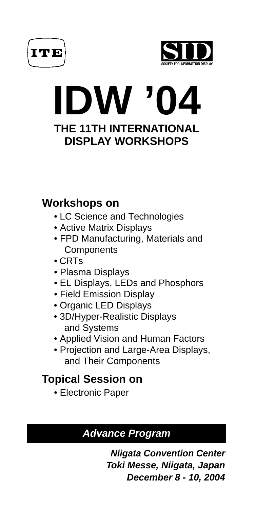



# **IDW '04 THE 11TH INTERNATIONAL DISPLAY WORKSHOPS**

# **Workshops on**

- LC Science and Technologies
- Active Matrix Displays
- FPD Manufacturing, Materials and **Components**
- CRTs
- Plasma Displays
- EL Displays, LEDs and Phosphors
- Field Emission Display
- Organic LED Displays
- 3D/Hyper-Realistic Displays and Systems
- Applied Vision and Human Factors
- Projection and Large-Area Displays, and Their Components

# **Topical Session on**

• Electronic Paper

# **Advance Program**

**Niigata Convention Center Toki Messe, Niigata, Japan December 8 - 10, 2004**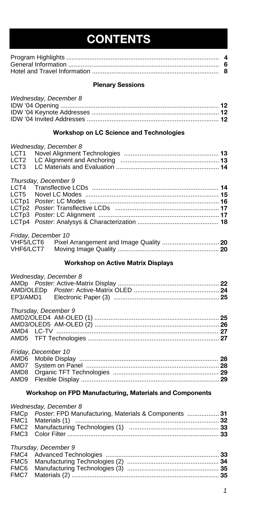# **CONTENTS**

# **Plenary Sessions**

| Wednesday, December 8 |  |
|-----------------------|--|
|                       |  |
|                       |  |
|                       |  |

# **Workshop on LC Science and Technologies**

|                  | Wednesday, December 8 |  |
|------------------|-----------------------|--|
| LCT <sub>1</sub> |                       |  |
| LCT <sub>2</sub> |                       |  |
| LCT <sub>3</sub> |                       |  |
|                  | Thursday, December 9  |  |
|                  |                       |  |
| LCT5             |                       |  |
|                  |                       |  |
|                  |                       |  |
|                  |                       |  |
|                  |                       |  |
|                  | Friday, December 10   |  |
| VHF5/LCT6        |                       |  |
| VHF6/LCT7        |                       |  |
|                  |                       |  |

# **Workshop on Active Matrix Displays**

| Wednesday, December 8 |  |
|-----------------------|--|
|                       |  |
|                       |  |
|                       |  |
| Thursday, December 9  |  |
|                       |  |
|                       |  |
|                       |  |
|                       |  |
| Friday, December 10   |  |
|                       |  |
|                       |  |
|                       |  |
| AMD9                  |  |
|                       |  |

# **Workshop on FPD Manufacturing, Materials and Components**

| Wednesday, December 8                                      |  |
|------------------------------------------------------------|--|
| FMCp Poster: FPD Manufacturing, Materials & Components  31 |  |
|                                                            |  |
|                                                            |  |
|                                                            |  |
| Thursday, December 9                                       |  |
|                                                            |  |
|                                                            |  |
|                                                            |  |
|                                                            |  |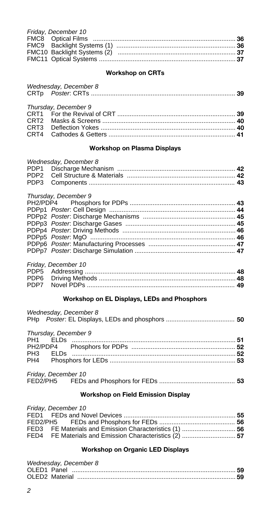| Friday, December 10 |  |
|---------------------|--|
|                     |  |
|                     |  |
|                     |  |
|                     |  |
|                     |  |

# **Workshop on CRTs**

| Wednesday, December 8 |  |
|-----------------------|--|
|                       |  |
|                       |  |

# *Thursday, December 9*

# **Workshop on Plasma Displays**

| Wednesday, December 8 |  |
|-----------------------|--|
|                       |  |
|                       |  |
|                       |  |

#### *Thursday, December 9*

| niaroaay, boooninoor o |  |
|------------------------|--|
|                        |  |
|                        |  |
|                        |  |
|                        |  |
|                        |  |
|                        |  |
|                        |  |
|                        |  |
|                        |  |

| Friday, December 10 |  |
|---------------------|--|
|                     |  |
|                     |  |
|                     |  |

# **Workshop on EL Displays, LEDs and Phosphors**

| Wednesday, December 8 |  |
|-----------------------|--|
| Thursday, December 9  |  |
|                       |  |
|                       |  |
|                       |  |
| Friday, December 10   |  |

| <b>Fliday, Deceniber TU</b> |  |
|-----------------------------|--|
| FED2/PH5                    |  |

# **Workshop on Field Emission Display**

| Friday, December 10 |  |
|---------------------|--|
|                     |  |
|                     |  |
|                     |  |
|                     |  |

# **Workshop on Organic LED Displays**

| Wednesday, December 8 |  |
|-----------------------|--|
|                       |  |
|                       |  |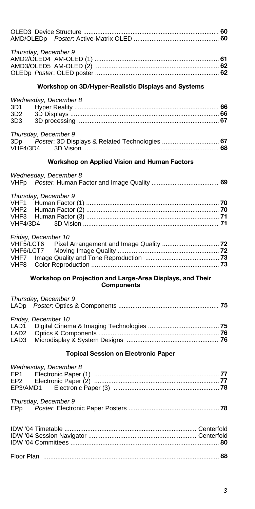| Thursday, December 9                                                                                     |  |
|----------------------------------------------------------------------------------------------------------|--|
| Workshop on 3D/Hyper-Realistic Displays and Systems                                                      |  |
| Wednesday, December 8<br>3D1<br>3D2<br>3D <sub>3</sub>                                                   |  |
| Thursday, December 9<br>Poster: 3D Displays & Related Technologies  67<br>3Dp<br><b>VHF4/3D4</b>         |  |
| Workshop on Applied Vision and Human Factors                                                             |  |
| Wednesday, December 8<br><b>VHFp</b>                                                                     |  |
| Thursday, December 9<br>VHF1<br>VHF2<br>VHF3<br><b>VHF4/3D4</b>                                          |  |
| Friday, December 10<br>Pixel Arrangement and Image Quality  72<br>VHF5/LCT6<br>VHF6/LCT7<br>VHF7<br>VHF8 |  |
| Workshop on Projection and Large-Area Displays, and Their<br><b>Components</b>                           |  |
| Thursday, December 9<br>LADp                                                                             |  |
| Friday, December 10<br>LAD <sub>1</sub><br>LAD <sub>2</sub><br>LAD <sub>3</sub>                          |  |
| <b>Topical Session on Electronic Paper</b>                                                               |  |
| Wednesday, December 8<br>EP1<br>EP <sub>2</sub><br>EP3/AMD1                                              |  |
| Thursday, December 9<br>EPp                                                                              |  |
|                                                                                                          |  |
|                                                                                                          |  |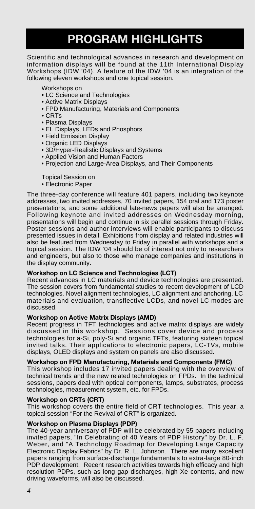# **PROGRAM HIGHLIGHTS**

Scientific and technological advances in research and development on information displays will be found at the 11th International Display Workshops (IDW '04). A feature of the IDW '04 is an integration of the following eleven workshops and one topical session.

Workshops on

- LC Science and Technologies
- Active Matrix Displays
- FPD Manufacturing, Materials and Components
- CRTs
- Plasma Displays
- EL Displays, LEDs and Phosphors
- Field Emission Display
- Organic LED Displays
- 3D/Hyper-Realistic Displays and Systems
- Applied Vision and Human Factors
- Projection and Large-Area Displays, and Their Components

# Topical Session on

• Electronic Paper

The three-day conference will feature 401 papers, including two keynote addresses, two invited addresses, 70 invited papers, 154 oral and 173 poster presentations, and some additional late-news papers will also be arranged. Following keynote and invited addresses on Wednesday morning, presentations will begin and continue in six parallel sessions through Friday. Poster sessions and author interviews will enable participants to discuss presented issues in detail. Exhibitions from display and related industries will also be featured from Wednesday to Friday in parallel with workshops and a topical session. The IDW '04 should be of interest not only to researchers and engineers, but also to those who manage companies and institutions in the display community.

# **Workshop on LC Science and Technologies (LCT)**

Recent advances in LC materials and device technologies are presented. The session covers from fundamental studies to recent development of LCD technologies. Novel alignment technologies, LC alignment and anchoring, LC materials and evaluation, transflective LCDs, and novel LC modes are discussed.

# **Workshop on Active Matrix Displays (AMD)**

Recent progress in TFT technologies and active matrix displays are widely discussed in this workshop. Sessions cover device and process technologies for a-Si, poly-Si and organic TFTs, featuring sixteen topical invited talks. Their applications to electronic papers, LC-TVs, mobile displays, OLED displays and system on panels are also discussed.

# **Workshop on FPD Manufacturing, Materials and Components (FMC)**

This workshop includes 17 invited papers dealing with the overview of technical trends and the new related technologies on FPDs. In the technical sessions, papers deal with optical components, lamps, substrates, process technologies, measurement system, etc. for FPDs.

# **Workshop on CRTs (CRT)**

This workshop covers the entire field of CRT technologies. This year, a topical session "For the Revival of CRT" is organized.

# **Workshop on Plasma Displays (PDP)**

The 40-year anniversary of PDP will be celebrated by 55 papers including invited papers, "In Celebrating of 40 Years of PDP History" by Dr. L. F. Weber, and "A Technology Roadmap for Developing Large Capacity Electronic Display Fabrics" by Dr. R. L. Johnson. There are many excellent papers ranging from surface-discharge fundamentals to extra-large 80-inch PDP development. Recent research activities towards high efficacy and high resolution PDPs, such as long gap discharges, high Xe contents, and new driving waveforms, will also be discussed.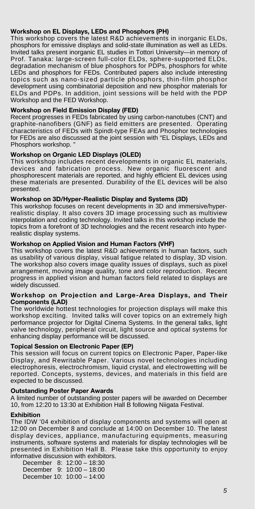# **Workshop on EL Displays, LEDs and Phosphors (PH)**

This workshop covers the latest R&D achievements in inorganic ELDs, phosphors for emissive displays and solid-state illumination as well as LEDs. Invited talks present inorganic EL studies in Tottori University—in memory of Prof. Tanaka: large-screen full-color ELDs, sphere-supported ELDs, degradation mechanism of blue phosphors for PDPs, phosphors for white LEDs and phosphors for FEDs. Contributed papers also include interesting topics such as nano-sized particle phosphors, thin-film phosphor development using combinatorial deposition and new phosphor materials for ELDs and PDPs. In addition, joint sessions will be held with the PDP Workshop and the FED Workshop.

# **Workshop on Field Emission Display (FED)**

Recent progresses in FEDs fabricated by using carbon-nanotubes (CNT) and graphite-nanofibers (GNF) as field emitters are presented. Operating characteristics of FEDs with Spindt-type FEAs and Phosphor technologies for FEDs are also discussed at the joint session with "EL Displays, LEDs and Phosphors workshop.

# **Workshop on Organic LED Displays (OLED)**

This workshop includes recent developments in organic EL materials, devices and fabrication process. New organic fluorescent and phosphorescent materials are reported, and highly efficient EL devices using these materials are presented. Durability of the EL devices will be also presented.

# **Workshop on 3D/Hyper-Realistic Display and Systems (3D)**

This workshop focuses on recent developments in 3D and immersive/hyperrealistic display. It also covers 3D image processing such as multiview interpolation and coding technology. Invited talks in this workshop include the topics from a forefront of 3D technologies and the recent research into hyperrealistic display systems.

# **Workshop on Applied Vision and Human Factors (VHF)**

This workshop covers the latest R&D achievements in human factors, such as usability of various display, visual fatigue related to display, 3D vision. The workshop also covers image quality issues of displays, such as pixel arrangement, moving image quality, tone and color reproduction. Recent progress in applied vision and human factors field related to displays are widely discussed.

# **Workshop on Projection and Large-Area Displays, and Their Components (LAD)**

The worldwide hottest technologies for projection displays will make this workshop exciting. Invited talks will cover topics on an extremely high performance projector for Digital Cinema Systems. In the general talks, light valve technology, peripheral circuit, light source and optical systems for enhancing display performance will be discussed.

# **Topical Session on Electronic Paper (EP)**

This session will focus on current topics on Electronic Paper, Paper-like Display, and Rewritable Paper. Various novel technologies including electrophoresis, electrochromism, liquid crystal, and electrowetting will be reported. Concepts, systems, devices, and materials in this field are expected to be discussed.

# **Outstanding Poster Paper Awards**

A limited number of outstanding poster papers will be awarded on December 10, from 12:20 to 13:30 at Exhibition Hall B following Niigata Festival.

# **Exhibition**

The IDW '04 exhibition of display components and systems will open at 12:00 on December 8 and conclude at 14:00 on December 10. The latest display devices, appliance, manufacturing equipments, measuring instruments, software systems and materials for display technologies will be presented in Exhibition Hall B. Please take this opportunity to enjoy informative discussion with exhibitors.

December 8: 12:00 – 18:30 December 9: 10:00 – 18:00 December 10: 10:00 – 14:00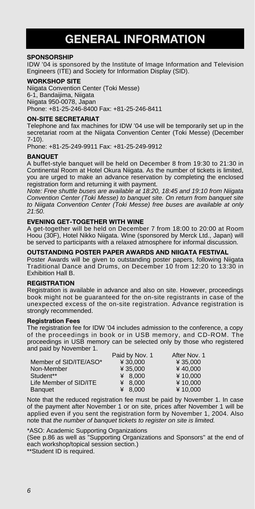# **GENERAL INFORMATION**

# **SPONSORSHIP**

IDW '04 is sponsored by the Institute of Image Information and Television Engineers (ITE) and Society for Information Display (SID).

#### **WORKSHOP SITE**

Niigata Convention Center (Toki Messe) 6-1, Bandaijima, Niigata Niigata 950-0078, Japan Phone: +81-25-246-8400 Fax: +81-25-246-8411

# **ON-SITE SECRETARIAT**

Telephone and fax machines for IDW '04 use will be temporarily set up in the secretariat room at the Niigata Convention Center (Toki Messe) (December 7-10).

Phone: +81-25-249-9911 Fax: +81-25-249-9912

# **BANQUET**

A buffet-style banquet will be held on December 8 from 19:30 to 21:30 in Continental Room at Hotel Okura Niigata. As the number of tickets is limited, you are urged to make an advance reservation by completing the enclosed registration form and returning it with payment.

*Note: Free shuttle buses are available at 18:20, 18:45 and 19:10 from Niigata Convention Center (Toki Messe) to banquet site. On return from banquet site to Niigata Convention Center (Toki Messe) free buses are available at only 21:50.*

# **EVENING GET-TOGETHER WITH WINE**

A get-together will be held on December 7 from 18:00 to 20:00 at Room Hoou (30F), Hotel Nikko Niigata. Wine (sponsored by Merck Ltd., Japan) will be served to participants with a relaxed atmosphere for informal discussion.

# **OUTSTANDING POSTER PAPER AWARDS AND NIIGATA FESTIVAL**

Poster Awards will be given to outstanding poster papers, following Niigata Traditional Dance and Drums, on December 10 from 12:20 to 13:30 in Exhibition Hall B.

#### **REGISTRATION**

Registration is available in advance and also on site. However, proceedings book might not be guaranteed for the on-site registrants in case of the unexpected excess of the on-site registration. Advance registration is strongly recommended.

# **Registration Fees**

The registration fee for IDW '04 includes admission to the conference, a copy of the proceedings in book or in USB memory, and CD-ROM. The proceedings in USB memory can be selected only by those who registered and paid by November 1.

|                        | Paid by Nov. 1 | After Nov. 1 |
|------------------------|----------------|--------------|
| Member of SID/ITE/ASO* | ¥ 30.000       | ¥ 35,000     |
| Non-Member             | ¥ 35,000       | ¥40.000      |
| Student**              | 48.000         | ¥10.000      |
| Life Member of SID/ITE | ¥ 8.000        | ¥10.000      |
| <b>Banquet</b>         | ¥ 8.000        | ¥10.000      |

Note that the reduced registration fee must be paid by November 1. In case of the payment after November 1 or on site, prices after November 1 will be applied even if you sent the registration form by November 1, 2004. Also note that *the number of banquet tickets to register on site is limited.*

\*ASO: Academic Supporting Organizations

(See p.86 as well as "Supporting Organizations and Sponsors" at the end of each workshop/topical session section.)

\*\*Student ID is required.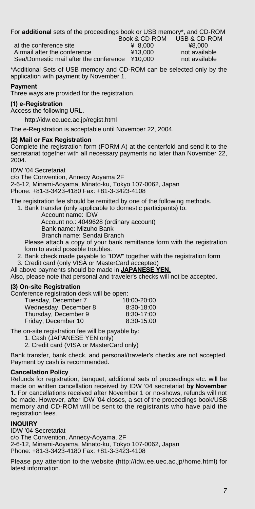For **additional** sets of the proceedings book or USB memory\*, and CD-ROM Book & CD-ROM USB & CD-ROM

at the conference site  $\frac{4}{13,000}$   $\frac{48,000}{13,000}$   $\frac{48,000}{13,000}$  not availa Airmail after the conference  $\frac{413,000}{2}$  not available Sea/Domestic mail after the conference ¥10,000 not available

\*Additional Sets of USB memory and CD-ROM can be selected only by the application with payment by November 1.

# **Payment**

Three ways are provided for the registration.

# **(1) e-Registration**

Access the following URL.

http://idw.ee.uec.ac.jp/regist.html

The e-Registration is acceptable until November 22, 2004.

# **(2) Mail or Fax Registration**

Complete the registration form (FORM A) at the centerfold and send it to the secretariat together with all necessary payments no later than November 22, 2004.

IDW '04 Secretariat

c/o The Convention, Annecy Aoyama 2F 2-6-12, Minami-Aoyama, Minato-ku, Tokyo 107-0062, Japan Phone: +81-3-3423-4180 Fax: +81-3-3423-4108

The registration fee should be remitted by one of the following methods.

1. Bank transfer (only applicable to domestic participants) to: Account name: IDW

Account no.: 4049628 (ordinary account)

Bank name: Mizuho Bank

Branch name: Sendai Branch

Please attach a copy of your bank remittance form with the registration form to avoid possible troubles.

- 2. Bank check made payable to "IDW" together with the registration form
- 3. Credit card (only VISA or MasterCard accepted)

All above payments should be made in **JAPANESE YEN.**

Also, please note that personal and traveler's checks will not be accepted.

# **(3) On-site Registration**

Conference registration desk will be open:

| Tuesday, December 7   | 18:00-20:00 |
|-----------------------|-------------|
| Wednesday, December 8 | 8:30-18:00  |
| Thursday, December 9  | 8:30-17:00  |
| Friday, December 10   | 8:30-15:00  |

The on-site registration fee will be payable by:

- 1. Cash (JAPANESE YEN only)
- 2. Credit card (VISA or MasterCard only)

Bank transfer, bank check, and personal/traveler's checks are not accepted. Payment by cash is recommended.

# **Cancellation Policy**

Refunds for registration, banquet, additional sets of proceedings etc. will be made on written cancellation received by IDW '04 secretariat **by November 1.** For cancellations received after November 1 or no-shows, refunds will not be made. However, after IDW '04 closes, a set of the proceedings book/USB memory and CD-ROM will be sent to the registrants who have paid the registration fees.

# **INQUIRY**

IDW '04 Secretariat c/o The Convention, Annecy-Aoyama, 2F 2-6-12, Minami-Aoyama, Minato-ku, Tokyo 107-0062, Japan Phone: +81-3-3423-4180 Fax: +81-3-3423-4108

Please pay attention to the website (http://idw.ee.uec.ac.jp/home.html) for latest information.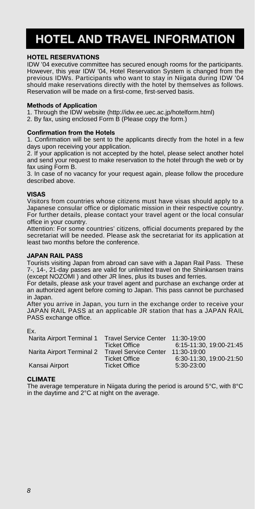# **HOTEL AND TRAVEL INFORMATION**

# **HOTEL RESERVATIONS**

IDW '04 executive committee has secured enough rooms for the participants. However, this year IDW '04, Hotel Reservation System is changed from the previous IDWs. Participants who want to stay in Niigata during IDW '04 should make reservations directly with the hotel by themselves as follows. Reservation will be made on a first-come, first-served basis.

# **Methods of Application**

1. Through the IDW website (http://idw.ee.uec.ac.jp/hotelform.html)

2. By fax, using enclosed Form B (Please copy the form.)

# **Confirmation from the Hotels**

1. Confirmation will be sent to the applicants directly from the hotel in a few days upon receiving your application.

2. If your application is not accepted by the hotel, please select another hotel and send your request to make reservation to the hotel through the web or by fax using Form B.

3. In case of no vacancy for your request again, please follow the procedure described above.

# **VISAS**

Visitors from countries whose citizens must have visas should apply to a Japanese consular office or diplomatic mission in their respective country. For further details, please contact your travel agent or the local consular office in your country.

Attention: For some countries' citizens, official documents prepared by the secretariat will be needed. Please ask the secretariat for its application at least two months before the conference.

# **JAPAN RAIL PASS**

Tourists visiting Japan from abroad can save with a Japan Rail Pass. These 7-, 14-, 21-day passes are valid for unlimited travel on the Shinkansen trains (except NOZOMI ) and other JR lines, plus its buses and ferries.

For details, please ask your travel agent and purchase an exchange order at an authorized agent before coming to Japan. This pass cannot be purchased in Japan.

After you arrive in Japan, you turn in the exchange order to receive your JAPAN RAIL PASS at an applicable JR station that has a JAPAN RAIL PASS exchange office.

Ex.

| Narita Airport Terminal 1 | <b>Travel Service Center</b> | 11:30-19:00             |
|---------------------------|------------------------------|-------------------------|
|                           | <b>Ticket Office</b>         | 6:15-11:30. 19:00-21:45 |
| Narita Airport Terminal 2 | <b>Travel Service Center</b> | 11:30-19:00             |
|                           | <b>Ticket Office</b>         | 6:30-11:30. 19:00-21:50 |
| Kansai Airport            | <b>Ticket Office</b>         | $5:30-23:00$            |

# **CLIMATE**

The average temperature in Niigata during the period is around 5°C, with 8°C in the daytime and 2°C at night on the average.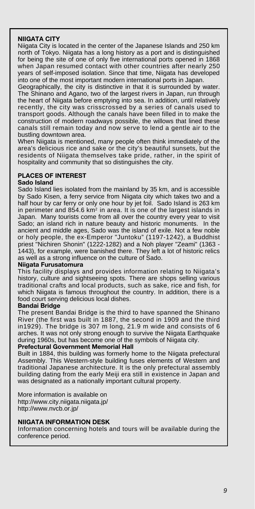# **NIIGATA CITY**

Niigata City is located in the center of the Japanese Islands and 250 km north of Tokyo. Niigata has a long history as a port and is distinguished for being the site of one of only five international ports opened in 1868 when Japan resumed contact with other countries after nearly 250 years of self-imposed isolation. Since that time, Niigata has developed into one of the most important modern international ports in Japan.

Geographically, the city is distinctive in that it is surrounded by water. The Shinano and Agano, two of the largest rivers in Japan, run through the heart of Niigata before emptying into sea. In addition, until relatively recently, the city was crisscrossed by a series of canals used to transport goods. Although the canals have been filled in to make the construction of modern roadways possible, the willows that lined these canals still remain today and now serve to lend a gentle air to the bustling downtown area.

When Niigata is mentioned, many people often think immediately of the area's delicious rice and sake or the city's beautiful sunsets, but the residents of Niigata themselves take pride, rather, in the spirit of hospitality and community that so distinguishes the city.

# **PLACES OF INTEREST**

# **Sado Island**

Sado Island lies isolated from the mainland by 35 km, and is accessible by Sado Kisen, a ferry service from Niigata city which takes two and a half hour by car ferry or only one hour by jet foil. Sado Island is 263 km in perimeter and 854.6  $km<sup>2</sup>$  in area. It is one of the largest islands in Japan. Many tourists come from all over the country every year to visit Sado; an island rich in nature beauty and historic monuments. In the ancient and middle ages, Sado was the island of exile. Not a few noble or holy people, the ex-Emperor "Juntoku" (1197-1242), a Buddhist priest "Nichiren Shonin" (1222-1282) and a Noh player "Zeami" (1363 - 1443), for example, were banished there. They left a lot of historic relics as well as a strong influence on the culture of Sado.

# **Niigata Furusatomura**

This facility displays and provides information relating to Niigata's history, culture and sightseeing spots. There are shops selling various traditional crafts and local products, such as sake, rice and fish, for which Niigata is famous throughout the country. In addition, there is a food court serving delicious local dishes.

#### **Bandai Bridge**

The present Bandai Bridge is the third to have spanned the Shinano River (the first was built in 1887, the second in 1909 and the third in1929). The bridge is 307 m long, 21.9 m wide and consists of 6 arches. It was not only strong enough to survive the Niigata Earthquake during 1960s, but has become one of the symbols of Niigata city.

### **Prefectural Government Memorial Hall**

Built in 1884, this building was formerly home to the Niigata prefectural Assembly. This Western-style building fuses elements of Western and traditional Japanese architecture. It is the only prefectural assembly building dating from the early Meiji era still in existence in Japan and was designated as a nationally important cultural property.

More information is available on http://www.city.niigata.niigata.jp/ http://www.nvcb.or.jp/

# **NIIGATA INFORMATION DESK**

Information concerning hotels and tours will be available during the conference period.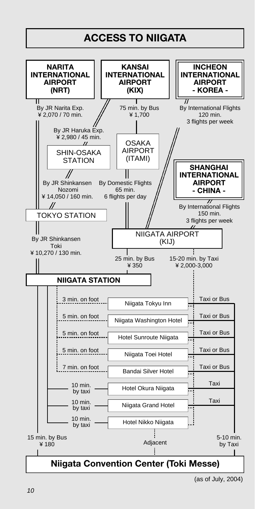

<sup>(</sup>as of July, 2004)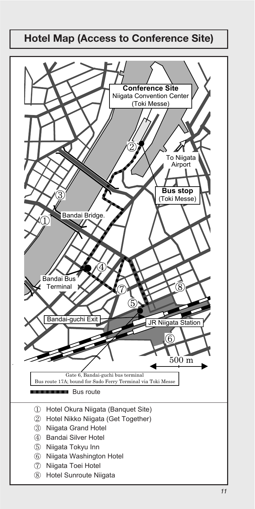# **Hotel Map (Access to Conference Site)**

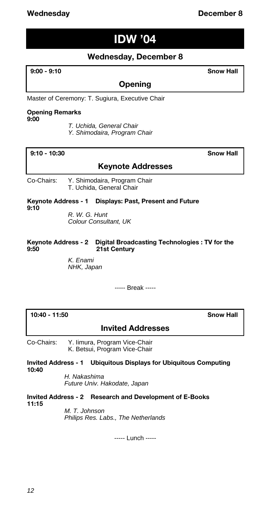# **IDW '04**

# **Wednesday, December 8**

**9:00 - 9:10 Snow Hall**

# **Opening**

Master of Ceremony: T. Sugiura, Executive Chair

# **Opening Remarks**

**9:00**

- *T. Uchida, General Chair*
- *Y. Shimodaira, Program Chair*

# **9:10 - 10:30 Snow Hall**

# **Keynote Addresses**

Co-Chairs: Y. Shimodaira, Program Chair T. Uchida, General Chair

**Keynote Address - 1 Displays: Past, Present and Future 9:10**

*R. W. G. Hunt Colour Consultant, UK*

**Keynote Address - 2 Digital Broadcasting Technologies : TV for the 9:50 21st Century**

> *K. Enami NHK, Japan*

> > ----- Break -----

**10:40 - 11:50 Snow Hall**

# **Invited Addresses**

Co-Chairs: Y. Iimura, Program Vice-Chair K. Betsui, Program Vice-Chair

**Invited Address - 1 Ubiquitous Displays for Ubiquitous Computing 10:40**

*H. Nakashima Future Univ. Hakodate, Japan*

**Invited Address - 2 Research and Development of E-Books 11:15**

> *M. T. Johnson Philips Res. Labs., The Netherlands*

> > ----- Lunch -----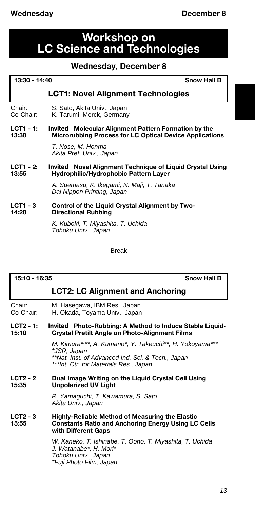# **Workshop on LC Science and Technologies**

# **Wednesday, December 8**

| 13:30 - 14:40            | <b>Snow Hall B</b>                                                                                                            |
|--------------------------|-------------------------------------------------------------------------------------------------------------------------------|
|                          | <b>LCT1: Novel Alignment Technologies</b>                                                                                     |
| Chair:<br>Co-Chair:      | S. Sato, Akita Univ., Japan<br>K. Tarumi, Merck, Germany                                                                      |
| $LCT1 - 1:$<br>13:30     | <b>Invited</b> Molecular Alignment Pattern Formation by the<br><b>Microrubbing Process for LC Optical Device Applications</b> |
|                          | T. Nose, M. Honma<br>Akita Pref. Univ., Japan                                                                                 |
| $LCT1 - 2:$<br>13:55     | <i>Invited</i> Novel Alignment Technique of Liquid Crystal Using<br>Hydrophilic/Hydrophobic Pattern Layer                     |
|                          | A. Suemasu, K. Ikegami, N. Maji, T. Tanaka<br>Dai Nippon Printing, Japan                                                      |
| <b>LCT1 - 3</b><br>14:20 | Control of the Liquid Crystal Alignment by Two-<br><b>Directional Rubbing</b>                                                 |
|                          | K. Kuboki, T. Miyashita, T. Uchida<br>Tohoku Univ., Japan                                                                     |

----- Break -----

**15:10 - 16:35 Snow Hall B**

|                     | <b>LCT2: LC Alignment and Anchoring</b>                                                                                                                                |
|---------------------|------------------------------------------------------------------------------------------------------------------------------------------------------------------------|
| Chair:<br>Co-Chair: | M. Hasegawa, IBM Res., Japan<br>H. Okada, Toyama Univ., Japan                                                                                                          |
| LCT2 - 1:<br>15:10  | <i>Invited</i> Photo-Rubbing: A Method to Induce Stable Liquid-<br><b>Crystal Pretilt Angle on Photo-Alignment Films</b>                                               |
|                     | M. Kimura*,**, A. Kumano*, Y. Takeuchi**, H. Yokoyama***<br>*JSR, Japan<br>**Nat. Inst. of Advanced Ind. Sci. & Tech., Japan<br>***Int. Ctr. for Materials Res., Japan |
| LCT2 - 2<br>15.35   | Dual Image Writing on the Liquid Crystal Cell Using<br><b>Unpolarized UV Light</b>                                                                                     |
|                     | R. Yamaquchi, T. Kawamura, S. Sato<br>Akita Univ., Japan                                                                                                               |
| LCT2 - 3<br>15:55   | Highly-Reliable Method of Measuring the Elastic<br><b>Constants Ratio and Anchoring Energy Using LC Cells</b><br>with Different Gaps                                   |
|                     | W. Kaneko, T. Ishinabe, T. Oono, T. Miyashita, T. Uchida<br>J. Watanabe*, H. Mori*<br>Tohoku Univ., Japan<br>*Fuji Photo Film, Japan                                   |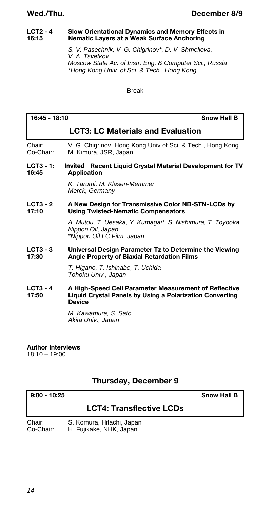# **LCT2 - 4 Slow Orientational Dynamics and Memory Effects in 16:15 Nematic Layers at a Weak Surface Anchoring**

*S. V. Pasechnik, V. G. Chigrinov\*, D. V. Shmeliova, V. A. Tsvetkov Moscow State Ac. of Instr. Eng. & Computer Sci., Russia \*Hong Kong Univ. of Sci. & Tech., Hong Kong*

----- Break -----

# **16:45 - 18:10 Snow Hall B LCT3: LC Materials and Evaluation** Chair: V. G. Chigrinov, Hong Kong Univ of Sci. & Tech., Hong Kong<br>Co-Chair: M. Kimura. JSR. Japan M. Kimura, JSR, Japan **LCT3 - 1:** *Invited* **Recent Liquid Crystal Material Development for TV 16:45 Application** *K. Tarumi, M. Klasen-Memmer Merck, Germany* **LCT3 - 2 A New Design for Transmissive Color NB-STN-LCDs by 17:10 Using Twisted-Nematic Compensators** *A. Mutou, T. Uesaka, Y. Kumagai\*, S. Nishimura, T. Toyooka Nippon Oil, Japan \*Nippon Oil LC Film, Japan* **LCT3 - 3 Universal Design Parameter Tz to Determine the Viewing 17:30 Angle Property of Biaxial Retardation Films** *T. Higano, T. Ishinabe, T. Uchida Tohoku Univ., Japan* **LCT3 - 4 A High-Speed Cell Parameter Measurement of Reflective Liquid Crystal Panels by Using a Polarization Converting Device**

*M. Kawamura, S. Sato Akita Univ., Japan*

# **Author Interviews**

18:10 – 19:00

# **Thursday, December 9**

**9:00 - 10:25 Snow Hall B**

# **LCT4: Transflective LCDs**

| Chair:    | S. Komura, Hitachi, Japan |
|-----------|---------------------------|
| Co-Chair: | H. Fujikake, NHK, Japan   |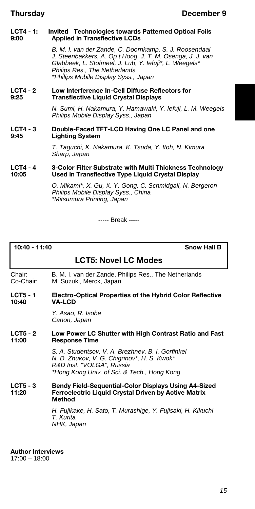# **LCT4 - 1:** *Invited* **Technologies towards Patterned Optical Foils 9:00 Applied in Transflective LCDs**

*B. M. I. van der Zande, C. Doornkamp, S. J. Roosendaal J. Steenbakkers, A. Op t Hoog, J. T. M. Osenga, J. J. van Glabbeek, L. Stofmeel, J. Lub, Y. Iefuji\*, L. Weegels\* Philips Res., The Netherlands \*Philips Mobile Display Syss., Japan*

# **LCT4 - 2 Low Interference In-Cell Diffuse Reflectors for 9:25 Transflective Liquid Crystal Displays**

*N. Sumi, H. Nakamura, Y. Hamawaki, Y. Iefuji, L. M. Weegels Philips Mobile Display Syss., Japan*

# **LCT4 - 3 Double-Faced TFT-LCD Having One LC Panel and one 9:45 Lighting System**

*T. Taguchi, K. Nakamura, K. Tsuda, Y. Itoh, N. Kimura Sharp, Japan*

# **LCT4 - 4 3-Color Filter Substrate with Multi Thickness Technology 10:05 Used in Transflective Type Liquid Crystal Display**

*O. Mikami\*, X. Gu, X. Y. Gong, C. Schmidgall, N. Bergeron Philips Mobile Display Syss., China \*Mitsumura Printing, Japan*

----- Break -----

**10:40 - 11:40 Snow Hall B**

# **LCT5: Novel LC Modes**

Chair: B. M. I. van der Zande, Philips Res., The Netherlands M. Suzuki, Merck, Japan

# **LCT5 - 1 Electro-Optical Properties of the Hybrid Color Reflective 10:40 VA-LCD**

*Y. Asao, R. Isobe Canon, Japan*

# LCT5 - 2 Low Power LC Shutter with High Contrast Ratio and Fast<br>11:00 **Besponse Time Response Time**

*S. A. Studentsov, V. A. Brezhnev, B. I. Gorfinkel N. D. Zhukov, V. G. Chigrinov\*, H. S. Kwok\* R&D Inst. "VOLGA", Russia \*Hong Kong Univ. of Sci. & Tech., Hong Kong*

**LCT5 - 3 Bendy Field-Sequential-Color Displays Using A4-Sized Ferroelectric Liquid Crystal Driven by Active Matrix Method**

> *H. Fujikake, H. Sato, T. Murashige, Y. Fujisaki, H. Kikuchi T. Kurita NHK, Japan*

**Author Interviews**

17:00 – 18:00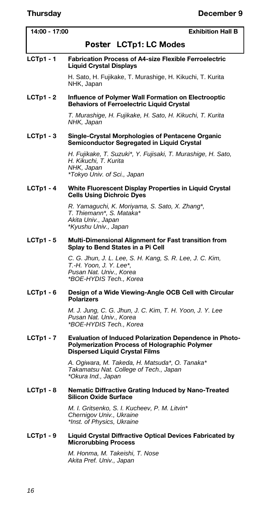| 14:00 - 17:00    | <b>Exhibition Hall B</b>                                                                                                                                 |
|------------------|----------------------------------------------------------------------------------------------------------------------------------------------------------|
|                  | Poster LCTp1: LC Modes                                                                                                                                   |
| $LCTp1 - 1$      | <b>Fabrication Process of A4-size Flexible Ferroelectric</b><br><b>Liquid Crystal Displays</b>                                                           |
|                  | H. Sato, H. Fujikake, T. Murashige, H. Kikuchi, T. Kurita<br>NHK, Japan                                                                                  |
| $LCTp1 - 2$      | Influence of Polymer Wall Formation on Electrooptic<br><b>Behaviors of Ferroelectric Liquid Crystal</b>                                                  |
|                  | T. Murashige, H. Fujikake, H. Sato, H. Kikuchi, T. Kurita<br>NHK, Japan                                                                                  |
| $LCTp1 - 3$      | Single-Crystal Morphologies of Pentacene Organic<br>Semiconductor Segregated in Liquid Crystal                                                           |
|                  | H. Fujikake, T. Suzuki*, Y. Fujisaki, T. Murashige, H. Sato,<br>H. Kikuchi, T. Kurita<br>NHK, Japan<br>*Tokyo Univ. of Sci., Japan                       |
| <b>LCTp1 - 4</b> | White Fluorescent Display Properties in Liquid Crystal<br><b>Cells Using Dichroic Dyes</b>                                                               |
|                  | R. Yamaguchi, K. Moriyama, S. Sato, X. Zhang*,<br>T. Thiemann*, S. Mataka*<br>Akita Univ., Japan<br>*Kyushu Univ., Japan                                 |
| $LCTp1 - 5$      | Multi-Dimensional Alignment for Fast transition from<br>Splay to Bend States in a Pi Cell                                                                |
|                  | C. G. Jhun, J. L. Lee, S. H. Kang, S. R. Lee, J. C. Kim,<br>T.-H. Yoon, J. Y. Lee*,<br>Pusan Nat. Univ., Korea<br>*BOE-HYDIS Tech., Korea                |
| $LCTp1 - 6$      | Design of a Wide Viewing-Angle OCB Cell with Circular<br>Polarizers                                                                                      |
|                  | M. J. Jung, C. G. Jhun, J. C. Kim, T. H. Yoon, J. Y. Lee<br>Pusan Nat. Univ., Korea<br>*BOE-HYDIS Tech., Korea                                           |
| $LCTp1 - 7$      | <b>Evaluation of Induced Polarization Dependence in Photo-</b><br>Polymerization Process of Holographic Polymer<br><b>Dispersed Liquid Crystal Films</b> |
|                  | A. Ogiwara, M. Takeda, H. Matsuda*, O. Tanaka*<br>Takamatsu Nat. College of Tech., Japan<br>*Okura Ind., Japan                                           |
| $LCTp1 - 8$      | <b>Nematic Diffractive Grating Induced by Nano-Treated</b><br><b>Silicon Oxide Surface</b>                                                               |
|                  | M. I. Gritsenko, S. I. Kucheev, P. M. Litvin*<br>Chernigov Univ., Ukraine<br>*Inst. of Physics, Ukraine                                                  |
| $LCTp1 - 9$      | Liquid Crystal Diffractive Optical Devices Fabricated by<br><b>Microrubbing Process</b>                                                                  |
|                  | M. Honma, M. Takeishi, T. Nose<br>Akita Pref. Univ., Japan                                                                                               |
|                  |                                                                                                                                                          |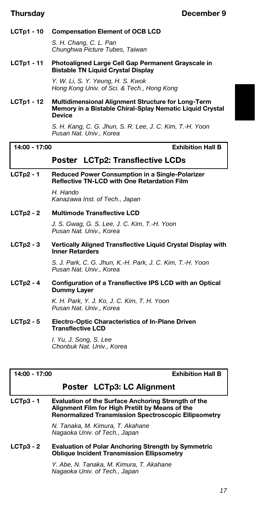# **LCTp1 - 10 Compensation Element of OCB LCD**

*S. H. Chang, C. L. Pan Chunghwa Picture Tubes, Taiwan*

**LCTp1 - 11 Photoaligned Large Cell Gap Permanent Grayscale in Bistable TN Liquid Crystal Display**

> *Y. W. Li, S. Y. Yeung, H. S. Kwok Hong Kong Univ. of Sci. & Tech., Hong Kong*

**LCTp1 - 12 Multidimensional Alignment Structure for Long-Term Memory in a Bistable Chiral-Splay Nematic Liquid Crystal Device**

> *S. H. Kang, C. G. Jhun, S. R. Lee, J. C. Kim, T.-H. Yoon Pusan Nat. Univ., Korea*

**14:00 - 17:00 Exhibition Hall B**

# *Poster* **LCTp2: Transflective LCDs**

# **LCTp2 - 1 Reduced Power Consumption in a Single-Polarizer Reflective TN-LCD with One Retardation Film**

*H. Hando Kanazawa Inst. of Tech., Japan*

# **LCTp2 - 2 Multimode Transflective LCD**

*J. S. Gwag, G. S. Lee, J. C. Kim, T.-H. Yoon Pusan Nat. Univ., Korea*

# **LCTp2 - 3 Vertically Aligned Transflective Liquid Crystal Display with Inner Retarders**

*S. J. Park, C. G. Jhun, K.-H. Park, J. C. Kim, T.-H. Yoon Pusan Nat. Univ., Korea*

# **LCTp2 - 4 Configuration of a Transflective IPS LCD with an Optical Dummy Layer**

*K. H. Park, Y. J. Ko, J. C. Kim, T. H. Yoon Pusan Nat. Univ., Korea*

**LCTp2 - 5 Electro-Optic Characteristics of In-Plane Driven Transflective LCD**

> *I. Yu, J. Song, S. Lee Chonbuk Nat. Univ., Korea*

**14:00 - 17:00 Exhibition Hall B**

# *Poster* **LCTp3: LC Alignment**

**LCTp3 - 1 Evaluation of the Surface Anchoring Strength of the Alignment Film for High Pretilt by Means of the Renormalized Transmission Spectroscopic Ellipsometry**

> *N. Tanaka, M. Kimura, T. Akahane Nagaoka Univ. of Tech., Japan*

# **LCTp3 - 2 Evaluation of Polar Anchoring Strength by Symmetric Oblique Incident Transmission Ellipsometry**

*Y. Abe, N. Tanaka, M. Kimura, T. Akahane Nagaoka Univ. of Tech., Japan*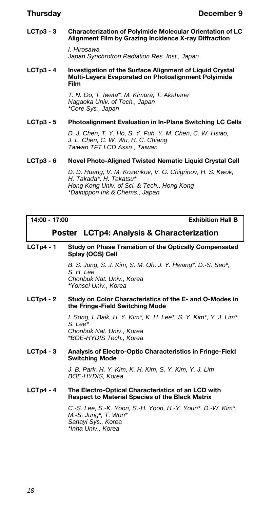# **LCTp3 - 3 Characterization of Polyimide Molecular Orientation of LC Alignment Film by Grazing Incidence X-ray Diffraction**

*I. Hirosawa Japan Synchrotron Radiation Res. Inst., Japan*

#### **LCTp3 - 4 Investigation of the Surface Alignment of Liquid Crystal Multi-Layers Evaporated on Photoalignment Polyimide Film**

*T. N. Oo, T. Iwata\*, M. Kimura, T. Akahane Nagaoka Univ. of Tech., Japan \*Core Sys., Japan*

# **LCTp3 - 5 Photoalignment Evaluation in In-Plane Switching LC Cells**

*D. J. Chen, T. Y. Ho, S. Y. Fuh, Y. M. Chen, C. W. Hsiao, J. L. Chen, C. W. Wu, H. C. Chiang Taiwan TFT LCD Assn., Taiwan*

# **LCTp3 - 6 Novel Photo-Aligned Twisted Nematic Liquid Crystal Cell**

*D. D. Huang, V. M. Kozenkov, V. G. Chigrinov, H. S. Kwok, H. Takada\*, H. Takatsu\* Hong Kong Univ. of Sci. & Tech., Hong Kong \*Dainippon Ink & Chems., Japan*

**14:00 - 17:00 Exhibition Hall B**

# *Poster* **LCTp4: Analysis & Characterization**

# **LCTp4 - 1 Study on Phase Transition of the Optically Compensated Splay (OCS) Cell**

*B. S. Jung, S. J. Kim, S. M. Oh, J. Y. Hwang\*, D.-S. Seo\*, S. H. Lee Chonbuk Nat. Univ., Korea \*Yonsei Univ., Korea*

# **LCTp4 - 2 Study on Color Characteristics of the E- and O-Modes in the Fringe-Field Switching Mode**

*I. Song, I. Baik, H. Y. Kim\*, K. H. Lee\*, S. Y. Kim\*, Y. J. Lim\*, S. Lee\* Chonbuk Nat. Univ., Korea \*BOE-HYDIS Tech., Korea*

# **LCTp4 - 3 Analysis of Electro-Optic Characteristics in Fringe-Field Switching Mode**

*J. B. Park, H. Y. Kim, K. H. Kim, S. Y. Kim, Y. J. Lim BOE-HYDIS, Korea*

# **LCTp4 - 4 The Electro-Optical Characteristics of an LCD with Respect to Material Species of the Black Matrix**

*C.-S. Lee, S.-K. Yoon, S.-H. Yoon, H.-Y. Youn\*, D.-W. Kim\*, M.-S. Jung\*, T. Won\* Sanayi Sys., Korea \*Inha Univ., Korea*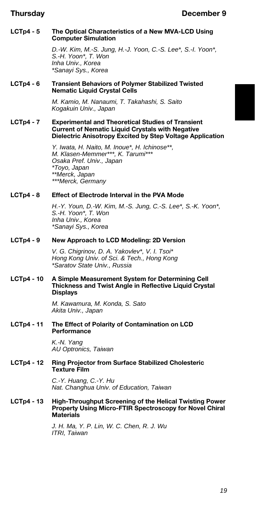# **LCTp4 - 5 The Optical Characteristics of a New MVA-LCD Using Computer Simulation**

*D.-W. Kim, M.-S. Jung, H.-J. Yoon, C.-S. Lee\*, S.-I. Yoon\*, S.-H. Yoon\*, T. Won Inha Univ., Korea \*Sanayi Sys., Korea*

# **LCTp4 - 6 Transient Behaviors of Polymer Stabilized Twisted Nematic Liquid Crystal Cells**

*M. Kamio, M. Nanaumi, T. Takahashi, S. Saito Kogakuin Univ., Japan*

# **LCTp4 - 7 Experimental and Theoretical Studies of Transient Current of Nematic Liquid Crystals with Negative Dielectric Anisotropy Excited by Step Voltage Application**

*Y. Iwata, H. Naito, M. Inoue\*, H. Ichinose\*\*, M. Klasen-Memmer\*\*\*, K. Tarumi\*\*\* Osaka Pref. Univ., Japan \*Toyo, Japan \*\*Merck, Japan \*\*\*Merck, Germany*

# **LCTp4 - 8 Effect of Electrode Interval in the PVA Mode**

*H.-Y. Youn, D.-W. Kim, M.-S. Jung, C.-S. Lee\*, S.-K. Yoon\*, S.-H. Yoon\*, T. Won Inha Univ., Korea \*Sanayi Sys., Korea*

# **LCTp4 - 9 New Approach to LCD Modeling: 2D Version**

*V. G. Chigrinov, D. A. Yakovlev\*, V. I. Tsoi\* Hong Kong Univ. of Sci. & Tech., Hong Kong \*Saratov State Univ., Russia*

### **LCTp4 - 10 A Simple Measurement System for Determining Cell Thickness and Twist Angle in Reflective Liquid Crystal Displays**

*M. Kawamura, M. Konda, S. Sato Akita Univ., Japan*

# **LCTp4 - 11 The Effect of Polarity of Contamination on LCD Performance**

*K.-N. Yang AU Optronics, Taiwan*

# **LCTp4 - 12 Ring Projector from Surface Stabilized Cholesteric Texture Film**

*C.-Y. Huang, C.-Y. Hu Nat. Changhua Univ. of Education, Taiwan*

# **LCTp4 - 13 High-Throughput Screening of the Helical Twisting Power Property Using Micro-FTIR Spectroscopy for Novel Chiral Materials**

*J. H. Ma, Y. P. Lin, W. C. Chen, R. J. Wu ITRI, Taiwan*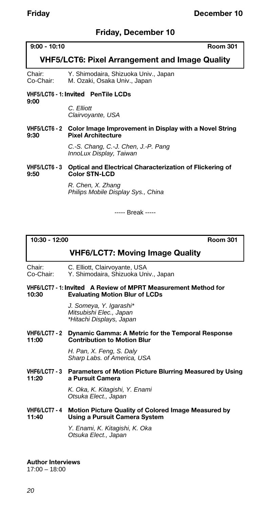# **Friday, December 10**

# **9:00 - 10:10 Room 301**

# **VHF5/LCT6: Pixel Arrangement and Image Quality**

Chair: Y. Shimodaira, Shizuoka Univ., Japan M. Ozaki, Osaka Univ., Japan

#### **VHF5/LCT6 - 1:** *Invited* **PenTile LCDs 9:00**

*C. Elliott Clairvoyante, USA*

# **VHF5/LCT6 - 2 Color Image Improvement in Display with a Novel String Pixel Architecture**

*C.-S. Chang, C.-J. Chen, J.-P. Pang InnoLux Display, Taiwan*

# **VHF5/LCT6 - 3 Optical and Electrical Characterization of Flickering of 9:50 Color STN-LCD**

*R. Chen, X. Zhang Philips Mobile Display Sys., China*

----- Break -----

**10:30 - 12:00 Room 301**

# **VHF6/LCT7: Moving Image Quality**

Chair: C. Elliott, Clairvoyante, USA<br>Co-Chair: Y. Shimodaira, Shizuoka Un Y. Shimodaira, Shizuoka Univ., Japan

# **VHF6/LCT7 - 1:** *Invited* **A Review of MPRT Measurement Method for Evaluating Motion Blur of LCDs**

*J. Someya, Y. Igarashi\* Mitsubishi Elec., Japan \*Hitachi Displays, Japan*

#### **VHF6/LCT7 - 2 Dynamic Gamma: A Metric for the Temporal Response Contribution to Motion Blur**

*H. Pan, X. Feng, S. Daly Sharp Labs. of America, USA*

# **VHF6/LCT7 - 3 Parameters of Motion Picture Blurring Measured by Using 11:20 a Pursuit Camera**

*K. Oka, K. Kitagishi, Y. Enami Otsuka Elect., Japan*

# **VHF6/LCT7 - 4 Motion Picture Quality of Colored Image Measured by 11:40 Using a Pursuit Camera System**

*Y. Enami, K. Kitagishi, K. Oka Otsuka Elect., Japan*

**Author Interviews** 17:00 – 18:00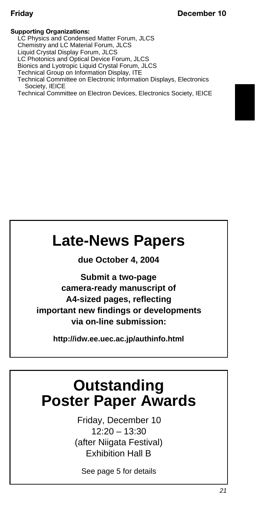# **Supporting Organizations:**

LC Physics and Condensed Matter Forum, JLCS Chemistry and LC Material Forum, JLCS Liquid Crystal Display Forum, JLCS LC Photonics and Optical Device Forum, JLCS Bionics and Lyotropic Liquid Crystal Forum, JLCS Technical Group on Information Display, ITE Technical Committee on Electronic Information Displays, Electronics Society, IEICE Technical Committee on Electron Devices, Electronics Society, IEICE

# **Late-News Papers**

**due October 4, 2004**

**Submit a two-page camera-ready manuscript of A4-sized pages, reflecting important new findings or developments via on-line submission:**

**http://idw.ee.uec.ac.jp/authinfo.html** 

# **Outstanding Poster Paper Awards**

Friday, December 10 12:20 – 13:30 (after Niigata Festival) Exhibition Hall B

See page 5 for details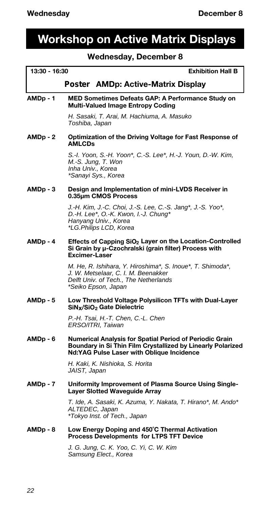# **Workshop on Active Matrix Displays**

# **Wednesday, December 8**

# **13:30 - 16:30 Exhibition Hall B**

# *Poster* **AMDp: Active-Matrix Display**

## **AMDp - 1 MED Sometimes Defeats GAP: A Performance Study on Multi-Valued Image Entropy Coding**

*H. Sasaki, T. Arai, M. Hachiuma, A. Masuko Toshiba, Japan*

**AMDp - 2 Optimization of the Driving Voltage for Fast Response of AMLCDs**

> *S.-I. Yoon, S.-H. Yoon\*, C.-S. Lee\*, H.-J. Youn, D.-W. Kim, M.-S. Jung, T. Won Inha Univ., Korea \*Sanayi Sys., Korea*

### **AMDp - 3 Design and Implementation of mini-LVDS Receiver in 0.35µm CMOS Process**

*J.-H. Kim, J.-C. Choi, J.-S. Lee, C.-S. Jang\*, J.-S. Yoo\*, D.-H. Lee\*, O.-K. Kwon, I.-J. Chung\* Hanyang Univ., Korea \*LG.Philips LCD, Korea*

#### **AMDp - 4 Effects of Capping SiO<sup>2</sup> Layer on the Location-Controlled Si Grain by µ-Czochralski (grain filter) Process with Excimer-Laser**

*M. He, R. Ishihara, Y. Hiroshima\*, S. Inoue\*, T. Shimoda\*, J. W. Metselaar, C. I. M. Beenakker Delft Univ. of Tech., The Netherlands \*Seiko Epson, Japan*

#### **AMDp - 5 Low Threshold Voltage Polysilicon TFTs with Dual-Layer SiNx/SiO<sup>2</sup> Gate Dielectric**

*P.-H. Tsai, H.-T. Chen, C.-L. Chen ERSO/ITRI, Taiwan*

#### **AMDp - 6 Numerical Analysis for Spatial Period of Periodic Grain Boundary in Si Thin Film Crystallized by Linearly Polarized Nd:YAG Pulse Laser with Oblique Incidence**

*H. Kaki, K. Nishioka, S. Horita JAIST, Japan*

#### **AMDp - 7 Uniformity Improvement of Plasma Source Using Single-Layer Slotted Waveguide Array**

*T. Ide, A. Sasaki, K. Azuma, Y. Nakata, T. Hirano\*, M. Ando\* ALTEDEC, Japan \*Tokyo Inst. of Tech., Japan*

#### **AMDp - 8 Low Energy Doping and 450˚C Thermal Activation Process Developments for LTPS TFT Device**

*J. G. Jung, C. K. Yoo, C. Yi, C. W. Kim Samsung Elect., Korea*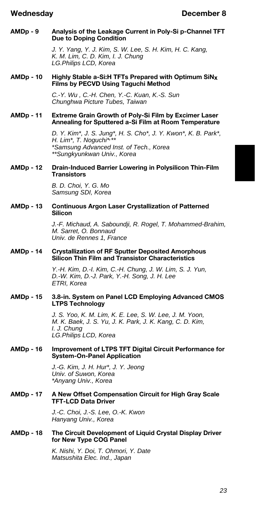## **AMDp - 9 Analysis of the Leakage Current in Poly-Si p-Channel TFT Due to Doping Condition**

*J. Y. Yang, Y. J. Kim, S. W. Lee, S. H. Kim, H. C. Kang, K. M. Lim, C. D. Kim, I. J. Chung LG.Philips LCD, Korea*

## **AMDp - 10 Highly Stable a-Si:H TFTs Prepared with Optimum SiNx Films by PECVD Using Taguchi Method**

*C.-Y. Wu , C.-H. Chen, Y.-C. Kuan, K.-S. Sun Chunghwa Picture Tubes, Taiwan*

# **AMDp - 11 Extreme Grain Growth of Poly-Si Film by Excimer Laser Annealing for Sputtered a-Si Film at Room Temperature**

*D. Y. Kim\*, J. S. Jung\*, H. S. Cho\*, J. Y. Kwon\*, K. B. Park\*, H. Lim\*, T. Noguchi\*, \*\* \*Samsung Advanced Inst. of Tech., Korea \*\*Sungkyunkwan Univ., Korea*

# **AMDp - 12 Drain-Induced Barrier Lowering in Polysilicon Thin-Film Transistors**

*B. D. Choi, Y. G. Mo Samsung SDI, Korea*

# **AMDp - 13 Continuous Argon Laser Crystallization of Patterned Silicon**

*J.-F. Michaud, A. Saboundji, R. Rogel, T. Mohammed-Brahim, M. Sarret, O. Bonnaud Univ. de Rennes 1, France*

# **AMDp - 14 Crystallization of RF Sputter Deposited Amorphous Silicon Thin Film and Transistor Characteristics**

*Y.-H. Kim, D.-I. Kim, C.-H. Chung, J. W. Lim, S. J. Yun, D.-W. Kim, D.-J. Park, Y.-H. Song, J. H. Lee ETRI, Korea*

# **AMDp - 15 3.8-in. System on Panel LCD Employing Advanced CMOS LTPS Technology**

*J. S. Yoo, K. M. Lim, K. E. Lee, S. W. Lee, J. M. Yoon, M. K. Baek, J. S. Yu, J. K. Park, J. K. Kang, C. D. Kim, I. J. Chung LG.Philips LCD, Korea*

# **AMDp - 16 Improvement of LTPS TFT Digital Circuit Performance for System-On-Panel Application**

*J.-G. Kim, J. H. Hur\*, J. Y. Jeong Univ. of Suwon, Korea \*Anyang Univ., Korea*

#### **AMDp - 17 A New Offset Compensation Circuit for High Gray Scale TFT-LCD Data Driver**

*J.-C. Choi, J.-S. Lee, O.-K. Kwon Hanyang Univ., Korea*

# **AMDp - 18 The Circuit Development of Liquid Crystal Display Driver for New Type COG Panel**

*K. Nishi, Y. Doi, T. Ohmori, Y. Date Matsushita Elec. Ind., Japan*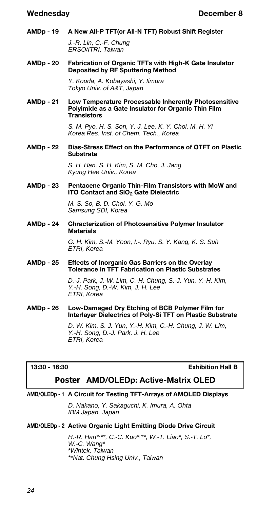**AMDp - 19 A New All-P TFT(or All-N TFT) Robust Shift Register**

*J.-R. Lin, C.-F. Chung ERSO/ITRI, Taiwan*

**AMDp - 20 Fabrication of Organic TFTs with High-K Gate Insulator Deposited by RF Sputtering Method**

> *Y. Kouda, A. Kobayashi, Y. Iimura Tokyo Univ. of A&T, Japan*

**AMDp - 21 Low Temperature Processable Inherently Photosensitive Polyimide as a Gate Insulator for Organic Thin Film Transistors**

> *S. M. Pyo, H. S. Son, Y. J. Lee, K. Y. Choi, M. H. Yi Korea Res. Inst. of Chem. Tech., Korea*

**AMDp - 22 Bias-Stress Effect on the Performance of OTFT on Plastic Substrate**

> *S. H. Han, S. H. Kim, S. M. Cho, J. Jang Kyung Hee Univ., Korea*

**AMDp - 23 Pentacene Organic Thin-Film Transistors with MoW and ITO Contact and SiO<sup>2</sup> Gate Dielectric**

> *M. S. So, B. D. Choi, Y. G. Mo Samsung SDI, Korea*

**AMDp - 24 Chracterization of Photosensitive Polymer Insulator Materials**

> *G. H. Kim, S.-M. Yoon, I.-. Ryu, S. Y. Kang, K. S. Suh ETRI, Korea*

**AMDp - 25 Effects of Inorganic Gas Barriers on the Overlay Tolerance in TFT Fabrication on Plastic Substrates**

> *D.-J. Park, J.-W. Lim, C.-H. Chung, S.-J. Yun, Y.-H. Kim, Y.-H. Song, D.-W. Kim, J. H. Lee ETRI, Korea*

**AMDp - 26 Low-Damaged Dry Etching of BCB Polymer Film for Interlayer Dielectrics of Poly-Si TFT on Plastic Substrate**

> *D. W. Kim, S. J. Yun, Y.-H. Kim, C.-H. Chung, J. W. Lim, Y.-H. Song, D.-J. Park, J. H. Lee ETRI, Korea*

**13:30 - 16:30 Exhibition Hall B**

# *Poster* **AMD/OLEDp: Active-Matrix OLED**

# **AMD/OLEDp - 1 A Circuit for Testing TFT-Arrays of AMOLED Displays**

*D. Nakano, Y. Sakaguchi, K. Imura, A. Ohta IBM Japan, Japan*

# **AMD/OLEDp - 2 Active Organic Light Emitting Diode Drive Circuit**

*H.-R. Han\*, \*\*, C.-C. Kuo\*, \*\*, W.-T. Liao\*, S.-T. Lo\*, W.-C. Wang\* \*Wintek, Taiwan \*\*Nat. Chung Hsing Univ., Taiwan*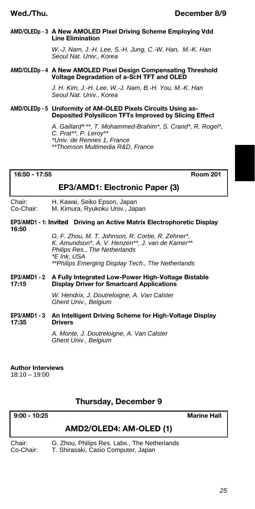# **AMD/OLEDp - 3 A New AMOLED Pixel Driving Scheme Employing Vdd Line Elimination**

*W.-J. Nam, J.-H. Lee, S.-H. Jung, C.-W. Han, M.-K. Han Seoul Nat. Univ., Korea*

# **AMD/OLEDp - 4 A New AMOLED Pixel Design Compensating Threshold Voltage Degradation of a-Si:H TFT and OLED**

*J. H. Kim, J.-H. Lee, W.-J. Nam, B.-H. You, M.-K. Han Seoul Nat. Univ., Korea*

### **AMD/OLEDp - 5 Uniformity of AM-OLED Pixels Circuits Using as-Deposited Polysilicon TFTs Improved by Slicing Effect**

*A. Gaillard\*, \*\*, T. Mohammed-Brahim\*, S. Crand\*, R. Rogel\*, C. Prat\*\*, P. Leroy\*\* \*Univ. de Rennes 1, France \*\*Thomson Multimedia R&D, France*

# **16:50 - 17:55 Room 201**

# **EP3/AMD1: Electronic Paper (3)**

Chair: H. Kawai, Seiko Epson, Japan<br>Co-Chair: M. Kimura, Ryukoku Uniy., Jap M. Kimura, Ryukoku Univ., Japan

# **EP3/AMD1 - 1:** *Invited* **Driving an Active Matrix Electrophoretic Display 16:50**

*G. F. Zhou, M. T. Johnson, R. Cortie, R. Zehner\*, K. Amundson\*, A. V. Henzen\*\*, J. van de Kamer\*\* Philips Res., The Netherlands \*E Ink, USA \*\*Philips Emerging Display Tech., The Netherlands*

# **EP3/AMD1 - 2 A Fully Integrated Low-Power High-Voltage Bistable 17:15 Display Driver for Smartcard Applications**

*W. Hendrix, J. Doutreloigne, A. Van Calster Ghent Univ., Belgium*

# **EP3/AMD1 - 3 An Intelligent Driving Scheme for High-Voltage Display Drivers**

*A. Monte, J. Doutreloigne, A. Van Calster Ghent Univ., Belgium*

# **Author Interviews**

18:10 – 19:00

# **Thursday, December 9**

# **9:00 - 10:25 Marine Hall**

# **AMD2/OLED4: AM-OLED (1)**

Chair: G. Zhou, Philips Res. Labs., The Netherlands Co-Chair: T. Shirasaki, Casio Computer, Japan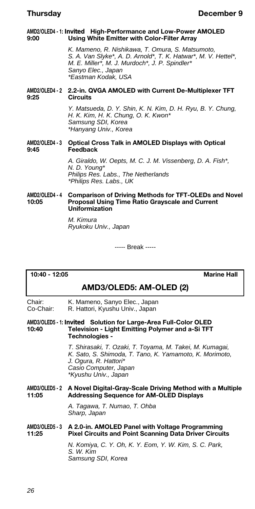### **AMD2/OLED4 - 1:** *Invited* **High-Performance and Low-Power AMOLED 9:00 Using White Emitter with Color-Filter Array**

*K. Mameno, R. Nishikawa, T. Omura, S. Matsumoto, S. A. Van Slyke\*, A. D. Arnold\*, T. K. Hatwar\*, M. V. Hettel\*, M. E. Miller\*, M. J. Murdoch\*, J. P. Spindler\* Sanyo Elec., Japan \*Eastman Kodak, USA*

# **AMD2/OLED4 - 2 2.2-in. QVGA AMOLED with Current De-Multiplexer TFT 9:25 Circuits**

*Y. Matsueda, D. Y. Shin, K. N. Kim, D. H. Ryu, B. Y. Chung, H. K. Kim, H. K. Chung, O. K. Kwon\* Samsung SDI, Korea \*Hanyang Univ., Korea*

# **AMD2/OLED4 - 3 Optical Cross Talk in AMOLED Displays with Optical 9:45 Feedback**

*A. Giraldo, W. Oepts, M. C. J. M. Vissenberg, D. A. Fish\*, N. D. Young\* Philips Res. Labs., The Netherlands \*Philips Res. Labs., UK*

#### AMD2/OLED4 - 4 Comparison of Driving Methods for TFT-OLEDs and Novel 10:05 **Proposal Using Time Ratio Grayscale and Current 10:05 Proposal Using Time Ratio Grayscale and Current Uniformization**

*M. Kimura Ryukoku Univ., Japan*

----- Break -----

# **10:40 - 12:05 Marine Hall**

# **AMD3/OLED5: AM-OLED (2)**

Chair: K. Mameno, Sanyo Elec., Japan<br>Co-Chair: R. Hattori, Kyushu Uniy., Japan R. Hattori, Kyushu Univ., Japan

### **AMD3/OLED5 - 1:** *Invited* **Solution for Large-Area Full-Color OLED 10:40 Television - Light Emitting Polymer and a-Si TFT Technologies -**

*T. Shirasaki, T. Ozaki, T. Toyama, M. Takei, M. Kumagai, K. Sato, S. Shimoda, T. Tano, K. Yamamoto, K. Morimoto, J. Ogura, R. Hattori\* Casio Computer, Japan \*Kyushu Univ., Japan*

# **AMD3/OLED5 - 2 A Novel Digital-Gray-Scale Driving Method with a Multiple 11:05 Addressing Sequence for AM-OLED Displays**

*A. Tagawa, T. Numao, T. Ohba Sharp, Japan*

# **AMD3/OLED5 - 3 A 2.0-in. AMOLED Panel with Voltage Programming Pixel Circuits and Point Scanning Data Driver Circuits**

*N. Komiya, C. Y. Oh, K. Y. Eom, Y. W. Kim, S. C. Park, S. W. Kim Samsung SDI, Korea*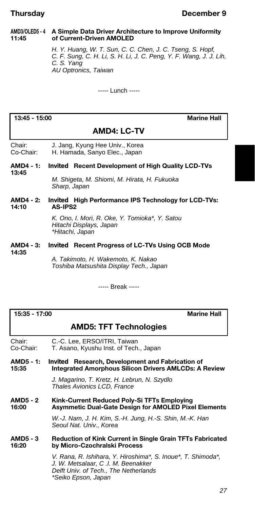# **AMD3/OLED5 - 4 A Simple Data Driver Architecture to Improve Uniformity 11:45 of Current-Driven AMOLED**

*H. Y. Huang, W. T. Sun, C. C. Chen, J. C. Tseng, S. Hopf, C. F. Sung, C. H. Li, S. H. Li, J. C. Peng, Y. F. Wang, J. J. Lih, C. S. Yang AU Optronics, Taiwan*

----- Lunch -----

**13:45 - 15:00 Marine Hall**

# **AMD4: LC-TV**

Chair: J. Jang, Kyung Hee Univ., Korea<br>Co-Chair: H. Hamada. Sanvo Elec.. Japan H. Hamada, Sanyo Elec., Japan

#### **AMD4 - 1:** *Invited* **Recent Development of High Quality LCD-TVs 13:45**

*M. Shigeta, M. Shiomi, M. Hirata, H. Fukuoka Sharp, Japan*

**AMD4 - 2:** *Invited* **High Performance IPS Technology for LCD-TVs: 14:10 AS-IPS2**

> *K. Ono, I. Mori, R. Oke, Y. Tomioka\*, Y. Satou Hitachi Displays, Japan \*Hitachi, Japan*

# **AMD4 - 3:** *Invited* **Recent Progress of LC-TVs Using OCB Mode**

**14:35**

*A. Takimoto, H. Wakemoto, K. Nakao Toshiba Matsushita Display Tech., Japan*

----- Break -----

**15:35 - 17:00 Marine Hall**

# **AMD5: TFT Technologies**

Chair: C.-C. Lee, ERSO/ITRI, Taiwan Co-Chair: T. Asano, Kyushu Inst. of Tech., Japan

**AMD5 - 1:** *Invited* **Research, Development and Fabrication of 15:35 Integrated Amorphous Silicon Drivers AMLCDs: A Review**

> *J. Magarino, T. Kretz, H. Lebrun, N. Szydlo Thales Avionics LCD, France*

**AMD5 - 2 Kink-Current Reduced Poly-Si TFTs Employing 16:00 Asymmetic Dual-Gate Design for AMOLED Pixel Elements**

> *W.-J. Nam, J. H. Kim, S.-H. Jung, H.-S. Shin, M.-K. Han Seoul Nat. Univ., Korea*

# **AMD5 - 3 Reduction of Kink Current in Single Grain TFTs Fabricated 16:20 by Micro-Czochralski Process**

*V. Rana, R. Ishihara, Y. Hiroshima\*, S. Inoue\*, T. Shimoda\*, J. W. Metsalaar, C .I. M. Beenakker Delft Univ. of Tech., The Netherlands \*Seiko Epson, Japan*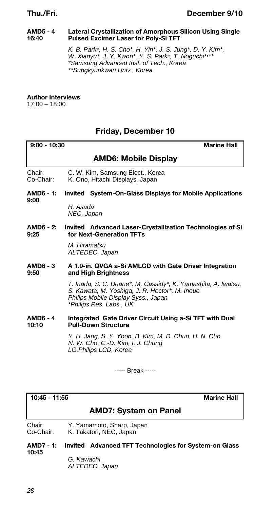# **AMD5 - 4 Lateral Crystallization of Amorphous Silicon Using Single 16:40 Pulsed Excimer Laser for Poly-Si TFT**

*K. B. Park\*, H. S. Cho\*, H. Yin\*, J. S. Jung\*, D. Y. Kim\*, W. Xianyu\*, J. Y. Kwon\*, Y. S. Park\*, T. Noguchi\*, \*\* \*Samsung Advanced Inst. of Tech., Korea \*\*Sungkyunkwan Univ., Korea*

**Author Interviews**

17:00 – 18:00

# **Friday, December 10**

| $9:00 - 10:30$<br><b>Marine Hall</b> |                                                                                                                                                                                   |
|--------------------------------------|-----------------------------------------------------------------------------------------------------------------------------------------------------------------------------------|
|                                      | <b>AMD6: Mobile Display</b>                                                                                                                                                       |
| Chair:<br>Co-Chair:                  | C. W. Kim, Samsung Elect., Korea<br>K. Ono, Hitachi Displays, Japan                                                                                                               |
| AMD6 - 1:<br>9:00                    | <i>Invited</i> System-On-Glass Displays for Mobile Applications                                                                                                                   |
|                                      | H. Asada<br>NEC, Japan                                                                                                                                                            |
| 9:25                                 | AMD6 - 2: Invited Advanced Laser-Crystallization Technologies of Si<br>for Next-Generation TFTs                                                                                   |
|                                      | M. Hiramatsu<br>ALTEDEC, Japan                                                                                                                                                    |
| <b>AMD6 - 3</b><br>9:50              | A 1.9-in. QVGA a-Si AMLCD with Gate Driver Integration<br>and High Brightness                                                                                                     |
|                                      | T. Inada, S. C. Deane*, M. Cassidy*, K. Yamashita, A. Iwatsu,<br>S. Kawata, M. Yoshiga, J. R. Hector*, M. Inoue<br>Philips Mobile Display Syss., Japan<br>*Philips Res. Labs., UK |
| <b>AMD6 - 4</b><br>10:10             | Integrated Gate Driver Circuit Using a-Si TFT with Dual<br><b>Pull-Down Structure</b>                                                                                             |
|                                      | Y. H. Jang, S. Y. Yoon, B. Kim, M. D. Chun, H. N. Cho,<br>N. W. Cho, C.-D. Kim, I. J. Chung<br>LG.Philips LCD, Korea                                                              |
|                                      |                                                                                                                                                                                   |

----- Break -----

**10:45 - 11:55 Marine Hall**

# **AMD7: System on Panel**

Chair: Y. Yamamoto, Sharp, Japan Co-Chair: K. Takatori, NEC, Japan

**AMD7 - 1:** *Invited* **Advanced TFT Technologies for System-on Glass 10:45**

> *G. Kawachi ALTEDEC, Japan*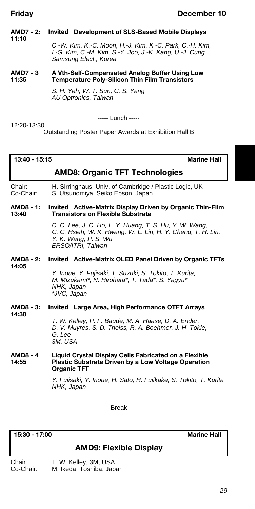#### **AMD7 - 2:** *Invited* **Development of SLS-Based Mobile Displays 11:10**

# *C.-W. Kim, K.-C. Moon, H.-J. Kim, K.-C. Park, C.-H. Kim, I.-G. Kim, C.-M. Kim, S.-Y. Joo, J.-K. Kang, U.-J. Cung Samsung Elect., Korea*

# **AMD7 - 3 A Vth-Self-Compensated Analog Buffer Using Low 11:35 Temperature Poly-Silicon Thin Film Transistors**

*S. H. Yeh, W. T. Sun, C. S. Yang AU Optronics, Taiwan*

----- Lunch -----

12:20-13:30

Outstanding Poster Paper Awards at Exhibition Hall B

**13:40 - 15:15 Marine Hall**

# **AMD8: Organic TFT Technologies**

Chair: H. Sirringhaus, Univ. of Cambridge / Plastic Logic, UK S. Utsunomiya, Seiko Epson, Japan

# **AMD8 - 1:** *Invited* **Active-Matrix Display Driven by Organic Thin-Film 13:40 Transistors on Flexible Substrate**

*C. C. Lee, J. C. Ho, L. Y. Huang, T. S. Hu, Y. W. Wang, C. C. Hsieh, W. K. Hwang, W. L. Lin, H. Y. Cheng, T. H. Lin, Y. K. Wang, P. S. Wu ERSO/ITRI, Taiwan*

#### **AMD8 - 2:** *Invited* **Active-Matrix OLED Panel Driven by Organic TFTs 14:05**

*Y. Inoue, Y. Fujisaki, T. Suzuki, S. Tokito, T. Kurita, M. Mizukami\*, N. Hirohata\*, T. Tada\*, S. Yagyu\* NHK, Japan \*JVC, Japan*

# **AMD8 - 3:** *Invited* **Large Area, High Performance OTFT Arrays 14:30** *T. W. Kelley, P. F. Baude, M. A. Haase, D. A. Ender,*

*D. V. Muyres, S. D. Theiss, R. A. Boehmer, J. H. Tokie, G. Lee 3M, USA*

## **AMD8 - 4 Liquid Crystal Display Cells Fabricated on a Flexible 14:55 Plastic Substrate Driven by a Low Voltage Operation Organic TFT**

*Y. Fujisaki, Y. Inoue, H. Sato, H. Fujikake, S. Tokito, T. Kurita NHK, Japan*

----- Break -----

**15:30 - 17:00 Marine Hall**

# **AMD9: Flexible Display**

- 
- Chair: T. W. Kelley, 3M, USA<br>Co-Chair: M. Ikeda. Toshiba. Jap M. Ikeda, Toshiba, Japan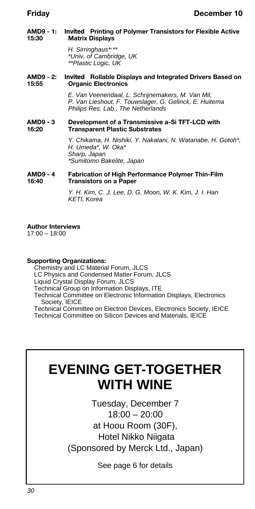# **AMD9 - 1:** *Invited* **Printing of Polymer Transistors for Flexible Active Matrix Displays**

*H. Sirringhaus\*, \*\* \*Univ. of Cambridge, UK \*\*Plastic Logic, UK*

# **AMD9 - 2:** *Invited* **Rollable Displays and Integrated Drivers Based on Organic Electronics**

*E. Van Veenendaal, L. Schrijnemakers, M. Van Mil, P. Van Lieshout, F. Touwslager, G. Gelinck, E. Huitema Philips Res. Lab., The Netherlands*

# **AMD9 - 3 Development of a Transmissive a-Si TFT-LCD with 16:20 Transparent Plastic Substrates**

*Y. Chikama, H. Nishiki, Y. Nakatani, N. Watanabe, H. Gotoh\*, H. Umeda\*, W. Oka\* Sharp, Japan \*Sumitomo Bakelite, Japan*

# **AMD9 - 4 Fabrication of High Performance Polymer Thin-Film 16:40 Transistors on a Paper**

*Y. H. Kim, C. J. Lee, D. G. Moon, W. K. Kim, J. I. Han KETI, Korea*

# **Author Interviews**

17:00 – 18:00

# **Supporting Organizations:**

Chemistry and LC Material Forum, JLCS

LC Physics and Condensed Matter Forum, JLCS

Liquid Crystal Display Forum, JLCS

Technical Group on Information Displays, ITE

Technical Committee on Electronic Information Displays, Electronics Society, IEICE

Technical Committee on Electron Devices, Electronics Society, IEICE Technical Committee on Silicon Devices and Materials, IEICE

# **EVENING GET-TOGETHER WITH WINE**

Tuesday, December 7 18:00 – 20:00 at Hoou Room (30F), Hotel Nikko Niigata (Sponsored by Merck Ltd., Japan)

See page 6 for details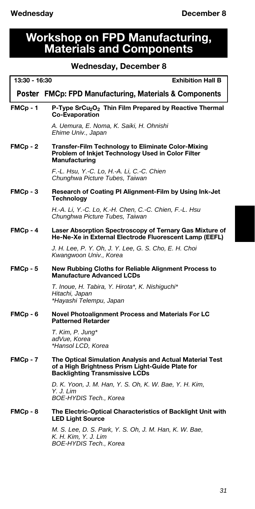# **Workshop on FPD Manufacturing, Materials and Components**

# **Wednesday, December 8**

| 13:30 - 16:30<br><b>Exhibition Hall B</b> |                                                                                                                                                       |
|-------------------------------------------|-------------------------------------------------------------------------------------------------------------------------------------------------------|
|                                           | Poster FMCp: FPD Manufacturing, Materials & Components                                                                                                |
| FMCp-1                                    | P-Type SrCu <sub>2</sub> O <sub>2</sub> Thin Film Prepared by Reactive Thermal<br><b>Co-Evaporation</b>                                               |
|                                           | A. Uemura, E. Noma, K. Saiki, H. Ohnishi<br>Ehime Univ., Japan                                                                                        |
| FMCp-2                                    | Transfer-Film Technology to Eliminate Color-Mixing<br>Problem of Inkjet Technology Used in Color Filter<br>Manufacturing                              |
|                                           | F.-L. Hsu, Y.-C. Lo, H.-A. Li, C.-C. Chien<br>Chunghwa Picture Tubes, Taiwan                                                                          |
| FMCp-3                                    | Research of Coating PI Alignment-Film by Using Ink-Jet<br>Technology                                                                                  |
|                                           | H.-A. Li, Y.-C. Lo, K.-H. Chen, C.-C. Chien, F.-L. Hsu<br>Chunghwa Picture Tubes, Taiwan                                                              |
| FMCp-4                                    | Laser Absorption Spectroscopy of Ternary Gas Mixture of<br>He-Ne-Xe in External Electrode Fluorescent Lamp (EEFL)                                     |
|                                           | J. H. Lee, P. Y. Oh, J. Y. Lee, G. S. Cho, E. H. Choi<br>Kwangwoon Univ., Korea                                                                       |
| FMCp-5                                    | New Rubbing Cloths for Reliable Alignment Process to<br><b>Manufacture Advanced LCDs</b>                                                              |
|                                           | T. Inoue, H. Tabira, Y. Hirota*, K. Nishiguchi*<br>Hitachi, Japan<br>*Hayashi Telempu, Japan                                                          |
| FMCp-6                                    | Novel Photoalignment Process and Materials For LC<br><b>Patterned Retarder</b>                                                                        |
|                                           | T. Kim, P. Jung*<br>adVue, Korea<br>*Hansol LCD, Korea                                                                                                |
| FMCp-7                                    | The Optical Simulation Analysis and Actual Material Test<br>of a High Brightness Prism Light-Guide Plate for<br><b>Backlighting Transmissive LCDs</b> |
|                                           | D. K. Yoon, J. M. Han, Y. S. Oh, K. W. Bae, Y. H. Kim,<br>Y. J. Lim<br>BOE-HYDIS Tech., Korea                                                         |
| FMCp-8                                    | The Electric-Optical Characteristics of Backlight Unit with<br><b>LED Light Source</b>                                                                |
|                                           | M. S. Lee, D. S. Park, Y. S. Oh, J. M. Han, K. W. Bae,<br>K. H. Kim, Y. J. Lim<br>BOE-HYDIS Tech., Korea                                              |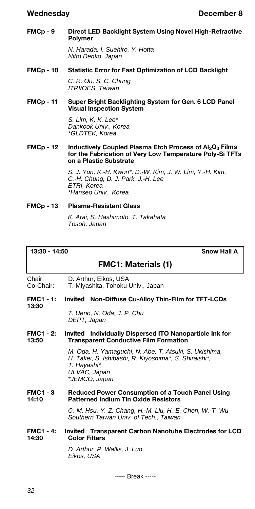#### **FMCp - 9 Direct LED Backlight System Using Novel High-Refractive Polymer**

*N. Harada, I. Suehiro, Y. Hotta Nitto Denko, Japan*

# **FMCp - 10 Statistic Error for Fast Optimization of LCD Backlight** *C. R. Ou, S. C. Chung*

*ITRI/OES, Taiwan*

# **FMCp - 11 Super Bright Backlighting System for Gen. 6 LCD Panel Visual Inspection System**

*S. Lim, K. K. Lee\* Dankook Univ., Korea \*GLDTEK, Korea*

### **FMCp - 12 Inductively Coupled Plasma Etch Process of Al2O<sup>3</sup> Films for the Fabrication of Very Low Temperature Poly-Si TFTs on a Plastic Substrate**

*S. J. Yun, K.-H. Kwon\*, D.-W. Kim, J. W. Lim, Y.-H. Kim, C.-H. Chung, D. J. Park, J.-H. Lee ETRI, Korea \*Hanseo Univ., Korea*

# **FMCp - 13 Plasma-Resistant Glass**

*K. Arai, S. Hashimoto, T. Takahata Tosoh, Japan*

# **13:30 - 14:50 Snow Hall A**

# **FMC1: Materials (1)**

Chair: D. Arthur, Eikos, USA<br>Co-Chair: T. Mivashita, Tohoku

T. Miyashita, Tohoku Univ., Japan

**FMC1 - 1:** *Invited* **Non-Diffuse Cu-Alloy Thin-Film for TFT-LCDs 13:30**

> *T. Ueno, N. Oda, J. P. Chu DEPT, Japan*

# **FMC1 - 2:** *Invited* **Individually Dispersed ITO Nanoparticle Ink for 13:50 Transparent Conductive Film Formation**

*M. Oda, H. Yamaguchi, N. Abe, T. Atsuki, S. Ukishima, H. Takei, S. Ishibashi, R. Kiyoshima\*, S. Shiraishi\*, T. Hayashi\* ULVAC, Japan \*JEMCO, Japan*

# **FMC1 - 3 Reduced Power Consumption of a Touch Panel Using 14:10 Patterned Indium Tin Oxide Resistors**

*C.-M. Hsu, Y.-Z. Chang, H.-M. Liu, H.-E. Chen, W.-T. Wu Southern Taiwan Univ. of Tech., Taiwan*

# **FMC1 - 4:** *Invited* **Transparent Carbon Nanotube Electrodes for LCD 14:30 Color Filters**

*D. Arthur, P. Wallis, J. Luo Eikos, USA*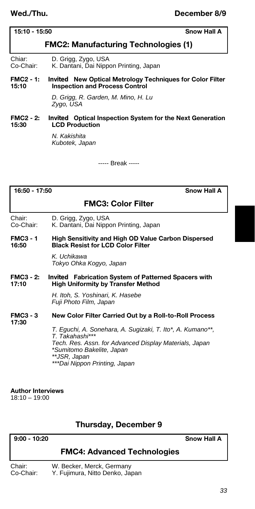**Wed./Thu. December 8/9**

# **15:10 - 15:50 Snow Hall A**

# **FMC2: Manufacturing Technologies (1)**

Chiar: D. Grigg, Zygo, USA<br>Co-Chair: K. Dantani, Dai Nipp

# K. Dantani, Dai Nippon Printing, Japan

# **FMC2 - 1:** *Invited* **New Optical Metrology Techniques for Color Filter 15:10 Inspection and Process Control**

*D. Grigg, R. Garden, M. Mino, H. Lu Zygo, USA*

# **FMC2 - 2:** *Invited* **Optical Inspection System for the Next Generation 15:30 LCD Production**

*N. Kakishita Kubotek, Japan*

----- Break -----

**16:50 - 17:50 Snow Hall A**

# **FMC3: Color Filter**

Chair: D. Grigg, Zygo, USA<br>Co-Chair: K. Dantani, Dai Nipp

K. Dantani, Dai Nippon Printing, Japan

#### **FMC3 - 1 High Sensitivity and High OD Value Carbon Dispersed 16:50 Black Resist for LCD Color Filter**

*K. Uchikawa Tokyo Ohka Kogyo, Japan*

# **FMC3 - 2:** *Invited* **Fabrication System of Patterned Spacers with High Uniformity by Transfer Method**

*H. Itoh, S. Yoshinari, K. Hasebe Fuji Photo Film, Japan*

#### **FMC3 - 3 New Color Filter Carried Out by a Roll-to-Roll Process 17:30**

*T. Eguchi, A. Sonehara, A. Sugizaki, T. Ito\*, A. Kumano\*\*, T. Takahashi\*\*\* Tech. Res. Assn. for Advanced Display Materials, Japan \*Sumitomo Bakelite, Japan \*\*JSR, Japan \*\*\*Dai Nippon Printing, Japan*

# **Author Interviews**

18:10 – 19:00

# **Thursday, December 9**

# **9:00 - 10:20 Snow Hall A**

# **FMC4: Advanced Technologies**

Chair: W. Becker, Merck, Germany Co-Chair: Y. Fujimura, Nitto Denko, Japan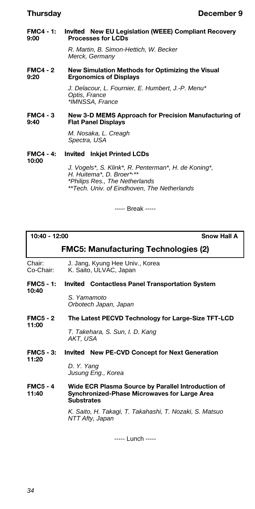**FMC4 - 1:** *Invited* **New EU Legislation (WEEE) Compliant Recovery 9:00 Processes for LCDs**

> *R. Martin, B. Simon-Hettich, W. Becker Merck, Germany*

**FMC4 - 2 New Simulation Methods for Optimizing the Visual 9:20 Ergonomics of Displays**

> *J. Delacour, L. Fournier, E. Humbert, J.-P. Menu\* Optis, France \*IMNSSA, France*

# **FMC4 - 3 New 3-D MEMS Approach for Precision Manufacturing of 9:40 Flat Panel Displays**

*M. Nosaka, L. Creagh Spectra, USA*

**FMC4 - 4:** *Invited* **Inkjet Printed LCDs**

**10:00**

*J. Vogels\*, S. Klink\*, R. Penterman\*, H. de Koning\*, H. Huitema\*, D. Broer\*, \*\* \*Philips Res., The Netherlands \*\*Tech. Univ. of Eindhoven, The Netherlands*

----- Break -----

**10:40 - 12:00 Snow Hall A**

# **FMC5: Manufacturing Technologies (2)**

Chair: J. Jang, Kyung Hee Univ., Korea<br>Co-Chair: K. Saito, ULVAC, Japan K. Saito, ULVAC, Japan

#### **FMC5 - 1:** *Invited* **Contactless Panel Transportation System 10:40**

*S. Yamamoto Orbotech Japan, Japan*

#### **FMC5 - 2 The Latest PECVD Technology for Large-Size TFT-LCD 11:00**

*T. Takehara, S. Sun, I. D. Kang AKT, USA*

**FMC5 - 3:** *Invited* **New PE-CVD Concept for Next Generation 11:20**

> *D. Y. Yang Jusung Eng., Korea*

**FMC5 - 4 Wide ECR Plasma Source by Parallel Introduction of 11:40 Synchronized-Phase Microwaves for Large Area Substrates**

> *K. Saito, H. Takagi, T. Takahashi, T. Nozaki, S. Matsuo NTT Afty, Japan*

> > ----- Lunch -----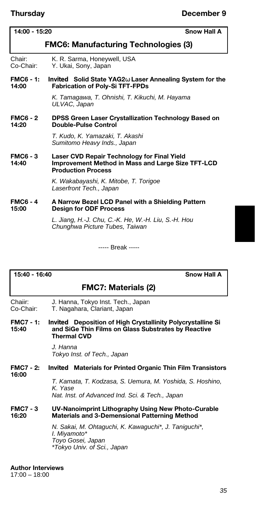# **14:00 - 15:20 Snow Hall A**

# **FMC6: Manufacturing Technologies (3)**

- Chair: K. R. Sarma, Honeywell, USA Co-Chair: Y. Ukai, Sony, Japan
- **FMC6 1:** *Invited* **Solid State YAG2 Laser Annealing System for the 14:00 Fabrication of Poly-Si TFT-FPDs**

*K. Tamagawa, T. Ohnishi, T. Kikuchi, M. Hayama ULVAC, Japan*

# **FMC6 - 2 DPSS Green Laser Crystallization Technology Based on 14:20 Double-Pulse Control**

*T. Kudo, K. Yamazaki, T. Akashi Sumitomo Heavy Inds., Japan*

**FMC6 - 3 Laser CVD Repair Technology for Final Yield**  Improvement Method in Mass and Large Size TFT-LCD **Production Process**

> *K. Wakabayashi, K. Mitobe, T. Torigoe Laserfront Tech., Japan*

**FMC6 - 4 A Narrow Bezel LCD Panel with a Shielding Pattern 15:00 Design for ODF Process**

> *L. Jiang, H.-J. Chu, C.-K. He, W.-H. Liu, S.-H. Hou Chunghwa Picture Tubes, Taiwan*

> > ----- Break -----

# **15:40 - 16:40 Snow Hall A**

# **FMC7: Materials (2)**

- Chaiir: J. Hanna, Tokyo Inst. Tech., Japan<br>Co-Chair: T. Nagahara, Clariant, Japan
- T. Nagahara, Clariant, Japan
- **FMC7 1:** *Invited* **Deposition of High Crystallinity Polycrystalline Si 15:40 and SiGe Thin Films on Glass Substrates by Reactive Thermal CVD**

*J. Hanna Tokyo Inst. of Tech., Japan*

#### **FMC7 - 2:** *Invited* **Materials for Printed Organic Thin Film Transistors 16:00**

*T. Kamata, T. Kodzasa, S. Uemura, M. Yoshida, S. Hoshino, K. Yase Nat. Inst. of Advanced Ind. Sci. & Tech., Japan*

# **FMC7 - 3 UV-Nanoimprint Lithography Using New Photo-Curable 16:20 Materials and 3-Demensional Patterning Method**

*N. Sakai, M. Ohtaguchi, K. Kawaguchi\*, J. Taniguchi\*, I. Miyamoto\* Toyo Gosei, Japan \*Tokyo Univ. of Sci., Japan*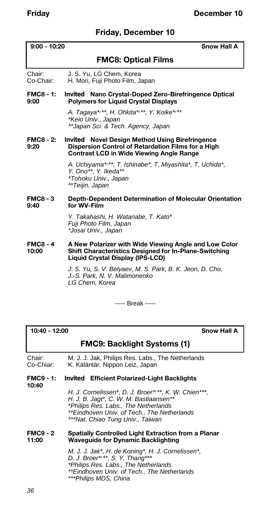# **Friday, December 10**

**9:00 - 10:20 Snow Hall A**

## **FMC8: Optical Films**

Chair: J. S. Yu, LG Chem, Korea<br>Co-Chair: H. Mori, Fuii Photo Film, J. H. Mori, Fuji Photo Film, Japan

#### **FMC8 - 1:** *Invited* **Nano Crystal-Doped Zero-Birefringence Optical 9:00 Polymers for Liquid Crystal Displays**

*A. Tagaya\*, \*\*, H. Ohkita\*, \*\*, Y. Koike\*, \*\* \*Keio Univ., Japan \*\*Japan Sci. & Tech. Agency, Japan*

#### **FMC8 - 2:** *Invited* **Novel Design Method Using Birefringence 9:20 Dispersion Control of Retardation Films for a High Contrast LCD in Wide Viewing Angle Range**

*A. Uchiyama\*, \*\*, T. Ishinabe\*, T. Miyashita\*, T. Uchida\*, Y. Ono\*\*, Y. Ikeda\*\* \*Tohoku Univ., Japan \*\*Teijin, Japan*

#### **FMC8 - 3 Depth-Dependent Determination of Molecular Orientation**  for WV-Film

*Y. Takahashi, H. Watanabe, T. Kato\* Fuji Photo Film, Japan \*Josai Univ., Japan*

#### **FMC8 - 4 A New Polarizer with Wide Viewing Angle and Low Color Shift Characteristics Designed for In-Plane-Switching Liquid Crystal Display (IPS-LCD)**

*J. S. Yu, S. V. Belyaev, M. S. Park, B. K. Jeon, D. Cho, J.-S. Park, N. V. Malimonenko LG Chem, Korea*

----- Break -----

#### **10:40 - 12:00 Snow Hall A**

# **FMC9: Backlight Systems (1)**

Chair: M. J. J. Jak, Philips Res. Labs., The Netherlands Co-Chiar: K. Käläntär. Nippon Leiz, Japan

#### **FMC9 - 1:** *Invited* **Efficient Polarized-Light Backlights**

**10:40**

*H. J. Cornelissen\*, D. J. Broer\*, \*\*, K. W. Chien\*\*\*, H. J. B. Jagt\*, C. W. M. Bastiaansen\*\* \*Philips Res. Labs., The Netherlands \*\*Eindhoven Univ. of Tech., The Netherlands \*\*\*Nat. Chiao Tung Univ., Taiwan*

#### **FMC9 - 2 Spatially Controlled Light Extraction from a Planar 11:00 Waveguide for Dynamic Backlighting**

*M. J. J. Jak\*, H. de Koning\*, H. J. Cornelissen\*, D. J. Broer\*, \*\*, S. Y. Thang\*\*\* \*Philips Res. Labs., The Netherlands \*\*Eindhoven Univ. of Tech., The Netherlands \*\*\*Philips MDS, China*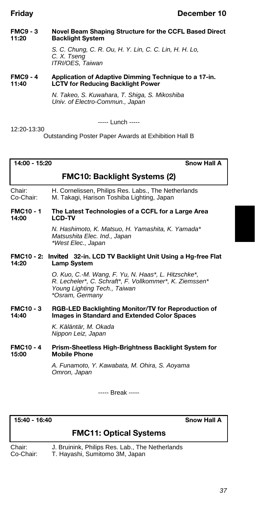# **Friday December 10**

#### **FMC9 - 3 Novel Beam Shaping Structure for the CCFL Based Direct Backlight System**

*S. C. Chung, C. R. Ou, H. Y. Lin, C. C. Lin, H. H. Lo, C. X. Tseng ITRI/OES, Taiwan*

#### **FMC9 - 4** Application of Adaptive Dimming Technique to a 17-in.<br>11:40 **1 CTV** for Reducing Backlight Power **11:40 LCTV for Reducing Backlight Power**

*N. Takeo, S. Kuwahara, T. Shiga, S. Mikoshiba Univ. of Electro-Commun., Japan*

12:20-13:30

----- Lunch -----

Outstanding Poster Paper Awards at Exhibition Hall B

**14:00 - 15:20 Snow Hall A**

# **FMC10: Backlight Systems (2)**

Chair: H. Cornelissen, Philips Res. Labs., The Netherlands Co-Chair: M. Takagi, Harison Toshiba Lighting, Japan

#### **FMC10 - 1 The Latest Technologies of a CCFL for a Large Area 14:00 LCD-TV**

*N. Hashimoto, K. Matsuo, H. Yamashita, K. Yamada\* Matsushita Elec. Ind., Japan \*West Elec., Japan*

#### **FMC10 - 2:** *Invited* **32-in. LCD TV Backlight Unit Using a Hg-free Flat**  Lamp System

*O. Kuo, C.-M. Wang, F. Yu, N. Haas\*, L. Hitzschke\*, R. Lecheler\*, C. Schraft\*, F. Vollkommer\*, K. Ziemssen\* Young Lighting Tech., Taiwan \*Osram, Germany*

#### **FMC10 - 3 RGB-LED Backlighting Monitor/TV for Reproduction of Images in Standard and Extended Color Spaces**

*K. Käläntär, M. Okada Nippon Leiz, Japan*

#### **FMC10 - 4 Prism-Sheetless High-Brightness Backlight System for 15:00 Mobile Phone**

*A. Funamoto, Y. Kawabata, M. Ohira, S. Aoyama Omron, Japan*

----- Break -----

**15:40 - 16:40 Snow Hall A**

# **FMC11: Optical Systems**

Chair: J. Bruinink, Philips Res. Lab., The Netherlands<br>Co-Chair: T. Havashi. Sumitomo 3M. Japan T. Hayashi, Sumitomo 3M, Japan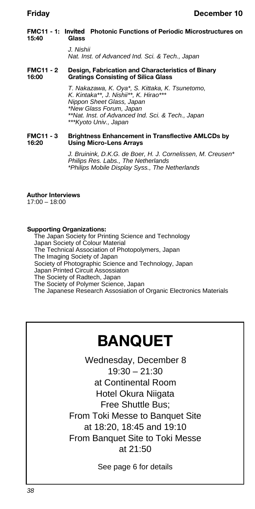#### **FMC11 - 1:** *Invited* **Photonic Functions of Periodic Microstructures on 15:40 Glass**

*J. Nishii Nat. Inst. of Advanced Ind. Sci. & Tech., Japan*

#### **FMC11 - 2 Design, Fabrication and Characteristics of Binary 16:00 Gratings Consisting of Silica Glass**

*T. Nakazawa, K. Oya\*, S. Kittaka, K. Tsunetomo, K. Kintaka\*\*, J. Nishii\*\*, K. Hirao\*\*\* Nippon Sheet Glass, Japan \*New Glass Forum, Japan \*\*Nat. Inst. of Advanced Ind. Sci. & Tech., Japan \*\*\*Kyoto Univ., Japan*

**FMC11 - 3** Brightness Enhancement in Transflective AMLCDs by<br>16:20 **Ilsing Micro-Lens Arrays 16:20 Using Micro-Lens Arrays**

> *J. Bruinink, D.K.G. de Boer, H. J. Cornelissen, M. Creusen\* Philips Res. Labs., The Netherlands \*Philips Mobile Display Syss., The Netherlands*

#### **Author Interviews**

17:00 – 18:00

#### **Supporting Organizations:**

The Japan Society for Printing Science and Technology Japan Society of Colour Material The Technical Association of Photopolymers, Japan The Imaging Society of Japan Society of Photographic Science and Technology, Japan Japan Printed Circuit Assossiaton The Society of Radtech, Japan The Society of Polymer Science, Japan The Japanese Research Assosiation of Organic Electronics Materials

# **BANQUET**

Wednesday, December 8  $19:30 - 21:30$ at Continental Room Hotel Okura Niigata Free Shuttle Bus; From Toki Messe to Banquet Site at 18:20, 18:45 and 19:10 From Banquet Site to Toki Messe at 21:50

See page 6 for details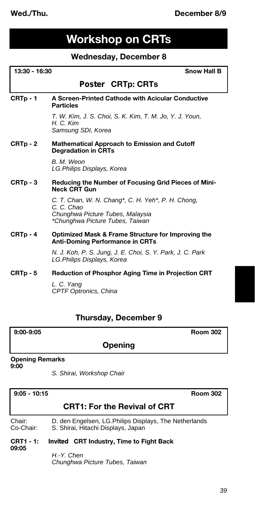# **Workshop on CRTs**

# **Wednesday, December 8**

|        | 13:30 - 16:30<br><b>Snow Hall B</b>                                                                                                     |  |
|--------|-----------------------------------------------------------------------------------------------------------------------------------------|--|
|        | <i>Poster</i> CRTp: CRTs                                                                                                                |  |
| CRTp-1 | A Screen-Printed Cathode with Acicular Conductive<br><b>Particles</b>                                                                   |  |
|        | T. W. Kim, J. S. Choi, S. K. Kim, T. M. Jo, Y. J. Youn,<br>H. C. Kim<br>Samsung SDI, Korea                                              |  |
| CRTp-2 | <b>Mathematical Approach to Emission and Cutoff</b><br><b>Degradation in CRTs</b>                                                       |  |
|        | B. M. Weon<br>LG.Philips Displays, Korea                                                                                                |  |
| CRTp-3 | Reducing the Number of Focusing Grid Pieces of Mini-<br><b>Neck CRT Gun</b>                                                             |  |
|        | C. T. Chan, W. N. Chang*, C. H. Yeh*, P. H. Chong,<br>C. C. Chao<br>Chunghwa Picture Tubes, Malaysia<br>*Chunghwa Picture Tubes, Taiwan |  |
| CRTp-4 | Optimized Mask & Frame Structure for Improving the<br><b>Anti-Doming Performance in CRTs</b>                                            |  |
|        | N. J. Koh, P. S. Jung, J. E. Choi, S. Y. Park, J. C. Park<br>LG.Philips Displays, Korea                                                 |  |
| CRTp-5 | <b>Reduction of Phosphor Aging Time in Projection CRT</b>                                                                               |  |
|        | L. C. Yang<br><b>CPTF Optronics, China</b>                                                                                              |  |

# **Thursday, December 9**

| $9:00-9:05$ |  |
|-------------|--|
|-------------|--|

**9:00-9:05 Room 302**

# **Opening**

# **Opening Remarks**

**9:00**

*S. Shirai, Workshop Chair*

| $9.05 - 10.15$            | <b>Room 302</b>                                                                              |
|---------------------------|----------------------------------------------------------------------------------------------|
|                           | <b>CRT1: For the Revival of CRT</b>                                                          |
| Chair:<br>Co-Chair:       | D. den Engelsen, LG. Philips Displays, The Netherlands<br>S. Shirai, Hitachi Displays, Japan |
| <b>CRT1 - 1:</b><br>09.05 | <i>Invited</i> CRT Industry, Time to Fight Back                                              |
|                           | H.-Y. Chen                                                                                   |

*Chunghwa Picture Tubes, Taiwan*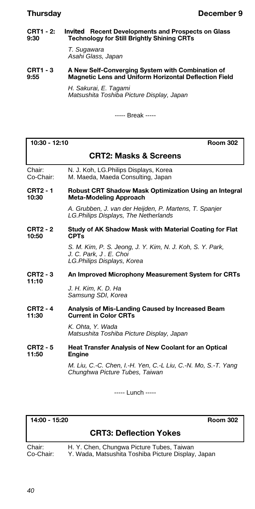#### **CRT1 - 2:** *Invited* **Recent Developments and Prospects on Glass 9:30 Technology for Still Brightly Shining CRTs**

*T. Sugawara Asahi Glass, Japan*

#### **CRT1 - 3 A New Self-Converging System with Combination of 9:55 Magnetic Lens and Uniform Horizontal Deflection Field**

*H. Sakurai, E. Tagami Matsushita Toshiba Picture Display, Japan*

----- Break -----

| 10:30 - 12:10 |  |
|---------------|--|
|---------------|--|

**10:30 - 12:10 Room 302**

# **CRT2: Masks & Screens**

Chair: N. J. Koh, LG.Philips Displays, Korea Co-Chair: M. Maeda, Maeda Consulting, Japan

**CRT2 - 1 Robust CRT Shadow Mask Optimization Using an Integral 10:30 Meta-Modeling Approach**

> *A. Grubben, J. van der Heijden, P. Martens, T. Spanjer LG.Philips Displays, The Netherlands*

#### **CRT2 - 2 Study of AK Shadow Mask with Material Coating for Flat 10:50 CPTs**

*S. M. Kim, P. S. Jeong, J. Y. Kim, N. J. Koh, S. Y. Park, J. C. Park, J . E. Choi LG.Philips Displays, Korea*

**CRT2 - 3 An Improved Microphony Measurement System for CRTs 11:10**

> *J. H. Kim, K. D. Ha Samsung SDI, Korea*

#### **CRT2 - 4 Analysis of Mis-Landing Caused by Increased Beam Current in Color CRTs**

*K. Ohta, Y. Wada Matsushita Toshiba Picture Display, Japan*

#### **CRT2 - 5 Heat Transfer Analysis of New Coolant for an Optical Engine**

*M. Liu, C.-C. Chen, I.-H. Yen, C.-L Liu, C.-N. Mo, S.-T. Yang Chunghwa Picture Tubes, Taiwan*

----- Lunch -----

**14:00 - 15:20 Room 302**

# **CRT3: Deflection Yokes**

Chair: H. Y. Chen, Chungwa Picture Tubes, Taiwan Co-Chair: Y. Wada, Matsushita Toshiba Picture Display, Japan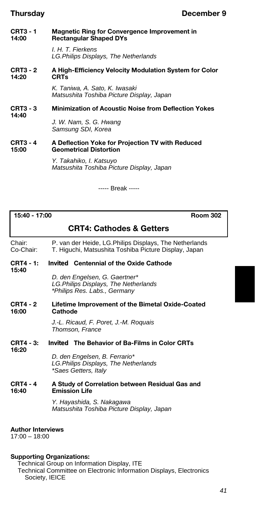**CRT3 - 1 Magnetic Ring for Convergence Improvement in Rectangular Shaped DYs** 

> *I. H. T. Fierkens LG.Philips Displays, The Netherlands*

**CRT3 - 2 A High-Efficiency Velocity Modulation System for Color 14:20 CRTs**

> *K. Taniwa, A. Sato, K. Iwasaki Matsushita Toshiba Picture Display, Japan*

#### **CRT3 - 3 Minimization of Acoustic Noise from Deflection Yokes 14:40**

*J. W. Nam, S. G. Hwang Samsung SDI, Korea*

#### **CRT3 - 4 A Deflection Yoke for Projection TV with Reduced 15:00 Geometrical Distortion**

*Y. Takahiko, I. Katsuyo Matsushita Toshiba Picture Display, Japan*

----- Break -----

| 15:40 - 17:00 |  |
|---------------|--|
|---------------|--|

**15:40**

**15:40 - 17:00 Room 302**

# **CRT4: Cathodes & Getters**

Chair: P. van der Heide, LG.Philips Displays, The Netherlands<br>Co-Chair: T. Higuchi, Matsushita Toshiba Picture Display, Japan T. Higuchi, Matsushita Toshiba Picture Display, Japan

#### **CRT4 - 1:** *Invited* **Centennial of the Oxide Cathode**

*D. den Engelsen, G. Gaertner\* LG.Philips Displays, The Netherlands \*Philips Res. Labs., Germany*

**CRT4 - 2 Lifetime Improvement of the Bimetal Oxide-Coated**  Cathode

> *J.-L. Ricaud, F. Poret, J.-M. Roquais Thomson, France*

#### **CRT4 - 3:** *Invited* **The Behavior of Ba-Films in Color CRTs 16:20**

*D. den Engelsen, B. Ferrario\* LG.Philips Displays, The Netherlands \*Saes Getters, Italy*

#### **CRT4 - 4 A Study of Correlation between Residual Gas and Emission Life**

*Y. Hayashida, S. Nakagawa Matsushita Toshiba Picture Display, Japan*

#### **Author Interviews**

17:00 – 18:00

### **Supporting Organizations:**

Technical Group on Information Display, ITE Technical Committee on Electronic Information Displays, Electronics Society, IEICE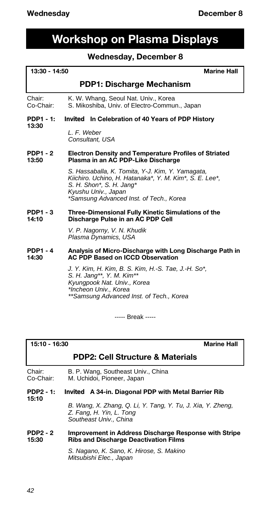# **Workshop on Plasma Displays**

## **Wednesday, December 8**

| 13:30 - 14:50<br><b>Marine Hall</b> |                                                                                                                                                                                                           |
|-------------------------------------|-----------------------------------------------------------------------------------------------------------------------------------------------------------------------------------------------------------|
|                                     | PDP1: Discharge Mechanism                                                                                                                                                                                 |
| Chair:<br>Co-Chair:                 | K. W. Whang, Seoul Nat. Univ., Korea<br>S. Mikoshiba, Univ. of Electro-Commun., Japan                                                                                                                     |
| PDP1 - 1:                           | <i>Invited</i> In Celebration of 40 Years of PDP History                                                                                                                                                  |
| 13:30                               | L. F. Weber<br>Consultant, USA                                                                                                                                                                            |
| PDP1 - 2<br>13:50                   | <b>Electron Density and Temperature Profiles of Striated</b><br>Plasma in an AC PDP-Like Discharge                                                                                                        |
|                                     | S. Hassaballa, K. Tomita, Y-J. Kim, Y. Yamaqata,<br>Kiichiro. Uchino, H. Hatanaka*, Y. M. Kim*, S. E. Lee*,<br>S. H. Shon*, S. H. Jang*<br>Kyushu Univ., Japan<br>*Samsung Advanced Inst. of Tech., Korea |
| PDP1 - 3<br>14:10                   | Three-Dimensional Fully Kinetic Simulations of the<br>Discharge Pulse in an AC PDP Cell                                                                                                                   |
|                                     | V. P. Nagorny, V. N. Khudik<br>Plasma Dynamics, USA                                                                                                                                                       |
| PDP1 - 4<br>14:30                   | Analysis of Micro-Discharge with Long Discharge Path in<br><b>AC PDP Based on ICCD Observation</b>                                                                                                        |
|                                     | J. Y. Kim, H. Kim, B. S. Kim, H.-S. Tae, J.-H. So*,<br>S. H. Jang**, Y. M. Kim**                                                                                                                          |

*Kyungpook Nat. Univ., Korea \*Incheon Univ., Korea \*\*Samsung Advanced Inst. of Tech., Korea*

----- Break -----

## **15:10 - 16:30 Marine Hall**

# **PDP2: Cell Structure & Materials**

| Chair:    | B. P. Wang, Southeast Univ., China |
|-----------|------------------------------------|
| Co-Chair: | M. Uchidoi, Pioneer, Japan         |

**PDP2 - 1:** *Invited* **A 34-in. Diagonal PDP with Metal Barrier Rib 15:10**

> *B. Wang, X. Zhang, Q. Li, Y. Tang, Y. Tu, J. Xia, Y. Zheng, Z. Fang, H. Yin, L. Tong Southeast Univ., China*

#### **PDP2 - 2 Improvement in Address Discharge Response with Stripe 15:30 Ribs and Discharge Deactivation Films**

*S. Nagano, K. Sano, K. Hirose, S. Makino Mitsubishi Elec., Japan*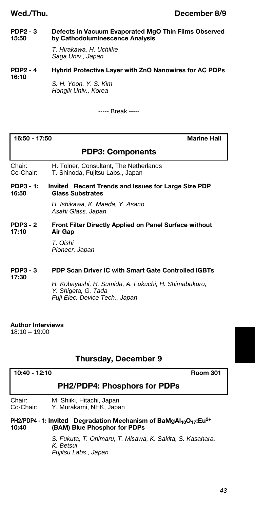#### **PDP2 - 3 Defects in Vacuum Evaporated MgO Thin Films Observed 15:50 by Cathodoluminescence Analysis**

*T. Hirakawa, H. Uchiike Saga Univ., Japan*

#### **PDP2 - 4 Hybrid Protective Layer with ZnO Nanowires for AC PDPs 16:10**

*S. H. Yoon, Y. S. Kim Hongik Univ., Korea*

----- Break -----

## **16:50 - 17:50 Marine Hall**

# **PDP3: Components**

Chair: H. Tolner, Consultant, The Netherlands<br>Co-Chair: T. Shinoda. Fuiitsu Labs.. Japan T. Shinoda, Fujitsu Labs., Japan

#### **PDP3 - 1:** *Invited* **Recent Trends and Issues for Large Size PDP 16:50 Glass Substrates**

*H. Ishikawa, K. Maeda, Y. Asano Asahi Glass, Japan*

#### **PDP3 - 2** Front Filter Directly Applied on Panel Surface without <br>17:10 Air Gap **Air Gap**

*T. Oishi Pioneer, Japan*

#### **PDP3 - 3 PDP Scan Driver IC with Smart Gate Controlled IGBTs 17:30**

*H. Kobayashi, H. Sumida, A. Fukuchi, H. Shimabukuro, Y. Shigeta, G. Tada Fuji Elec. Device Tech., Japan*

### **Author Interviews**

 $18:10 - 19:00$ 

# **Thursday, December 9**

# **10:40 - 12:10 Room 301**

# **PH2/PDP4: Phosphors for PDPs**

Chair: M. Shiiki, Hitachi, Japan Co-Chair: Y. Murakami, NHK, Japan

#### **PH2/PDP4 - 1:** *Invited* **Degradation Mechanism of BaMgAl10O17:Eu2+ (BAM) Blue Phosphor for PDPs**

*S. Fukuta, T. Onimaru, T. Misawa, K. Sakita, S. Kasahara, K. Betsui Fujitsu Labs., Japan*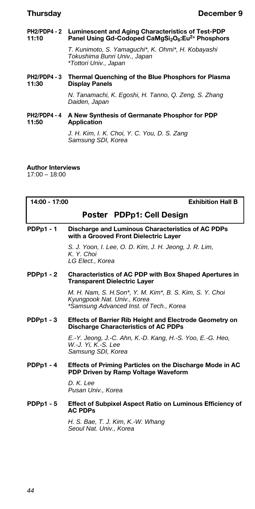#### **PH2/PDP4 - 2 Luminescent and Aging Characteristics of Test-PDP<br>11:10 Panel Using Gd-Codoped CaMgSi<sub>2</sub>O<sub>6</sub>:Eu<sup>2+</sup> Phosphor 11:10 Panel Using Gd-Codoped CaMgSi2O6:Eu2+ Phosphors**

*T. Kunimoto, S. Yamaguchi\*, K. Ohmi\*, H. Kobayashi Tokushima Bunri Univ., Japan \*Tottori Univ., Japan*

#### **PH2/PDP4 - 3 Thermal Quenching of the Blue Phosphors for Plasma Display Panels**

*N. Tanamachi, K. Egoshi, H. Tanno, Q. Zeng, S. Zhang Daiden, Japan*

### **PH2/PDP4 - 4 A New Synthesis of Germanate Phosphor for PDP 11:50 Application**

*J. H. Kim, I. K. Choi, Y. C. You, D. S. Zang Samsung SDI, Korea*

# **Author Interviews**

17:00 – 18:00

| 14:00 - 17:00<br><b>Exhibition Hall B</b> |                                                                                                                                   |
|-------------------------------------------|-----------------------------------------------------------------------------------------------------------------------------------|
|                                           | <i>Poster</i> PDPp1: Cell Design                                                                                                  |
| <b>PDPp1-1</b>                            | Discharge and Luminous Characteristics of AC PDPs<br>with a Grooved Front Dielectric Layer                                        |
|                                           | S. J. Yoon, I. Lee, O. D. Kim, J. H. Jeong, J. R. Lim,<br>K. Y. Choi<br>LG Elect., Korea                                          |
| $PDPp1 - 2$                               | <b>Characteristics of AC PDP with Box Shaped Apertures in</b><br><b>Transparent Dielectric Layer</b>                              |
|                                           | M. H. Nam, S. H.Son*, Y. M. Kim*, B. S. Kim, S. Y. Choi<br>Kyungpook Nat. Univ., Korea<br>*Samsung Advanced Inst. of Tech., Korea |
| $PDPp1 - 3$                               | <b>Effects of Barrier Rib Height and Electrode Geometry on</b><br><b>Discharge Characteristics of AC PDPs</b>                     |
|                                           | E.-Y. Jeong, J.-C. Ahn, K.-D. Kang, H.-S. Yoo, E.-G. Heo,<br>W.-J. Yi. K.-S. Lee<br>Samsung SDI, Korea                            |
| $PDPp1 - 4$                               | Effects of Priming Particles on the Discharge Mode in AC<br>PDP Driven by Ramp Voltage Waveform                                   |
|                                           | D. K. Lee<br>Pusan Univ., Korea                                                                                                   |
| $PDPp1 - 5$                               | <b>Effect of Subpixel Aspect Ratio on Luminous Efficiency of</b><br><b>AC PDPs</b>                                                |
|                                           | H. S. Bae, T. J. Kim, K.-W. Whang<br>Seoul Nat. Univ., Korea                                                                      |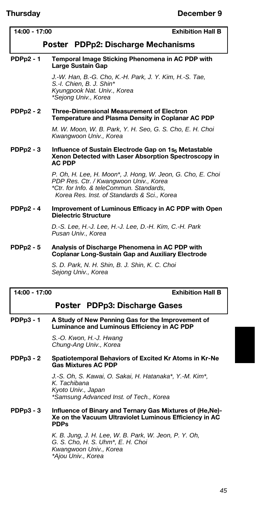| 14:00 - 17:00<br><b>Exhibition Hall B</b> |                                                                                                                                                                                                 |  |
|-------------------------------------------|-------------------------------------------------------------------------------------------------------------------------------------------------------------------------------------------------|--|
|                                           | Poster PDPp2: Discharge Mechanisms                                                                                                                                                              |  |
| <b>PDPp2 - 1</b>                          | Temporal Image Sticking Phenomena in AC PDP with<br>Large Sustain Gap                                                                                                                           |  |
|                                           | J.-W. Han, B.-G. Cho, K.-H. Park, J. Y. Kim, H.-S. Tae,<br>S.-I. Chien, B. J. Shin*<br>Kyungpook Nat. Univ., Korea<br>*Sejong Univ., Korea                                                      |  |
| <b>PDPp2 - 2</b>                          | <b>Three-Dimensional Measurement of Electron</b><br>Temperature and Plasma Density in Coplanar AC PDP                                                                                           |  |
|                                           | M. W. Moon, W. B. Park, Y. H. Seo, G. S. Cho, E. H. Choi<br>Kwangwoon Univ., Korea                                                                                                              |  |
| <b>PDPp2 - 3</b>                          | Influence of Sustain Electrode Gap on 1s <sub>5</sub> Metastable<br>Xenon Detected with Laser Absorption Spectroscopy in<br><b>AC PDP</b>                                                       |  |
|                                           | P. Oh, H. Lee, H. Moon*, J. Hong, W. Jeon, G. Cho, E. Choi<br>PDP Res. Ctr. / Kwangwoon Univ., Korea<br>*Ctr. for Info. & teleCommun. Standards.<br>Korea Res. Inst. of Standards & Sci., Korea |  |
| <b>PDPp2 - 4</b>                          | Improvement of Luminous Efficacy in AC PDP with Open<br><b>Dielectric Structure</b>                                                                                                             |  |
|                                           | D.-S. Lee, H.-J. Lee, H.-J. Lee, D.-H. Kim, C.-H. Park<br>Pusan Univ., Korea                                                                                                                    |  |
| <b>PDPp2 - 5</b>                          | Analysis of Discharge Phenomena in AC PDP with<br><b>Coplanar Long-Sustain Gap and Auxiliary Electrode</b>                                                                                      |  |
|                                           | S. D. Park, N. H. Shin, B. J. Shin, K. C. Choi<br>Sejong Univ., Korea                                                                                                                           |  |
| <b>Exhibition Hall B</b><br>14:00 - 17:00 |                                                                                                                                                                                                 |  |
|                                           | Poster PDPp3: Discharge Gases                                                                                                                                                                   |  |
|                                           |                                                                                                                                                                                                 |  |

## **PDPp3 - 1 A Study of New Penning Gas for the Improvement of Luminance and Luminous Efficiency in AC PDP**

*S.-O. Kwon, H.-J. Hwang Chung-Ang Univ., Korea*

#### **PDPp3 - 2 Spatiotemporal Behaviors of Excited Kr Atoms in Kr-Ne Gas Mixtures AC PDP**

*J.-S. Oh, S. Kawai, O. Sakai, H. Hatanaka\*, Y.-M. Kim\*, K. Tachibana Kyoto Univ., Japan \*Samsung Advanced Inst. of Tech., Korea*

#### **PDPp3 - 3 Influence of Binary and Ternary Gas Mixtures of (He,Ne)- Xe on the Vacuum Ultraviolet Luminous Efficiency in AC PDPs**

*K. B. Jung, J. H. Lee, W. B. Park, W. Jeon, P. Y. Oh, G. S. Cho, H. S. Uhm\*, E. H. Choi Kwangwoon Univ., Korea \*Ajou Univ., Korea*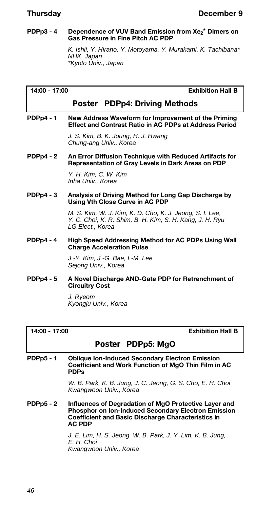#### **PDPp3 - 4 Dependence of VUV Band Emission from Xe<sup>2</sup> \* Dimers on Gas Pressure in Fine Pitch AC PDP**

*K. Ishii, Y. Hirano, Y. Motoyama, Y. Murakami, K. Tachibana\* NHK, Japan \*Kyoto Univ., Japan*

**14:00 - 17:00 Exhibition Hall B**

# *Poster* **PDPp4: Driving Methods**

#### **PDPp4 - 1 New Address Waveform for Improvement of the Priming Effect and Contrast Ratio in AC PDPs at Address Period**

*J. S. Kim, B. K. Joung, H. J. Hwang Chung-ang Univ., Korea*

**PDPp4 - 2 An Error Diffusion Technique with Reduced Artifacts for Representation of Gray Levels in Dark Areas on PDP**

> *Y. H. Kim, C. W. Kim Inha Univ., Korea*

**PDPp4 - 3 Analysis of Driving Method for Long Gap Discharge by Using Vth Close Curve in AC PDP**

> *M. S. Kim, W. J. Kim, K. D. Cho, K. J. Jeong, S. I. Lee, Y. C. Choi, K. R. Shim, B. H. Kim, S. H. Kang, J. H. Ryu LG Elect., Korea*

**PDPp4 - 4 High Speed Addressing Method for AC PDPs Using Wall Charge Acceleration Pulse**

> *J.-Y. Kim, J.-G. Bae, I.-M. Lee Sejong Univ., Korea*

**PDPp4 - 5 A Novel Discharge AND-Gate PDP for Retrenchment of Circuitry Cost**

> *J. Ryeom Kyongju Univ., Korea*

**14:00 - 17:00 Exhibition Hall B**

# *Poster* **PDPp5: MgO**

**PDPp5 - 1 Oblique Ion-Induced Secondary Electron Emission Coefficient and Work Function of MgO Thin Film in AC PDPs**

> *W. B. Park, K. B. Jung, J. C. Jeong, G. S. Cho, E. H. Choi Kwangwoon Univ., Korea*

**PDPp5 - 2 Influences of Degradation of MgO Protective Layer and Phosphor on Ion-Induced Secondary Electron Emission Coefficient and Basic Discharge Characteristics in AC PDP**

> *J. E. Lim, H. S. Jeong, W. B. Park, J. Y. Lim, K. B. Jung, E. H. Choi Kwangwoon Univ., Korea*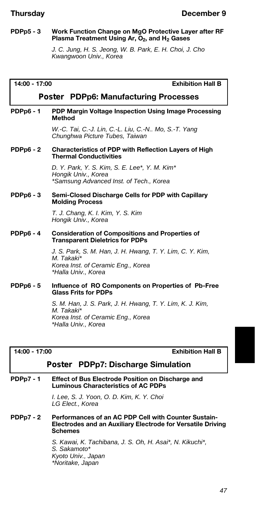#### **PDPp5 - 3 Work Function Change on MgO Protective Layer after RF Plasma Treatment Using Ar, O2, and H<sup>2</sup> Gases**

*J. C. Jung, H. S. Jeong, W. B. Park, E. H. Choi, J. Cho Kwangwoon Univ., Korea*

| 14:00 - 17:00<br><b>Exhibition Hall B</b> |                                                                                                                                      |
|-------------------------------------------|--------------------------------------------------------------------------------------------------------------------------------------|
|                                           | <b>Poster PDPp6: Manufacturing Processes</b>                                                                                         |
| <b>PDPp6 - 1</b>                          | PDP Margin Voltage Inspection Using Image Processing<br><b>Method</b>                                                                |
|                                           | W.-C. Tai, C.-J. Lin, C.-L. Liu, C.-N Mo, S.-T. Yang<br>Chunghwa Picture Tubes, Taiwan                                               |
| <b>PDPp6 - 2</b>                          | Characteristics of PDP with Reflection Layers of High<br><b>Thermal Conductivities</b>                                               |
|                                           | D. Y. Park, Y. S. Kim, S. E. Lee*, Y. M. Kim*<br>Hongik Univ., Korea<br>*Samsung Advanced Inst. of Tech., Korea                      |
| $PDPp6 - 3$                               | Semi-Closed Discharge Cells for PDP with Capillary<br><b>Molding Process</b>                                                         |
|                                           | T. J. Chang, K. I. Kim, Y. S. Kim<br>Hongik Univ., Korea                                                                             |
| <b>PDPp6 - 4</b>                          | <b>Consideration of Compositions and Properties of</b><br><b>Transparent Dieletrics for PDPs</b>                                     |
|                                           | J. S. Park, S. M. Han, J. H. Hwang, T. Y. Lim, C. Y. Kim,<br>M. Takaki*<br>Korea Inst. of Ceramic Eng., Korea<br>*Halla Univ., Korea |
| <b>PDPp6 - 5</b>                          | Influence of RO Components on Properties of Pb-Free<br><b>Glass Frits for PDPs</b>                                                   |
|                                           | S. M. Han, J. S. Park, J. H. Hwang, T. Y. Lim, K. J. Kim,<br>M. Takaki*<br>Korea Inst. of Ceramic Eng., Korea<br>*Halla Univ., Korea |

#### **14:00 - 17:00 Exhibition Hall B**

# *Poster* **PDPp7: Discharge Simulation**

#### **PDPp7 - 1 Effect of Bus Electrode Position on Discharge and Luminous Characteristics of AC PDPs**

*I. Lee, S. J. Yoon, O. D. Kim, K. Y. Choi LG Elect., Korea*

#### **PDPp7 - 2 Performances of an AC PDP Cell with Counter Sustain-Electrodes and an Auxiliary Electrode for Versatile Driving Schemes**

*S. Kawai, K. Tachibana, J. S. Oh, H. Asai\*, N. Kikuchi\*, S. Sakamoto\* Kyoto Univ., Japan \*Noritake, Japan*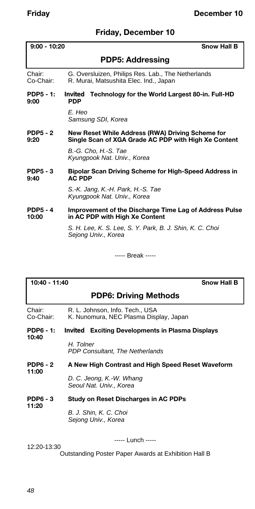# **Friday, December 10**

|                          | $9:00 - 10:20$<br><b>Snow Hall B</b>                                                                     |  |
|--------------------------|----------------------------------------------------------------------------------------------------------|--|
|                          | <b>PDP5: Addressing</b>                                                                                  |  |
| Chair:<br>Co-Chair:      | G. Oversluizen, Philips Res. Lab., The Netherlands<br>R. Murai, Matsushita Elec. Ind., Japan             |  |
| PDP5 - 1:<br>9:00        | <i>Invited</i> Technology for the World Largest 80-in. Full-HD<br><b>PDP</b>                             |  |
|                          | F. Hen<br>Samsung SDI, Korea                                                                             |  |
| <b>PDP5 - 2</b><br>9:20  | New Reset While Address (RWA) Driving Scheme for<br>Single Scan of XGA Grade AC PDP with High Xe Content |  |
|                          | B.-G. Cho, H.-S. Tae<br>Kyungpook Nat. Univ., Korea                                                      |  |
| <b>PDP5 - 3</b><br>9:40  | <b>Bipolar Scan Driving Scheme for High-Speed Address in</b><br><b>AC PDP</b>                            |  |
|                          | S.-K. Jang, K.-H. Park, H.-S. Tae<br>Kyungpook Nat. Univ., Korea                                         |  |
| <b>PDP5 - 4</b><br>10:00 | Improvement of the Discharge Time Lag of Address Pulse<br>in AC PDP with High Xe Content                 |  |
|                          | S. H. Lee, K. S. Lee, S. Y. Park, B. J. Shin, K. C. Choi<br>Sejong Univ., Korea                          |  |

----- Break -----

| 10:40 - 11:40<br><b>Snow Hall B</b> |                                                                           |
|-------------------------------------|---------------------------------------------------------------------------|
|                                     | <b>PDP6: Driving Methods</b>                                              |
| Chair:<br>Co-Chair:                 | R. L. Johnson, Info. Tech., USA<br>K. Nunomura, NEC Plasma Display, Japan |
| PDP6 - 1:                           | <i>Invited</i> Exciting Developments in Plasma Displays                   |
| 10:40                               | H. Tolner<br><b>PDP Consultant, The Netherlands</b>                       |
| <b>PDP6 - 2</b>                     | A New High Contrast and High Speed Reset Waveform                         |
| 11:00                               | D. C. Jeong, K.-W. Whang<br>Seoul Nat. Univ., Korea                       |
| <b>PDP6 - 3</b><br>11:20            | Study on Reset Discharges in AC PDPs                                      |
|                                     | B. J. Shin, K. C. Choi<br>Sejong Univ., Korea                             |
|                                     | ----- Lunch -----                                                         |

12:20-13:30

Outstanding Poster Paper Awards at Exhibition Hall B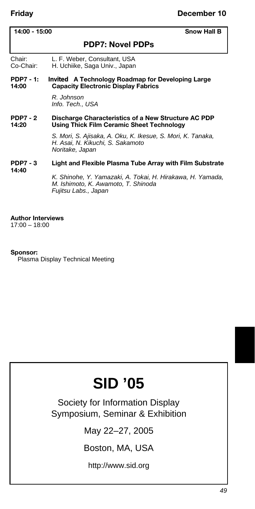## **14:00 - 15:00 Snow Hall B**

# **PDP7: Novel PDPs**

Chair: L. F. Weber, Consultant, USA Co-Chair: H. Uchiike, Saga Univ., Japan

#### **PDP7 - 1:** *Invited* **A Technology Roadmap for Developing Large 14:00 Capacity Electronic Display Fabrics**

*R. Johnson Info. Tech., USA*

#### **PDP7 - 2** Discharge Characteristics of a New Structure AC PDP 14:20 **14:20 Using Thick Film Ceramic Sheet Technology**

*S. Mori, S. Ajisaka, A. Oku, K. Ikesue, S. Mori, K. Tanaka, H. Asai, N. Kikuchi, S. Sakamoto Noritake, Japan*

#### **PDP7 - 3 Light and Flexible Plasma Tube Array with Film Substrate 14:40**

*K. Shinohe, Y. Yamazaki, A. Tokai, H. Hirakawa, H. Yamada, M. Ishimoto, K. Awamoto, T. Shinoda Fujitsu Labs., Japan*

# **Author Interviews**

17:00 – 18:00

### **Sponsor:**

Plasma Display Technical Meeting

# **SID '05**

Society for Information Display Symposium, Seminar & Exhibition

May 22–27, 2005

Boston, MA, USA

http://www.sid.org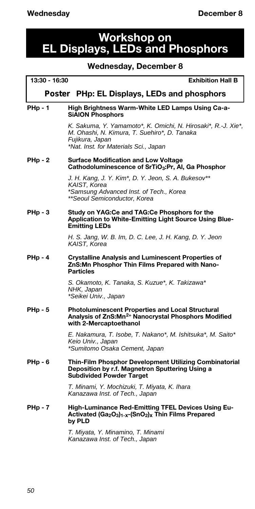# **Workshop on EL Displays, LEDs and Phosphors**

## **Wednesday, December 8**

# **13:30 - 16:30 Exhibition Hall B** *Poster* **PHp: EL Displays, LEDs and phosphors** PHp - 1 High Brightness Warm-White LED Lamps Using Ca-a-**SiAlON Phosphors** *K. Sakuma, Y. Yamamoto\*, K. Omichi, N. Hirosaki\*, R.-J. Xie\*, M. Ohashi, N. Kimura, T. Suehiro\*, D. Tanaka Fujikura, Japan \*Nat. Inst. for Materials Sci., Japan* **PHp - 2 Surface Modification and Low Voltage Cathodoluminescence of SrTiO3:Pr, Al, Ga Phosphor** *J. H. Kang, J. Y. Kim\*, D. Y. Jeon, S. A. Bukesov\*\* KAIST, Korea \*Samsung Advanced Inst. of Tech., Korea \*\*Seoul Semiconductor, Korea* **PHp - 3 Study on YAG:Ce and TAG:Ce Phosphors for the Application to White-Emitting Light Source Using Blue-Emitting LEDs** *H. S. Jang, W. B. Im, D. C. Lee, J. H. Kang, D. Y. Jeon KAIST, Korea* **PHp - 4 Crystalline Analysis and Luminescent Properties of ZnS:Mn Phosphor Thin Films Prepared with Nano-Particles** *S. Okamoto, K. Tanaka, S. Kuzue\*, K. Takizawa\* NHK, Japan \*Seikei Univ., Japan* **PHp - 5 Photoluminescent Properties and Local Structural Analysis of ZnS:Mn2+ Nanocrystal Phosphors Modified with 2-Mercaptoethanol** *E. Nakamura, T. Isobe, T. Nakano\*, M. Ishitsuka\*, M. Saito\* Keio Univ., Japan \*Sumitomo Osaka Cement, Japan* **PHp - 6 Thin-Film Phosphor Development Utilizing Combinatorial Deposition by r.f. Magnetron Sputtering Using a Subdivided Powder Target** *T. Minami, Y. Mochizuki, T. Miyata, K. Ihara Kanazawa Inst. of Tech., Japan*

PHp - 7 High-Luminance Red-Emitting TFEL Devices Using Eu-**Activated (Ga2O3)1-x-(SnO2)x Thin Films Prepared by PLD**

> *T. Miyata, Y. Minamino, T. Minami Kanazawa Inst. of Tech., Japan*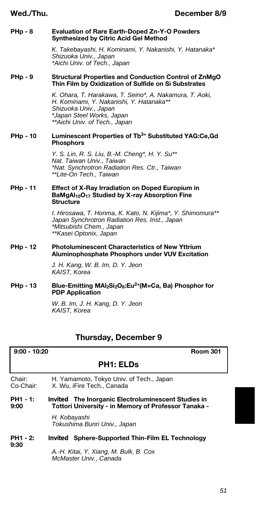#### **PHp - 8 Evaluation of Rare Earth-Doped Zn-Y-O Powders Synthesized by Citric Acid Gel Method**

*K. Takebayashi, H. Kominami, Y. Nakanishi, Y. Hatanaka\* Shizuoka Univ., Japan \*Aichi Univ. of Tech., Japan*

#### **PHp - 9 Structural Properties and Conduction Control of ZnMgO Thin Film by Oxidization of Sulfide on Si Substrates**

*K. Ohara, T. Harakawa, T. Seino\*, A. Nakamura, T. Aoki, H. Kominami, Y. Nakanishi, Y. Hatanaka\*\* Shizuoka Univ., Japan \*Japan Steel Works, Japan \*\*Aichi Univ. of Tech., Japan*

#### **PHp - 10 Luminescent Properties of Tb3+ Substituted YAG:Ce,Gd Phosphors**

*Y. S. Lin, R. S. Liu, B.-M. Cheng\*, H. Y. Su\*\* Nat. Taiwan Univ., Taiwan \*Nat. Synchrotron Radiation Res. Ctr., Taiwan \*\*Lite-On Tech., Taiwan*

#### **PHp - 11 Effect of X-Ray Irradiation on Doped Europium in BaMgAl10O<sup>17</sup> Studied by X-ray Absorption Fine Structure**

*I. Hirosawa, T. Honma, K. Kato, N. Kijima\*, Y. Shimomura\*\* Japan Synchrotron Radiation Res. Inst., Japan \*Mitsubishi Chem., Japan \*\*Kasei Optonix, Japan*

#### **PHp - 12 Photoluminescent Characteristics of New Yttrium Aluminophosphate Phosphors under VUV Excitation**

*J. H. Kang, W. B. Im, D. Y. Jeon KAIST, Korea*

**PHp - 13 Blue-Emitting MAl2Si2O8:Eu2+(M=Ca, Ba) Phosphor for PDP Application**

> *W. B. Im, J. H. Kang, D. Y. Jeon KAIST, Korea*

# **Thursday, December 9**

## **9:00 - 10:20 Room 301**

# **PH1: ELDs**

- Chair: H. Yamamoto, Tokyo Univ. of Tech., Japan<br>Co-Chair: X. Wu. iFire Tech., Canada X. Wu, iFire Tech., Canada
- **PH1 1:** *Invited* **The Inorganic Electroluminescent Studies in 9:00 Tottori University - in Memory of Professor Tanaka -**

*H. Kobayashi Tokushima Bunri Univ., Japan*

#### **PH1 - 2:** *Invited* **Sphere-Supported Thin-Film EL Technology 9:30**

*A.-H. Kitai, Y. Xiang, M. Bulk, B. Cox McMaster Univ., Canada*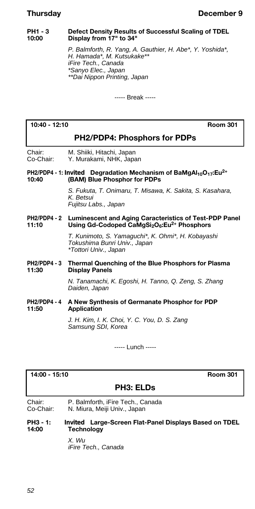#### **PH1 - 3** Defect Density Results of Successful Scaling of TDEL<br>10:00 Display from 17" to 34" **10:00 Display from 17" to 34"**

*P. Balmforth, R. Yang, A. Gauthier, H. Abe\*, Y. Yoshida\*, H. Hamada\*, M. Kutsukake\*\* iFire Tech., Canada \*Sanyo Elec., Japan \*\*Dai Nippon Printing, Japan*

----- Break -----

### **10:40 - 12:10 Room 301**

# **PH2/PDP4: Phosphors for PDPs**

Chair: M. Shiiki, Hitachi, Japan Co-Chair: Y. Murakami, NHK, Japan

#### **PH2/PDP4 - 1:** *Invited* **Degradation Mechanism of BaMgAl10O17:Eu2+ 10:40 (BAM) Blue Phosphor for PDPs**

*S. Fukuta, T. Onimaru, T. Misawa, K. Sakita, S. Kasahara, K. Betsui Fujitsu Labs., Japan*

#### **PH2/PDP4 - 2** Luminescent and Aging Caracteristics of Test-PDP Panel<br>11:10 **11:20 Lising Gd-Codoned CaMgSi**oOe:Fu<sup>2+</sup> Phosphors **11:10 Using Gd-Codoped CaMgSi2O6:Eu2+ Phosphors**

*T. Kunimoto, S. Yamaguchi\*, K. Ohmi\*, H. Kobayashi Tokushima Bunri Univ., Japan \*Tottori Univ., Japan*

#### **PH2/PDP4 - 3 Thermal Quenching of the Blue Phosphors for Plasma Display Panels**

*N. Tanamachi, K. Egoshi, H. Tanno, Q. Zeng, S. Zhang Daiden, Japan*

#### **PH2/PDP4 - 4 A New Synthesis of Germanate Phosphor for PDP Application**

*J. H. Kim, I. K. Choi, Y. C. You, D. S. Zang Samsung SDI, Korea*

----- Lunch -----

### **14:00 - 15:10 Room 301**

# **PH3: ELDs**

Chair: P. Balmforth, iFire Tech., Canada<br>Co-Chair: N. Miura. Meiji Univ., Japan N. Miura, Meiji Univ., Japan

#### **PH3 - 1:** *Invited* **Large-Screen Flat-Panel Displays Based on TDEL 14:00 Technology**

*X. Wu iFire Tech., Canada*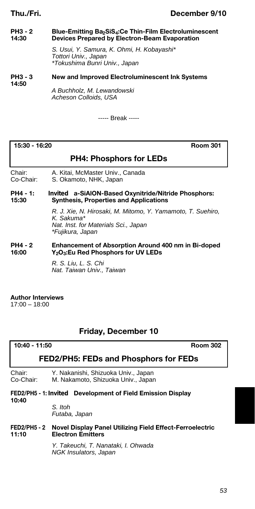# **Thu./Fri. December 9/10**

#### **PH3 - 2 Blue-Emitting Ba2SiS4:Ce Thin-Film Electroluminescent 14:30 Devices Prepared by Electron-Beam Evaporation**

*S. Usui, Y. Samura, K. Ohmi, H. Kobayashi\* Tottori Univ., Japan \*Tokushima Bunri Univ., Japan*

#### **PH3 - 3 New and Improved Electroluminescent Ink Systems 14:50**

*A Buchholz, M. Lewandowski Acheson Colloids, USA*

----- Break -----

**15:30 - 16:20 Room 301**

# **PH4: Phosphors for LEDs**

Chair: A. Kitai, McMaster Univ., Canada Co-Chair: S. Okamoto, NHK, Japan

#### **PH4 - 1:** *Invited* **a-SiAlON-Based Oxynitride/Nitride Phosphors: 15:30 Synthesis, Properties and Applications**

*R. J. Xie, N. Hirosaki, M. Mitomo, Y. Yamamoto, T. Suehiro, K. Sakuma\* Nat. Inst. for Materials Sci., Japan \*Fujikura, Japan*

#### **PH4 - 2** Enhancement of Absorption Around 400 nm in Bi-doped<br>16:00 Y<sub>2</sub>O<sub>3</sub>:Eu Red Phosphors for UV LEDs **16:00 Y2O3:Eu Red Phosphors for UV LEDs**

*R. S. Liu, L. S. Chi Nat. Taiwan Univ., Taiwan*

# **Author Interviews**

 $17:00 - 18:00$ 

# **Friday, December 10**

| $10.40 - 11.50$ |  |
|-----------------|--|
|-----------------|--|

**10:40 - 11:50 Room 302**

# **FED2/PH5: FEDs and Phosphors for FEDs**

Chair: Y. Nakanishi, Shizuoka Univ., Japan

M. Nakamoto, Shizuoka Univ., Japan

#### **FED2/PH5 - 1:** *Invited* **Development of Field Emission Display 10:40**

*S. Itoh Futaba, Japan*

#### **FED2/PH5 - 2 Novel Display Panel Utilizing Field Effect-Ferroelectric 12.11:20 Electron Emitters**

*Y. Takeuchi, T. Nanataki, I. Ohwada NGK Insulators, Japan*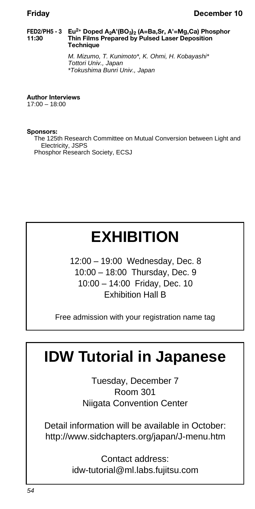#### **FED2/PH5 - 3 Eu2+ Doped A2A'(BO3)<sup>2</sup> (A=Ba,Sr, A'=Mg,Ca) Phosphor 11:30 Thin Films Prepared by Pulsed Laser Deposition Technique**

*M. Mizumo, T. Kunimoto\*, K. Ohmi, H. Kobayashi\* Tottori Univ., Japan \*Tokushima Bunri Univ., Japan*

**Author Interviews** 17:00 – 18:00

**Sponsors:** The 125th Research Committee on Mutual Conversion between Light and Electricity, JSPS Phosphor Research Society, ECSJ

# **EXHIBITION**

12:00 – 19:00 Wednesday, Dec. 8 10:00 – 18:00 Thursday, Dec. 9 10:00 – 14:00 Friday, Dec. 10 Exhibition Hall B

Free admission with your registration name tag

# **IDW Tutorial in Japanese**

Tuesday, December 7 Room 301 Niigata Convention Center

Detail information will be available in October: http://www.sidchapters.org/japan/J-menu.htm

> Contact address: idw-tutorial@ml.labs.fujitsu.com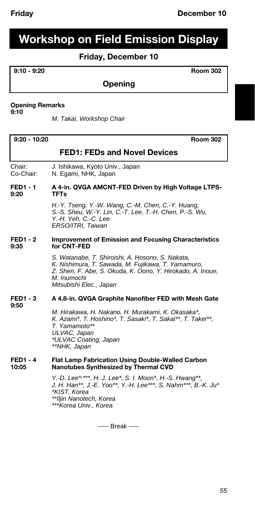# **Workshop on Field Emission Display**

# **Friday, December 10**

### **9:10 - 9:20 Room 302**

# **Opening**

## **Opening Remarks**

**9:10**

*M. Takai, Workshop Chair*

#### **9:20 - 10:20 Room 302**

# **FED1: FEDs and Novel Devices**

Chair: J. Ishikawa, Kyoto Univ., Japan<br>Co-Chair: N. Egami, NHK, Japan N. Egami, NHK, Japan

#### FED1 - 1 A 4-in. QVGA AMCNT-FED Driven by High Voltage LTPS-<br>9:20 TFTs **9:20 TFTs**

*H.-Y. Tseng, Y.-W. Wang, C.-M. Chen, C.-Y. Huang, S.-S. Sheu, W.-Y. Lin, C.-T. Lee, T.-H. Chen, P.-S. Wu, Y.-H. Yeh, C.-C. Lee ERSO/ITRI, Taiwan*

#### **FED1 - 2 Improvement of Emission and Focusing Characteristics**  for CNT-FED

*S. Watanabe, T. Shiroishi, A. Hosono, S. Nakata, K. Nishimura, T. Sawada, M. Fujikawa, T. Yamamuro, Z. Shen, F. Abe, S. Okuda, K. Oono, Y. Hirokado, A. Inoue, M. Inumochi Mitsubishi Elec., Japan*

#### **FED1 - 3 A 4.8-in. QVGA Graphite Nanofiber FED with Mesh Gate 9:50**

*M. Hirakawa, H. Nakano, H. Murakami, K. Okasaka\*, K. Azami\*, T. Hoshino\*, T. Sasaki\*, T. Sakai\*\*, T. Takei\*\*, T. Yamamoto\*\* ULVAC, Japan \*ULVAC Coating, Japan \*\*NHK, Japan*

#### **FED1 - 4 Flat Lamp Fabrication Using Double-Walled Carbon 10:05 Nanotubes Synthesized by Thermal CVD**

*Y.-D. Lee\*, \*\*\*, H. J. Lee\*, S. I. Moon\*, H.-S. Hwang\*\*, J. H. Han\*\*, J.-E. Yoo\*\*, Y.-H. Lee\*\*\*, S. Nahm\*\*\*, B.-K. Ju\* \*KIST, Korea \*\*Iljin Nanotech, Korea \*\*\*Korea Univ., Korea*

----- Break -----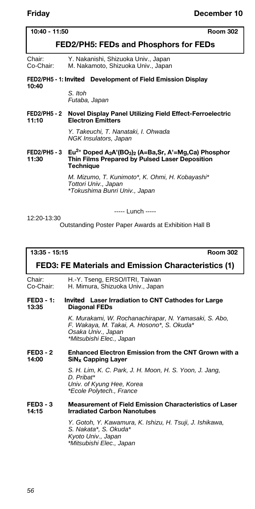## **10:40 - 11:50 Room 302**

# **FED2/PH5: FEDs and Phosphors for FEDs**

Chair: Y. Nakanishi, Shizuoka Univ., Japan Co-Chair: M. Nakamoto, Shizuoka Univ., Japan

#### **FED2/PH5 - 1:** *Invited* **Development of Field Emission Display**

#### **10:40**

*S. Itoh Futaba, Japan*

#### **FED2/PH5 - 2 Novel Display Panel Utilizing Field Effect-Ferroelectric Electron Emitters**

*Y. Takeuchi, T. Nanataki, I. Ohwada NGK Insulators, Japan*

#### **FED2/PH5 - 3 Eu2+ Doped A2A'(BO3)<sup>2</sup> (A=Ba,Sr, A'=Mg,Ca) Phosphor 11:30 Thin Films Prepared by Pulsed Laser Deposition Technique**

*M. Mizumo, T. Kunimoto\*, K. Ohmi, H. Kobayashi\* Tottori Univ., Japan \*Tokushima Bunri Univ., Japan*

12:20-13:30

----- Lunch -----

Outstanding Poster Paper Awards at Exhibition Hall B

#### **13:35 - 15:15 Room 302**

# **FED3: FE Materials and Emission Characteristics (1)**

Chair: H.-Y. Tseng, ERSO/ITRI, Taiwan Co-Chair: H. Mimura, Shizuoka Univ., Japan

#### **FED3 - 1:** *Invited* **Laser Irradiation to CNT Cathodes for Large 13:35 Diagonal FEDs**

*K. Murakami, W. Rochanachirapar, N. Yamasaki, S. Abo, F. Wakaya, M. Takai, A. Hosono\*, S. Okuda\* Osaka Univ., Japan \*Mitsubishi Elec., Japan*

#### **FED3 - 2** Enhanced Electron Emission from the CNT Grown with a 14:00 **14:00 SiNx Capping Layer**

*S. H. Lim, K. C. Park, J. H. Moon, H. S. Yoon, J. Jang, D. Pribat\* Univ. of Kyung Hee, Korea \*Ecole Polytech., France*

#### **FED3 - 3 Measurement of Field Emission Characteristics of Laser Irradiated Carbon Nanotubes**

*Y. Gotoh, Y. Kawamura, K. Ishizu, H. Tsuji, J. Ishikawa, S. Nakata\*, S. Okuda\* Kyoto Univ., Japan \*Mitsubishi Elec., Japan*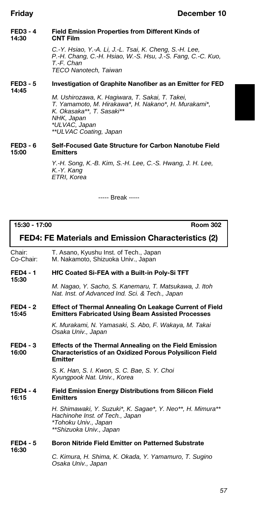### **FED3 - 4** Field Emission Properties from Different Kinds of 14:30 **14:30 CNT Film**

*C.-Y. Hsiao, Y.-A. Li, J.-L. Tsai, K. Cheng, S.-H. Lee, P.-H. Chang, C.-H. Hsiao, W.-S. Hsu, J.-S. Fang, C.-C. Kuo, T.-F. Chan TECO Nanotech, Taiwan*

#### **FED3 - 5 Investigation of Graphite Nanofiber as an Emitter for FED 14:45**

*M. Ushirozawa, K. Hagiwara, T. Sakai, T. Takei, T. Yamamoto, M. Hirakawa\*, H. Nakano\*, H. Murakami\*, K. Okasaka\*\*, T. Sasaki\*\* NHK, Japan \*ULVAC, Japan \*\*ULVAC Coating, Japan*

#### **FED3 - 6 Self-Focused Gate Structure for Carbon Nanotube Field 15:00 Emitters**

*Y.-H. Song, K.-B. Kim, S.-H. Lee, C.-S. Hwang, J. H. Lee, K.-Y. Kang ETRI, Korea*

----- Break -----

# **15:30 - 17:00 Room 302 FED4: FE Materials and Emission Characteristics (2)** Chair: T. Asano, Kyushu Inst. of Tech., Japan Co-Chair: M. Nakamoto, Shizuoka Univ., Japan **FED4 - 1 HfC Coated Si-FEA with a Built-in Poly-Si TFT 15:30** *M. Nagao, Y. Sacho, S. Kanemaru, T. Matsukawa, J. Itoh Nat. Inst. of Advanced Ind. Sci. & Tech., Japan* **FED4 - 2** Effect of Thermal Annealing On Leakage Current of Field<br>15:45 **Emitters Fabricated Using Beam Assisted Processes 15:45 Emitters Fabricated Using Beam Assisted Processes** *K. Murakami, N. Yamasaki, S. Abo, F. Wakaya, M. Takai Osaka Univ., Japan* **FED4 - 3 Effects of the Thermal Annealing on the Field Emission 16:00 Characteristics of an Oxidized Porous Polysilicon Field Emitter** *S. K. Han, S. I. Kwon, S. C. Bae, S. Y. Choi Kyungpook Nat. Univ., Korea* **FED4 - 4 Field Emission Energy Distributions from Silicon Field 16:15 Emitters** *H. Shimawaki, Y. Suzuki\*, K. Sagae\*, Y. Neo\*\*, H. Mimura\*\* Hachinohe Inst. of Tech., Japan \*Tohoku Univ., Japan \*\*Shizuoka Univ., Japan* **FED4 - 5 Boron Nitride Field Emitter on Patterned Substrate 16:30** *C. Kimura, H. Shima, K. Okada, Y. Yamamuro, T. Sugino Osaka Univ., Japan*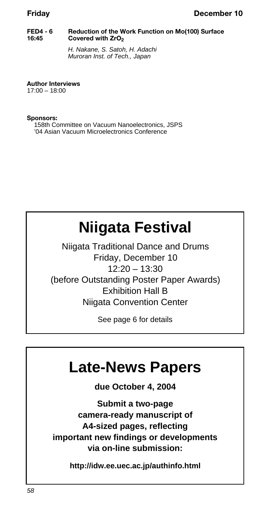#### **FED4 - 6 Reduction of the Work Function on Mo(100) Surface 16:45 Covered with ZrO<sup>2</sup>**

*H. Nakane, S. Satoh, H. Adachi Muroran Inst. of Tech., Japan*

**Author Interviews**

 $17:00 - 18:00$ 

**Sponsors:** 158th Committee on Vacuum Nanoelectronics, JSPS '04 Asian Vacuum Microelectronics Conference

# **Niigata Festival**

Niigata Traditional Dance and Drums Friday, December 10 12:20 – 13:30 (before Outstanding Poster Paper Awards) Exhibition Hall B Niigata Convention Center

See page 6 for details

# **Late-News Papers**

**due October 4, 2004**

**Submit a two-page camera-ready manuscript of A4-sized pages, reflecting important new findings or developments via on-line submission:**

**http://idw.ee.uec.ac.jp/authinfo.html**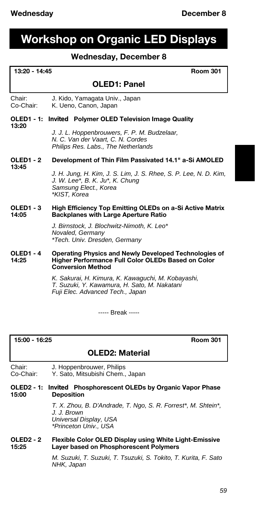# **Workshop on Organic LED Displays**

# **Wednesday, December 8**

| 13:20 - 14:45<br><b>Room 301</b> |                                                                                                                                              |
|----------------------------------|----------------------------------------------------------------------------------------------------------------------------------------------|
|                                  | <b>OLED1: Panel</b>                                                                                                                          |
| Chair:<br>Co-Chair:              | J. Kido, Yamagata Univ., Japan<br>K. Ueno, Canon, Japan                                                                                      |
| <b>OLED1 - 1:</b>                | <b>Invited</b> Polymer OLED Television Image Quality                                                                                         |
| 13:20                            | J. J. L. Hoppenbrouwers, F. P. M. Budzelaar,<br>N. C. Van der Vaart, C. N. Cordes<br>Philips Res. Labs., The Netherlands                     |
| <b>OLED1 - 2</b>                 | Development of Thin Film Passivated 14.1" a-Si AMOLED                                                                                        |
| 13:45                            | J. H. Jung, H. Kim, J. S. Lim, J. S. Rhee, S. P. Lee, N. D. Kim,<br>J. W. Lee*, B. K. Ju*, K. Chung<br>Samsung Elect., Korea<br>*KIST, Korea |
| <b>OLED1 - 3</b><br>14:05        | High Efficiency Top Emitting OLEDs on a-Si Active Matrix<br><b>Backplanes with Large Aperture Ratio</b>                                      |
|                                  | J. Birnstock, J. Blochwitz-Nimoth, K. Leo*<br>Novaled, Germany<br>*Tech. Univ. Dresden, Germany                                              |
| <b>OLED1 - 4</b><br>14:25        | Operating Physics and Newly Developed Technologies of<br>Higher Performance Full Color OLEDs Based on Color<br><b>Conversion Method</b>      |
|                                  | K. Sakurai, H. Kimura, K. Kawaquchi, M. Kobayashi,<br>T Suzuki Y Kawamura H Sato M Nakatani                                                  |

*T. Suzuki, Y. Kawamura, H. Sato, M. Nakatani Fuji Elec. Advanced Tech., Japan*

----- Break -----

## **15:00 - 16:25 Room 301**

# **OLED2: Material**

Chair: J. Hoppenbrouwer, Philips<br>Co-Chair: Y. Sato, Mitsubishi Chem.,

Y. Sato, Mitsubishi Chem., Japan

#### **OLED2 - 1:** *Invited* **Phosphorescent OLEDs by Organic Vapor Phase 15:00 Deposition**

*T. X. Zhou, B. D'Andrade, T. Ngo, S. R. Forrest\*, M. Shtein\*, J. J. Brown Universal Display, USA \*Princeton Univ., USA*

#### **OLED2 - 2 Flexible Color OLED Display using White Light-Emissive 15:25 Layer based on Phosphorescent Polymers**

*M. Suzuki, T. Suzuki, T. Tsuzuki, S. Tokito, T. Kurita, F. Sato NHK, Japan*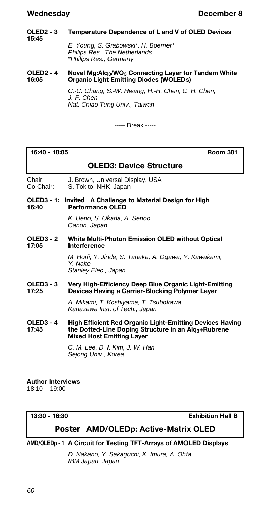## **Wednesday December 8**

#### **OLED2 - 3 Temperature Dependence of L and V of OLED Devices 15:45** *E. Young, S. Grabowski\*, H. Boerner\**

*Philips Res., The Netherlands \*Philips Res., Germany*

#### **OLED2 - 4 Novel Mg:Alq3/WO<sup>3</sup> Connecting Layer for Tandem White 16:05 Organic Light Emitting Diodes (WOLEDs)**

*C.-C. Chang, S.-W. Hwang, H.-H. Chen, C. H. Chen, J.-F. Chen Nat. Chiao Tung Univ., Taiwan*

----- Break -----

#### **16:40 - 18:05 Room 301**

## **OLED3: Device Structure**

Chair: J. Brown, Universal Display, USA Co-Chair: S. Tokito, NHK, Japan

**OLED3 - 1:** *Invited* **A Challenge to Material Design for High 16:40 Performance OLED**

> *K. Ueno, S. Okada, A. Senoo Canon, Japan*

**OLED3 - 2 White Multi-Photon Emission OLED without Optical 17:05 Interference**

> *M. Horii, Y. Jinde, S. Tanaka, A. Ogawa, Y. Kawakami, Y. Naito Stanley Elec., Japan*

**OLED3 - 3 Very High-Efficiency Deep Blue Organic Light-Emitting Devices Having a Carrier-Blocking Polymer Layer** 

> *A. Mikami, T. Koshiyama, T. Tsubokawa Kanazawa Inst. of Tech., Japan*

**OLED3 - 4 High Efficient Red Organic Light-Emitting Devices Having 17:45 the Dotted-Line Doping Structure in an Alq3+Rubrene Mixed Host Emitting Layer**

> *C. M. Lee, D. I. Kim, J. W. Han Sejong Univ., Korea*

#### **Author Interviews**

18:10 – 19:00

**13:30 - 16:30 Exhibition Hall B**

# *Poster* **AMD/OLEDp: Active-Matrix OLED**

### **AMD/OLEDp - 1 A Circuit for Testing TFT-Arrays of AMOLED Displays**

*D. Nakano, Y. Sakaguchi, K. Imura, A. Ohta IBM Japan, Japan*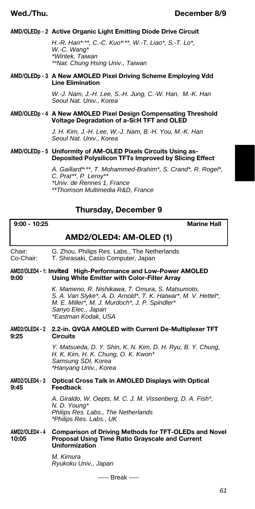### **AMD/OLEDp - 2 Active Organic Light Emitting Diode Drive Circuit**

*H.-R. Han\*, \*\*, C.-C. Kuo\*, \*\*, W.-T. Liao\*, S.-T. Lo\*, W.-C. Wang\* \*Wintek, Taiwan \*\*Nat. Chung Hsing Univ., Taiwan*

#### **AMD/OLEDp - 3 A New AMOLED Pixel Driving Scheme Employing Vdd Line Elimination**

*W.-J. Nam, J.-H. Lee, S.-H. Jung, C.-W. Han, M.-K. Han Seoul Nat. Univ., Korea*

#### **AMD/OLEDp - 4 A New AMOLED Pixel Design Compensating Threshold Voltage Degradation of a-Si:H TFT and OLED**

*J. H. Kim, J.-H. Lee, W.-J. Nam, B.-H. You, M.-K. Han Seoul Nat. Univ., Korea*

#### **AMD/OLEDp - 5 Uniformity of AM-OLED Pixels Circuits Using as-Deposited Polysilicon TFTs Improved by Slicing Effect**

*A. Gaillard\*, \*\*, T. Mohammed-Brahim\*, S. Crand\*, R. Rogel\*, C. Prat\*\*, P. Leroy\*\* \*Univ. de Rennes 1, France \*\*Thomson Multimedia R&D, France*

# **Thursday, December 9**

**9:00 - 10:25 Marine Hall**

# **AMD2/OLED4: AM-OLED (1)**

| Chair:<br>Co-Chair:     | G. Zhou, Philips Res. Labs., The Netherlands<br>T. Shirasaki, Casio Computer, Japan                                                                                                                               |
|-------------------------|-------------------------------------------------------------------------------------------------------------------------------------------------------------------------------------------------------------------|
| 9:00                    | AMD2/OLED4 - 1: Invited High-Performance and Low-Power AMOLED<br>Using White Emitter with Color-Filter Array                                                                                                      |
|                         | K. Mameno, R. Nishikawa, T. Omura, S. Matsumoto,<br>S. A. Van Slyke*, A. D. Arnold*, T. K. Hatwar*, M. V. Hettel*,<br>M. E. Miller*, M. J. Murdoch*, J. P. Spindler*<br>Sanyo Elec., Japan<br>*Eastman Kodak, USA |
| 9:25                    | AMD2/OLED4-2 2.2-in. QVGA AMOLED with Current De-Multiplexer TFT<br><b>Circuits</b>                                                                                                                               |
|                         | Y. Matsueda, D. Y. Shin, K. N. Kim, D. H. Ryu, B. Y. Chung,<br>H. K. Kim, H. K. Chung, O. K. Kwon*<br>Samsung SDI, Korea<br>*Hanyang Univ., Korea                                                                 |
| AMD2/OLED4 - 3<br>9:45  | <b>Optical Cross Talk in AMOLED Displays with Optical</b><br>Feedback                                                                                                                                             |
|                         | A. Giraldo, W. Oepts, M. C. J. M. Vissenberg, D. A. Fish*,<br>N. D. Young*<br>Philips Res. Labs., The Netherlands<br>*Philips Res. Labs., UK                                                                      |
| AMD2/OLED4 - 4<br>10:05 | <b>Comparison of Driving Methods for TFT-OLEDs and Novel</b><br><b>Proposal Using Time Ratio Grayscale and Current</b><br>Uniformization                                                                          |
|                         | M. Kimura<br>Ryukoku Univ., Japan                                                                                                                                                                                 |
|                         | ----- Break -----                                                                                                                                                                                                 |

*61*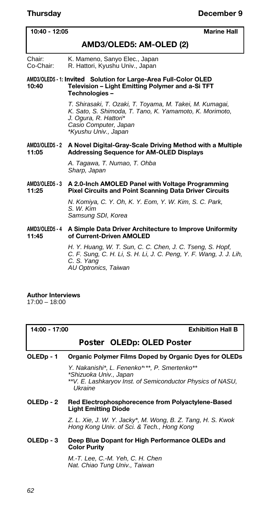**10:40 - 12:05 Marine Hall**

| AMD3/OLED5: AM-OLED (2) |  |  |  |  |
|-------------------------|--|--|--|--|
|-------------------------|--|--|--|--|

Chair: K. Mameno, Sanyo Elec., Japan Co-Chair: R. Hattori, Kyushu Univ., Japan

#### **AMD3/OLED5 - 1:** *Invited* **Solution for Large-Area Full-Color OLED 10:40 Television – Light Emitting Polymer and a-Si TFT Technologies –**

*T. Shirasaki, T. Ozaki, T. Toyama, M. Takei, M. Kumagai, K. Sato, S. Shimoda, T. Tano, K. Yamamoto, K. Morimoto, J. Ogura, R. Hattori\* Casio Computer, Japan \*Kyushu Univ., Japan*

#### **AMD3/OLED5 - 2 A Novel Digital-Gray-Scale Driving Method with a Multiple 11:05 Addressing Sequence for AM-OLED Displays**

*A. Tagawa, T. Numao, T. Ohba Sharp, Japan*

#### **AMD3/OLED5 - 3 A 2.0-Inch AMOLED Panel with Voltage Programming Pixel Circuits and Point Scanning Data Driver Circuits**

*N. Komiya, C. Y. Oh, K. Y. Eom, Y. W. Kim, S. C. Park, S. W. Kim Samsung SDI, Korea*

#### **AMD3/OLED5 - 4 A Simple Data Driver Architecture to Improve Uniformity 11:45 of Current-Driven AMOLED**

*H. Y. Huang, W. T. Sun, C. C. Chen, J. C. Tseng, S. Hopf, C. F. Sung, C. H. Li, S. H. Li, J. C. Peng, Y. F. Wang, J. J. Lih, C. S. Yang AU Optronics, Taiwan*

## **Author Interviews**

17:00 – 18:00

| 14:00 - 17:00 |  |
|---------------|--|
|---------------|--|

**Exhibition Hall B** 

# *Poster* **OLEDp: OLED Poster**

### **OLEDp - 1 Organic Polymer Films Doped by Organic Dyes for OLEDs**

*Y. Nakanishi\*, L. Fenenko\*, \*\*, P. Smertenko\*\* \*Shizuoka Univ., Japan \*\*V. E. Lashkaryov Inst. of Semiconductor Physics of NASU, Ukraine*

#### **OLEDp - 2 Red Electrophosphorecence from Polyactylene-Based Light Emitting Diode**

*Z. L. Xie, J. W. Y. Jacky\*, M. Wong, B. Z. Tang, H. S. Kwok Hong Kong Univ. of Sci. & Tech., Hong Kong*

#### **OLEDp - 3 Deep Blue Dopant for High Performance OLEDs and Color Purity**

*M.-T. Lee, C.-M. Yeh, C. H. Chen Nat. Chiao Tung Univ., Taiwan*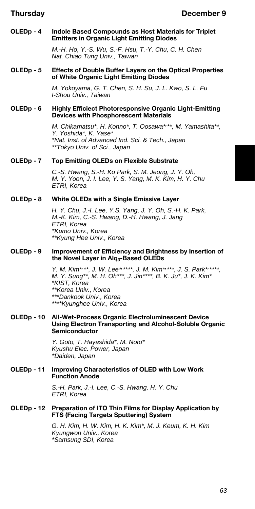#### **OLEDp - 4 Indole Based Compounds as Host Materials for Triplet Emitters in Organic Light Emitting Diodes**

*M.-H. Ho, Y.-S. Wu, S.-F. Hsu, T.-Y. Chu, C. H. Chen Nat. Chiao Tung Univ., Taiwan*

#### **OLEDp - 5 Effects of Double Buffer Layers on the Optical Properties of White Organic Light Emitting Diodes**

*M. Yokoyama, G. T. Chen, S. H. Su, J. L. Kwo, S. L. Fu I-Shou Univ., Taiwan*

#### **OLEDp - 6 Highly Efficiect Photoresponsive Organic Light-Emitting Devices with Phosphorescent Materials**

*M. Chikamatsu\*, H. Konno\*, T. Oosawa\*, \*\*, M. Yamashita\*\*, Y. Yoshida\*, K. Yase\* \*Nat. Inst. of Advanced Ind. Sci. & Tech., Japan \*\*Tokyo Univ. of Sci., Japan*

#### **OLEDp - 7 Top Emitting OLEDs on Flexible Substrate**

*C.-S. Hwang, S.-H. Ko Park, S. M. Jeong, J. Y. Oh, M. Y. Yoon, J. I. Lee, Y. S. Yang, M. K. Kim, H. Y. Chu ETRI, Korea*

#### **OLEDp - 8 White OLEDs with a Single Emissive Layer**

*H. Y. Chu, J.-I. Lee, Y.S. Yang, J. Y. Oh, S.-H. K. Park, M.-K. Kim, C.-S. Hwang, D.-H. Hwang, J. Jang ETRI, Korea \*Kumo Univ., Korea \*\*Kyung Hee Univ., Korea*

#### **OLEDp - 9 Improvement of Efficiency and Brightness by Insertion of the Novel Layer in Alq3-Based OLEDs**

*Y. M. Kim\*, \*\*, J. W. Lee\*, \*\*\*\*, J. M. Kim\*, \*\*\*, J. S. Park\*, \*\*\*\*, M. Y. Sung\*\*, M. H. Oh\*\*\*, J. Jin\*\*\*\*, B. K. Ju\*, J. K. Kim\* \*KIST, Korea \*\*Korea Univ., Korea \*\*\*Dankook Univ., Korea \*\*\*\*Kyunghee Univ., Korea*

#### **OLEDp - 10 All-Wet-Process Organic Electroluminescent Device Using Electron Transporting and Alcohol-Soluble Organic Semiconductor**

*Y. Goto, T. Hayashida\*, M. Noto\* Kyushu Elec. Power, Japan \*Daiden, Japan*

#### **OLEDp - 11 Improving Characteristics of OLED with Low Work Function Anode**

*S.-H. Park, J.-I. Lee, C.-S. Hwang, H. Y. Chu ETRI, Korea*

#### **OLEDp - 12 Preparation of ITO Thin Films for Display Application by FTS (Facing Targets Sputtering) System**

*G. H. Kim, H. W. Kim, H. K. Kim\*, M. J. Keum, K. H. Kim Kyungwon Univ., Korea \*Samsung SDI, Korea*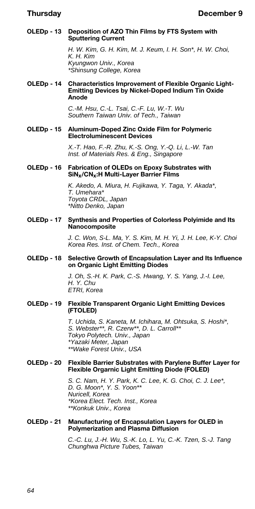#### **OLEDp - 13 Deposition of AZO Thin Films by FTS System with Sputtering Current**

*H. W. Kim, G. H. Kim, M. J. Keum, I. H. Son\*, H. W. Choi, K. H. Kim Kyungwon Univ., Korea \*Shinsung College, Korea*

#### **OLEDp - 14 Characteristics Improvement of Flexible Organic Light-Emitting Devices by Nickel-Doped Indium Tin Oxide Anode**

*C.-M. Hsu, C.-L. Tsai, C.-F. Lu, W.-T. Wu Southern Taiwan Univ. of Tech., Taiwan*

#### **OLEDp - 15 Aluminum-Doped Zinc Oxide Film for Polymeric Electroluminescent Devices**

*X.-T. Hao, F.-R. Zhu, K.-S. Ong, Y.-Q. Li, L.-W. Tan Inst. of Materials Res. & Eng., Singapore*

#### **OLEDp - 16 Fabrication of OLEDs on Epoxy Substrates with SiNx/CNx:H Multi-Layer Barrier Films**

*K. Akedo, A. Miura, H. Fujikawa, Y. Taga, Y. Akada\*, T. Umehara\* Toyota CRDL, Japan \*Nitto Denko, Japan*

#### **OLEDp - 17 Synthesis and Properties of Colorless Polyimide and Its Nanocomposite**

*J. C. Won, S-L. Ma, Y. S. Kim, M. H. Yi, J. H. Lee, K-Y. Choi Korea Res. Inst. of Chem. Tech., Korea*

#### **OLEDp - 18 Selective Growth of Encapsulation Layer and Its Influence on Organic Light Emitting Diodes**

*J. Oh, S.-H. K. Park, C.-S. Hwang, Y. S. Yang, J.-I. Lee, H. Y. Chu ETRI, Korea*

#### **OLEDp - 19 Flexible Transparent Organic Light Emitting Devices (FTOLED)**

*T. Uchida, S. Kaneta, M. Ichihara, M. Ohtsuka, S. Hoshi\*, S. Webster\*\*, R. Czerw\*\*, D. L. Carroll\*\* Tokyo Polytech. Univ., Japan \*Yazaki Meter, Japan \*\*Wake Forest Univ., USA*

#### **OLEDp - 20 Flexible Barrier Substrates with Parylene Buffer Layer for Flexible Orgarnic Light Emitting Diode (FOLED)**

*S. C. Nam, H. Y. Park, K. C. Lee, K. G. Choi, C. J. Lee\*, D. G. Moon\*, Y. S. Yoon\*\* Nuricell, Korea \*Korea Elect. Tech. Inst., Korea \*\*Konkuk Univ., Korea*

#### **OLEDp - 21 Manufacturing of Encapsulation Layers for OLED in Polymerization and Plasma Diffusion**

*C.-C. Lu, J.-H. Wu, S.-K. Lo, L. Yu, C.-K. Tzen, S.-J. Tang Chunghwa Picture Tubes, Taiwan*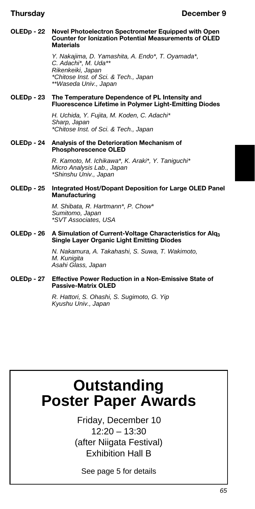#### **OLEDp - 22 Novel Photoelectron Spectrometer Equipped with Open Counter for Ionization Potential Measurements of OLED Materials**

*Y. Nakajima, D. Yamashita, A. Endo\*, T. Oyamada\*, C. Adachi\*, M. Uda\*\* Rikenkeiki, Japan \*Chitose Inst. of Sci. & Tech., Japan \*\*Waseda Univ., Japan*

#### **OLEDp - 23 The Temperature Dependence of PL Intensity and Fluorescence Lifetime in Polymer Light-Emitting Diodes**

*H. Uchida, Y. Fujita, M. Koden, C. Adachi\* Sharp, Japan \*Chitose Inst. of Sci. & Tech., Japan*

#### **OLEDp - 24 Analysis of the Deterioration Mechanism of Phosphorescence OLED**

*R. Kamoto, M. Ichikawa\*, K. Araki\*, Y. Taniguchi\* Micro Analysis Lab., Japan \*Shinshu Univ., Japan*

#### **OLEDp - 25 Integrated Host/Dopant Deposition for Large OLED Panel Manufacturing**

*M. Shibata, R. Hartmann\*, P. Chow\* Sumitomo, Japan \*SVT Associates, USA*

#### **OLEDp - 26 A Simulation of Current-Voltage Characteristics for Alq<sup>3</sup> Single Layer Organic Light Emitting Diodes**

*N. Nakamura, A. Takahashi, S. Suwa, T. Wakimoto, M. Kunigita Asahi Glass, Japan*

#### **OLEDp - 27 Effective Power Reduction in a Non-Emissive State of Passive-Matrix OLED**

*R. Hattori, S. Ohashi, S. Sugimoto, G. Yip Kyushu Univ., Japan*

# **Outstanding Poster Paper Awards**

Friday, December 10 12:20 – 13:30 (after Niigata Festival) Exhibition Hall B

See page 5 for details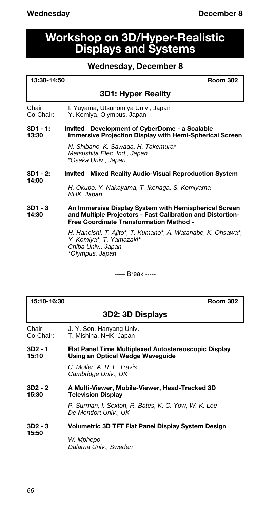# **Workshop on 3D/Hyper-Realistic Displays and Systems**

# **Wednesday, December 8**

| 13:30-14:50          | <b>Room 302</b>                                                                                                                                                       |
|----------------------|-----------------------------------------------------------------------------------------------------------------------------------------------------------------------|
|                      | <b>3D1: Hyper Reality</b>                                                                                                                                             |
| Chair:<br>Co-Chair:  | I. Yuyama, Utsunomiya Univ., Japan<br>Y. Komiya, Olympus, Japan                                                                                                       |
| $3D1 - 1:$<br>13:30  | <i>Invited</i> Development of CyberDome - a Scalable<br><b>Immersive Projection Display with Hemi-Spherical Screen</b>                                                |
|                      | N. Shibano, K. Sawada, H. Takemura*<br>Matsushita Elec. Ind., Japan<br>*Osaka Univ., Japan                                                                            |
| $3D1 - 2$ :<br>14:00 | <i>Invited</i> Mixed Reality Audio-Visual Reproduction System                                                                                                         |
|                      | H. Okubo, Y. Nakayama, T. Ikenaga, S. Komiyama<br>NHK, Japan                                                                                                          |
| $3D1 - 3$<br>14:30   | An Immersive Display System with Hemispherical Screen<br>and Multiple Projectors - Fast Calibration and Distortion-<br><b>Free Coordinate Transformation Method -</b> |
|                      | H. Haneishi, T. Ajito*, T. Kumano*, A. Watanabe, K. Ohsawa*,<br>Y. Komiya*, T. Yamazaki*<br>Chiba Univ., Japan<br>*Olympus, Japan                                     |

----- Break -----

| 15:10-16:30                  | <b>Room 302</b>                                                                          |
|------------------------------|------------------------------------------------------------------------------------------|
|                              | 3D2: 3D Displays                                                                         |
| Chair:<br>Co-Chair:          | J.-Y. Son, Hanyang Univ.<br>T. Mishina, NHK, Japan                                       |
| 3D <sub>2</sub> - 1<br>15:10 | Flat Panel Time Multiplexed Autostereoscopic Display<br>Using an Optical Wedge Waveguide |
|                              | C. Moller, A. R. L. Travis<br>Cambridge Univ., UK                                        |
| $3D2 - 2$<br>15:30           | A Multi-Viewer, Mobile-Viewer, Head-Tracked 3D<br><b>Television Display</b>              |
|                              | P. Surman, I. Sexton, R. Bates, K. C. Yow, W. K. Lee<br>De Montfort Univ UK              |
| 3D2 - 3<br>15:50             | Volumetric 3D TFT Flat Panel Display System Design                                       |
|                              | W. Mphepo<br>Dalarna Univ., Sweden                                                       |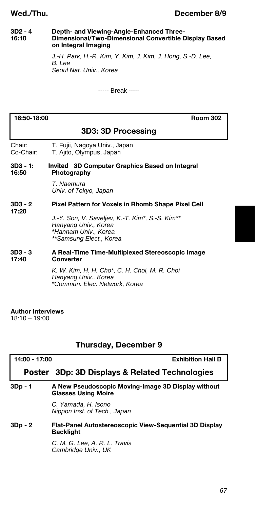# **Wed./Thu. December 8/9**

#### **3D2 - 4 Depth- and Viewing-Angle-Enhanced Three-16:10 Dimensional/Two-Dimensional Convertible Display Based on Integral Imaging**

*J.-H. Park, H.-R. Kim, Y. Kim, J. Kim, J. Hong, S.-D. Lee, B. Lee Seoul Nat. Univ., Korea*

----- Break -----

| 16:50-18:00<br>Room 302 |                                                                                                                            |  |
|-------------------------|----------------------------------------------------------------------------------------------------------------------------|--|
| 3D3: 3D Processing      |                                                                                                                            |  |
| Chair:<br>Co-Chair:     | T. Fujii, Nagoya Univ., Japan<br>T. Ajito, Olympus, Japan                                                                  |  |
| $3D3 - 1:$<br>16:50     | <i>Invited</i> 3D Computer Graphics Based on Integral<br>Photography                                                       |  |
|                         | T. Naemura<br>Univ. of Tokyo, Japan                                                                                        |  |
| $3D3 - 2$<br>17:20      | Pixel Pattern for Voxels in Rhomb Shape Pixel Cell                                                                         |  |
|                         | J.-Y. Son, V. Saveljev, K.-T. Kim*, S.-S. Kim**<br>Hanyang Univ., Korea<br>*Hannam Univ., Korea<br>**Samsung Elect., Korea |  |
| $3D3 - 3$               | A Real-Time Time-Multiplexed Stereoscopic Image                                                                            |  |

**17:40 Converter**

*K. W. Kim, H. H. Cho\*, C. H. Choi, M. R. Choi Hanyang Univ., Korea \*Commun. Elec. Network, Korea*

### **Author Interviews**

18:10 – 19:00

# **Thursday, December 9**

| 14:00 - 17:00 | <b>Exhibition Hall B</b>                                                         |
|---------------|----------------------------------------------------------------------------------|
|               | <i>Poster</i> 3Dp: 3D Displays & Related Technologies                            |
| 3Dp - 1       | A New Pseudoscopic Moving-Image 3D Display without<br><b>Glasses Using Moire</b> |
|               | C. Yamada, H. Isono<br>Nippon Inst. of Tech., Japan                              |
| $3Dp - 2$     | Flat-Panel Autostereoscopic View-Sequential 3D Display<br><b>Backlight</b>       |
|               | C. M. G. Lee, A. R. L. Travis<br>Cambridge Univ., UK                             |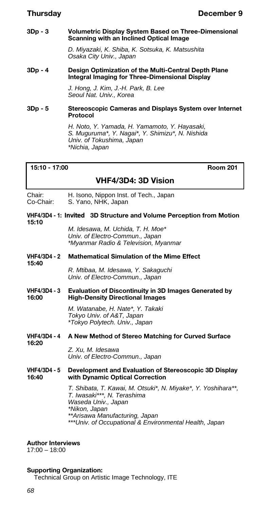#### **3Dp - 3 Volumetric Display System Based on Three-Dimensional Scanning with an Inclined Optical Image**

*D. Miyazaki, K. Shiba, K. Sotsuka, K. Matsushita Osaka City Univ., Japan*

#### **3Dp - 4 Design Optimization of the Multi-Central Depth Plane Integral Imaging for Three-Dimensional Display**

*J. Hong, J. Kim, J.-H. Park, B. Lee Seoul Nat. Univ., Korea*

#### **3Dp - 5 Stereoscopic Cameras and Displays System over Internet Protocol**

*H. Noto, Y. Yamada, H. Yamamoto, Y. Hayasaki, S. Muguruma\*, Y. Nagai\*, Y. Shimizu\*, N. Nishida Univ. of Tokushima, Japan \*Nichia, Japan*

### **15:10 - 17:00 Room 201**

## **VHF4/3D4: 3D Vision**

Chair: H. Isono, Nippon Inst. of Tech., Japan<br>Co-Chair: S. Yano, NHK, Japan S. Yano, NHK, Japan

#### **VHF4/3D4 - 1:** *Invited* **3D Structure and Volume Perception from Motion 15:10**

*M. Idesawa, M. Uchida, T. H. Moe\* Univ. of Electro-Commun., Japan \*Myanmar Radio & Television, Myanmar*

#### **VHF4/3D4 - 2 Mathematical Simulation of the Mime Effect 15:40**

*R. Mtibaa, M. Idesawa, Y. Sakaguchi Univ. of Electro-Commun., Japan*

#### **VHF4/3D4 - 3 Evaluation of Discontinuity in 3D Images Generated by 16:00 High-Density Directional Images**

*M. Watanabe, H. Nate\*, Y. Takaki Tokyo Univ. of A&T, Japan \*Tokyo Polytech. Univ., Japan*

#### **VHF4/3D4 - 4 A New Method of Stereo Matching for Curved Surface 16:20**

*Z. Xu, M. Idesawa Univ. of Electro-Commun., Japan*

#### **VHF4/3D4 - 5 Development and Evaluation of Stereoscopic 3D Display 16:40 with Dynamic Optical Correction**

*T. Shibata, T. Kawai, M. Otsuki\*, N. Miyake\*, Y. Yoshihara\*\*, T. Iwasaki\*\*\*, N. Terashima Waseda Univ., Japan \*Nikon, Japan \*\*Arisawa Manufacturing, Japan \*\*\*Univ. of Occupational & Environmental Health, Japan*

#### **Author Interviews**

17:00 – 18:00

#### **Supporting Organization:**

Technical Group on Artistic Image Technology, ITE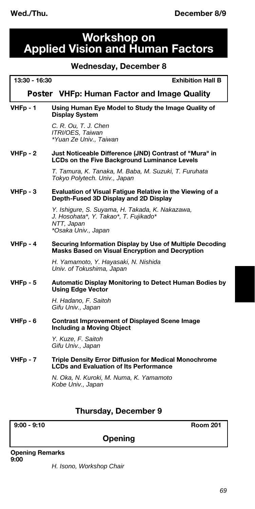# **Workshop on Applied Vision and Human Factors**

# **Wednesday, December 8**

|               | weanesaay, December 8                                                                                                         |
|---------------|-------------------------------------------------------------------------------------------------------------------------------|
| 13:30 - 16:30 | <b>Exhibition Hall B</b>                                                                                                      |
|               | <b>Poster VHFp: Human Factor and Image Quality</b>                                                                            |
| $VHFp - 1$    | Using Human Eye Model to Study the Image Quality of<br><b>Display System</b>                                                  |
|               | C. R. Ou, T. J. Chen<br>ITRI/OES, Taiwan<br>*Yuan Ze Univ., Taiwan                                                            |
| $VHFp - 2$    | Just Noticeable Difference (JND) Contrast of "Mura" in<br><b>LCDs on the Five Background Luminance Levels</b>                 |
|               | T. Tamura, K. Tanaka, M. Baba, M. Suzuki, T. Furuhata<br>Tokyo Polytech. Univ., Japan                                         |
| $VHFp - 3$    | Evaluation of Visual Fatigue Relative in the Viewing of a<br>Depth-Fused 3D Display and 2D Display                            |
|               | Y. Ishigure, S. Suyama, H. Takada, K. Nakazawa,<br>J. Hosohata*, Y. Takao*, T. Fujikado*<br>NTT, Japan<br>*Osaka Univ., Japan |
| VHFp - 4      | Securing Information Display by Use of Multiple Decoding<br>Masks Based on Visual Encryption and Decryption                   |
|               | H. Yamamoto, Y. Hayasaki, N. Nishida<br>Univ. of Tokushima, Japan                                                             |
| $VHFp - 5$    | Automatic Display Monitoring to Detect Human Bodies by<br><b>Using Edge Vector</b>                                            |
|               | H. Hadano, F. Saitoh<br>Gifu Univ., Japan                                                                                     |
| $VHFp - 6$    | <b>Contrast Improvement of Displayed Scene Image</b><br><b>Including a Moving Object</b>                                      |
|               | Y. Kuze, F. Saitoh<br>Gifu Univ., Japan                                                                                       |
| $VHFp - 7$    | <b>Triple Density Error Diffusion for Medical Monochrome</b><br><b>LCDs and Evaluation of Its Performance</b>                 |
|               | N. Oka, N. Kuroki, M. Numa, K. Yamamoto<br>Kobe Univ., Japan                                                                  |

# **Thursday, December 9**

**9:00 - 9:10 Room 201**

**Opening**

**Opening Remarks 9:00**

*H. Isono, Workshop Chair*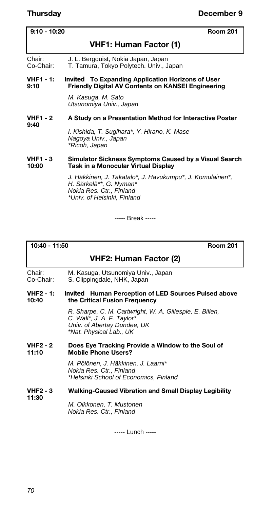| $9:10 - 10:20$<br><b>Room 201</b> |                                                                                                                                                 |
|-----------------------------------|-------------------------------------------------------------------------------------------------------------------------------------------------|
|                                   | VHF1: Human Factor (1)                                                                                                                          |
| Chair:<br>Co-Chair:               | J. L. Bergquist, Nokia Japan, Japan<br>T. Tamura, Tokyo Polytech. Univ., Japan                                                                  |
| VHF1 - 1:<br>9:10                 | <i>Invited</i> To Expanding Application Horizons of User<br>Friendly Digital AV Contents on KANSEI Engineering                                  |
|                                   | M. Kasuga, M. Sato<br>Utsunomiya Univ., Japan                                                                                                   |
| VHF1 - 2                          | A Study on a Presentation Method for Interactive Poster                                                                                         |
| 9:40                              | I. Kishida, T. Sugihara*, Y. Hirano, K. Mase<br>Nagoya Univ., Japan<br>*Ricoh, Japan                                                            |
| VHF1 - 3<br>10:00                 | Simulator Sickness Symptoms Caused by a Visual Search<br>Task in a Monocular Virtual Display                                                    |
|                                   | J. Häkkinen, J. Takatalo*, J. Havukumpu*, J. Komulainen*,<br>H. Särkelä**, G. Nyman*<br>Nokia Res. Ctr., Finland<br>*Univ. of Helsinki, Finland |

----- Break -----

**10:40 - 11:50 Room 201**

# **VHF2: Human Factor (2)**

Chair: M. Kasuga, Utsunomiya Univ., Japan Co-Chair: S. Clippingdale, NHK, Japan

#### **VHF2 - 1:** *Invited* **Human Perception of LED Sources Pulsed above 10:40 the Critical Fusion Frequency**

*R. Sharpe, C. M. Cartwright, W. A. Gillespie, E. Billen, C. Wall\*, J. A. F. Taylor\* Univ. of Abertay Dundee, UK \*Nat. Physical Lab., UK*

#### **VHF2 - 2** Does Eye Tracking Provide a Window to the Soul of 11:10 Mobile Phone Users? **11:10 Mobile Phone Users?**

*M. Pölönen, J. Häkkinen, J. Laarni\* Nokia Res. Ctr., Finland \*Helsinki School of Economics, Finland*

### **VHF2 - 3 Walking-Caused Vibration and Small Display Legibility**

**11:30**

*M. Olkkonen, T. Mustonen Nokia Res. Ctr., Finland*

----- Lunch -----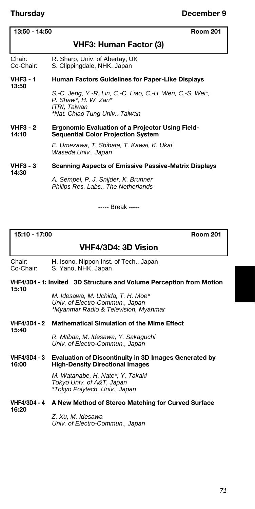**13:50**

# **13:50 - 14:50 Room 201**

# **VHF3: Human Factor (3)**

Chair: R. Sharp, Univ. of Abertay, UK<br>Co-Chair: S. Clippingdale, NHK, Japan S. Clippingdale, NHK, Japan

#### **VHF3 - 1 Human Factors Guidelines for Paper-Like Displays**

*S.-C. Jeng, Y.-R. Lin, C.-C. Liao, C.-H. Wen, C.-S. Wei\*, P. Shaw\*, H. W. Zan\* ITRI, Taiwan \*Nat. Chiao Tung Univ., Taiwan*

#### VHF3 - 2 Ergonomic Evaluation of a Projector Using Field-<br>14:10 **Sequential Color Projection System 14:10 Sequential Color Projection System**

*E. Umezawa, T. Shibata, T. Kawai, K. Ukai Waseda Univ., Japan*

#### **VHF3 - 3 Scanning Aspects of Emissive Passive-Matrix Displays 14:30**

*A. Sempel, P. J. Snijder, K. Brunner Philips Res. Labs., The Netherlands*

----- Break -----

#### **15:10 - 17:00 Room 201**

# **VHF4/3D4: 3D Vision**

Chair: H. Isono, Nippon Inst. of Tech., Japan<br>Co-Chair: S. Yano, NHK, Japan S. Yano, NHK, Japan

#### **VHF4/3D4 - 1:** *Invited* **3D Structure and Volume Perception from Motion 15:10**

*M. Idesawa, M. Uchida, T. H. Moe\* Univ. of Electro-Commun., Japan \*Myanmar Radio & Television, Myanmar*

#### **VHF4/3D4 - 2 Mathematical Simulation of the Mime Effect 15:40**

*R. Mtibaa, M. Idesawa, Y. Sakaguchi Univ. of Electro-Commun., Japan*

#### **VHF4/3D4 - 3 Evaluation of Discontinuity in 3D Images Generated by 16:00 High-Density Directional Images**

*M. Watanabe, H. Nate\*, Y. Takaki Tokyo Univ. of A&T, Japan \*Tokyo Polytech. Univ., Japan*

#### **VHF4/3D4 - 4 A New Method of Stereo Matching for Curved Surface 16:20**

*Z. Xu, M. Idesawa Univ. of Electro-Commun., Japan*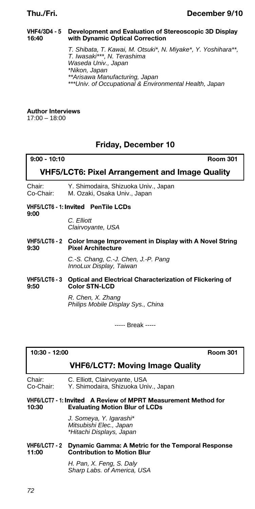#### **VHF4/3D4 - 5 Development and Evaluation of Stereoscopic 3D Display 16:40 with Dynamic Optical Correction**

*T. Shibata, T. Kawai, M. Otsuki\*, N. Miyake\*, Y. Yoshihara\*\*, T. Iwasaki\*\*\*, N. Terashima Waseda Univ., Japan \*Nikon, Japan \*\*Arisawa Manufacturing, Japan \*\*\*Univ. of Occupational & Environmental Health, Japan*

#### **Author Interviews**

17:00 – 18:00

## **Friday, December 10**

| $9:00 - 10:10$<br>Room 301                     |                                                                                                   |  |
|------------------------------------------------|---------------------------------------------------------------------------------------------------|--|
| VHF5/LCT6: Pixel Arrangement and Image Quality |                                                                                                   |  |
| Chair:<br>Co-Chair:                            | Y. Shimodaira, Shizuoka Univ., Japan<br>M. Ozaki, Osaka Univ., Japan                              |  |
| VHF5/LCT6 - 1: Invited PenTile LCDs            |                                                                                                   |  |
| 9:00                                           | C. Elliott<br>Clairvoyante, USA                                                                   |  |
| 9:30                                           | VHF5/LCT6 - 2 Color Image Improvement in Display with A Novel String<br><b>Pixel Architecture</b> |  |
|                                                | C.-S. Chang, C.-J. Chen, J.-P. Pang<br>InnoLux Display, Taiwan                                    |  |
| <b>VHF5/LCT6 - 3</b><br>9:50                   | <b>Optical and Electrical Characterization of Flickering of</b><br><b>Color STN-LCD</b>           |  |
|                                                |                                                                                                   |  |

*R. Chen, X. Zhang Philips Mobile Display Sys., China*

----- Break -----

#### **10:30 - 12:00 Room 301**

#### **VHF6/LCT7: Moving Image Quality**

| Chair:    | C. Elliott, Clairvoyante, USA        |
|-----------|--------------------------------------|
| Co-Chair: | Y. Shimodaira, Shizuoka Univ., Japan |

#### **VHF6/LCT7 - 1:** *Invited* **A Review of MPRT Measurement Method for 10:30 Evaluating Motion Blur of LCDs**

*J. Someya, Y. Igarashi\* Mitsubishi Elec., Japan \*Hitachi Displays, Japan*

#### **VHF6/LCT7 - 2 Dynamic Gamma: A Metric for the Temporal Response Contribution to Motion Blur**

*H. Pan, X. Feng, S. Daly Sharp Labs. of America, USA*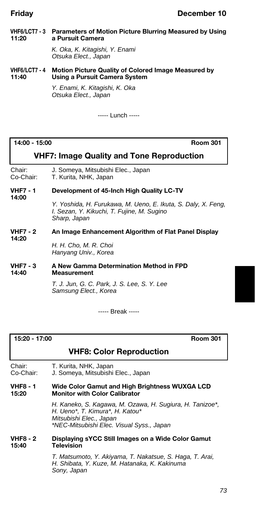#### **VHF6/LCT7 - 3 Parameters of Motion Picture Blurring Measured by Using 11:20 a Pursuit Camera**

*K. Oka, K. Kitagishi, Y. Enami Otsuka Elect., Japan*

#### **VHF6/LCT7 - 4 Motion Picture Quality of Colored Image Measured by 11:40 Using a Pursuit Camera System**

*Y. Enami, K. Kitagishi, K. Oka Otsuka Elect., Japan*

----- Lunch -----

**14:00 - 15:00 Room 301**

## **VHF7: Image Quality and Tone Reproduction**

Chair: J. Someya, Mitsubishi Elec., Japan Co-Chair: T. Kurita, NHK, Japan

#### **VHF7 - 1 Development of 45-Inch High Quality LC-TV 14:00**

*Y. Yoshida, H. Furukawa, M. Ueno, E. Ikuta, S. Daly, X. Feng, I. Sezan, Y. Kikuchi, T. Fujine, M. Sugino Sharp, Japan*

#### **VHF7 - 2 An Image Enhancement Algorithm of Flat Panel Display 14:20**

*H. H. Cho, M. R. Choi Hanyang Univ., Korea*

#### **VHF7 - 3 A New Gamma Determination Method in FPD 14:40 Measurement**

*T. J. Jun, G. C. Park, J. S. Lee, S. Y. Lee Samsung Elect., Korea*

----- Break -----

| 15:20 - 17:00 |  |
|---------------|--|
|---------------|--|

**15:20 - 17:00 Room 301**

#### **VHF8: Color Reproduction**

Chair: T. Kurita, NHK, Japan<br>Co-Chair: J. Someya, Mitsubishi

J. Someya, Mitsubishi Elec., Japan

#### **VHF8 - 1 Wide Color Gamut and High Brightness WUXGA LCD Monitor with Color Calibrator**

*H. Kaneko, S. Kagawa, M. Ozawa, H. Sugiura, H. Tanizoe\*, H. Ueno\*, T. Kimura\*, H. Katou\* Mitsubishi Elec., Japan \*NEC-Mitsubishi Elec. Visual Syss., Japan*

#### **VHF8 - 2 Displaying sYCC Still Images on a Wide Color Gamut 15:40 Television**

*T. Matsumoto, Y. Akiyama, T. Nakatsue, S. Haga, T. Arai, H. Shibata, Y. Kuze, M. Hatanaka, K. Kakinuma Sony, Japan*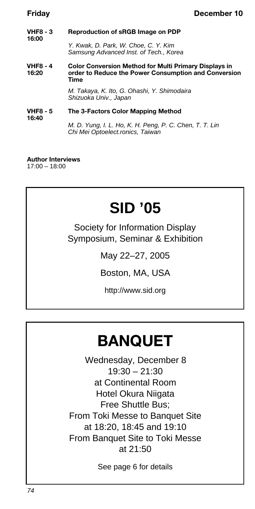**VHF8 - 3 Reproduction of sRGB Image on PDP 16:00** *Y. Kwak, D. Park, W. Choe, C. Y. Kim*

*Samsung Advanced Inst. of Tech., Korea*

**VHF8 - 4 Color Conversion Method for Multi Primary Displays in 16:20 order to Reduce the Power Consumption and Conversion Time**

> *M. Takaya, K. Ito, G. Ohashi, Y. Shimodaira Shizuoka Univ., Japan*

#### **VHF8 - 5 The 3-Factors Color Mapping Method 16:40**

*M. D. Yung, I. L. Ho, K. H. Peng, P. C. Chen, T. T. Lin Chi Mei Optoelect.ronics, Taiwan*

**Author Interviews** 17:00 – 18:00

# **SID '05**

Society for Information Display Symposium, Seminar & Exhibition

May 22–27, 2005

Boston, MA, USA

http://www.sid.org

# **BANQUET**

Wednesday, December 8  $19:30 - 21:30$ at Continental Room Hotel Okura Niigata Free Shuttle Bus; From Toki Messe to Banquet Site at 18:20, 18:45 and 19:10 From Banquet Site to Toki Messe at 21:50

See page 6 for details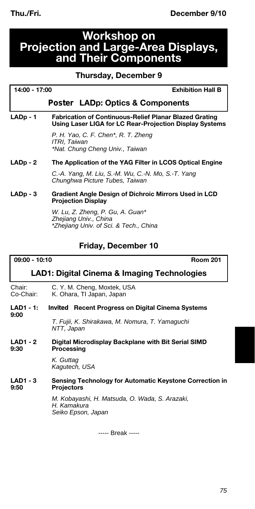## **Workshop on Projection and Large-Area Displays, and Their Components**

#### **Thursday, December 9**

| 14:00 - | 17:00 |
|---------|-------|
|---------|-------|

**Exhibition Hall B** 

#### *Poster* **LADp: Optics & Components**

**LADp - 1 Fabrication of Continuous-Relief Planar Blazed Grating Using Laser LIGA for LC Rear-Projection Display Systems**

> *P. H. Yao, C. F. Chen\*, R. T. Zheng ITRI, Taiwan \*Nat. Chung Cheng Univ., Taiwan*

#### **LADp - 2 The Application of the YAG Filter in LCOS Optical Engine**

*C.-A. Yang, M. Liu, S.-M. Wu, C.-N. Mo, S.-T. Yang Chunghwa Picture Tubes, Taiwan*

#### **LADp - 3 Gradient Angle Design of Dichroic Mirrors Used in LCD Projection Display**

*W. Lu, Z. Zheng, P. Gu, A. Guan\* Zhejiang Univ., China \*Zhejiang Univ. of Sci. & Tech., China*

#### **Friday, December 10**

#### **09:00 - 10:10 Room 201**

### **LAD1: Digital Cinema & Imaging Technologies**

Chair: C. Y. M. Cheng, Moxtek, USA<br>Co-Chair: K. Ohara. TI Japan, Japan K. Ohara, TI Japan, Japan

**LAD1 - 1:** *Invited* **Recent Progress on Digital Cinema Systems 9:00**

> *T. Fujii, K. Shirakawa, M. Nomura, T. Yamaguchi NTT, Japan*

**LAD1 - 2 Digital Microdisplay Backplane with Bit Serial SIMD Processing** 

> *K. Guttag Kagutech, USA*

#### LAD1 - 3 Sensing Technology for Automatic Keystone Correction in<br>9:50 Projectors **9:50 Projectors**

*M. Kobayashi, H. Matsuda, O. Wada, S. Arazaki, H. Kamakura Seiko Epson, Japan*

----- Break -----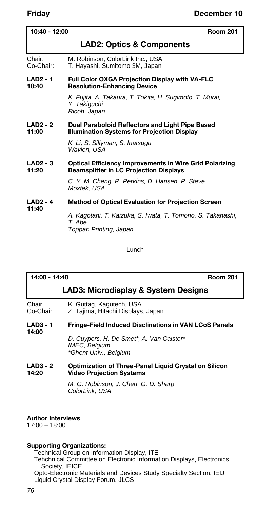| 10:40 - 12:00            | <b>Room 201</b>                                                                                                 |  |
|--------------------------|-----------------------------------------------------------------------------------------------------------------|--|
|                          | <b>LAD2: Optics &amp; Components</b>                                                                            |  |
| Chair:<br>Co-Chair:      | M. Robinson, ColorLink Inc., USA<br>T. Hayashi, Sumitomo 3M, Japan                                              |  |
| <b>LAD2 - 1</b><br>10:40 | <b>Full Color QXGA Projection Display with VA-FLC</b><br><b>Resolution-Enhancing Device</b>                     |  |
|                          | K. Fujita, A. Takaura, T. Tokita, H. Sugimoto, T. Murai,<br>Y. Takiquchi<br>Ricoh, Japan                        |  |
| <b>LAD2 - 2</b><br>11:00 | Dual Paraboloid Reflectors and Light Pipe Based<br><b>Illumination Systems for Projection Display</b>           |  |
|                          | K. Li, S. Sillyman, S. Inatsugu<br>Wavien, USA                                                                  |  |
| $LAD2 - 3$<br>11:20      | <b>Optical Efficiency Improvements in Wire Grid Polarizing</b><br><b>Beamsplitter in LC Projection Displays</b> |  |
|                          | C. Y. M. Cheng, R. Perkins, D. Hansen, P. Steve<br>Moxtek, USA                                                  |  |
| <b>LAD2 - 4</b>          | <b>Method of Optical Evaluation for Projection Screen</b>                                                       |  |
| 11:40                    | A. Kagotani, T. Kaizuka, S. Iwata, T. Tomono, S. Takahashi,<br>T. Abe<br>Toppan Printing, Japan                 |  |

----- Lunch -----

#### **14:00 - 14:40 Room 201**

#### **LAD3: Microdisplay & System Designs**

| Chair:    | K. Guttag, Kagutech, USA           |
|-----------|------------------------------------|
| Co-Chair: | Z. Tajima, Hitachi Displays, Japan |

#### **LAD3 - 1 Fringe-Field Induced Disclinations in VAN LCoS Panels 14:00**

*D. Cuypers, H. De Smet\*, A. Van Calster\* IMEC, Belgium \*Ghent Univ., Belgium*

#### **LAD3 - 2 Optimization of Three-Panel Liquid Crystal on Silicon Video Projection Systems**

*M. G. Robinson, J. Chen, G. D. Sharp ColorLink, USA*

**Author Interviews**

17:00 – 18:00

#### **Supporting Organizations:**

Technical Group on Information Display, ITE

Tehchnical Committee on Electronic Information Displays, Electronics Society, IEICE

Opto-Electronic Materials and Devices Study Specialty Section, IEIJ Liquid Crystal Display Forum, JLCS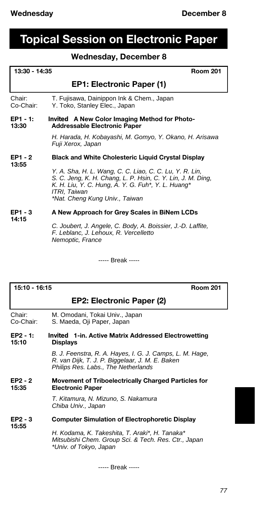# **Topical Session on Electronic Paper**

## **Wednesday, December 8**

| 13:30 - 14:35<br><b>Room 201</b>                                                                                 |                                                                                                                                                                                                                                |  |
|------------------------------------------------------------------------------------------------------------------|--------------------------------------------------------------------------------------------------------------------------------------------------------------------------------------------------------------------------------|--|
|                                                                                                                  | EP1: Electronic Paper (1)                                                                                                                                                                                                      |  |
| Chair:<br>Co-Chair:                                                                                              | T. Fujisawa, Dainippon Ink & Chem., Japan<br>Y. Toko, Stanley Elec., Japan                                                                                                                                                     |  |
| EP1 - 1:<br><i>Invited</i> A New Color Imaging Method for Photo-<br>13:30<br><b>Addressable Electronic Paper</b> |                                                                                                                                                                                                                                |  |
|                                                                                                                  | H. Harada, H. Kobayashi, M. Gomyo, Y. Okano, H. Arisawa<br>Fuji Xerox, Japan                                                                                                                                                   |  |
| $EP1 - 2$                                                                                                        | <b>Black and White Cholesteric Liquid Crystal Display</b>                                                                                                                                                                      |  |
| 13:55                                                                                                            | Y. A. Sha, H. L. Wang, C. C. Liao, C. C. Lu, Y. R. Lin,<br>S. C. Jeng, K. H. Chang, L. P. Hsin, C. Y. Lin, J. M. Ding,<br>K. H. Liu, Y. C. Hung, A. Y. G. Fuh*, Y. L. Huang*<br>ITRI, Taiwan<br>*Nat. Cheng Kung Univ., Taiwan |  |
| EP1 - 3<br>14:15                                                                                                 | A New Approach for Grey Scales in BiNem LCDs                                                                                                                                                                                   |  |
|                                                                                                                  | C. Joubert, J. Angele, C. Body, A. Boissier, J.-D. Laffite,<br>F. Leblanc, J. Lehoux, R. Vercelletto<br>Nemoptic, France                                                                                                       |  |

----- Break -----

#### **15:10 - 16:15 Room 201**

#### **EP2: Electronic Paper (2)**

| EP2 - 1:  | <i>Invited</i> 1-in. Active Matrix Addressed Electrowetting |  |
|-----------|-------------------------------------------------------------|--|
| 15:10     | <b>Displays</b>                                             |  |
| Chair:    | M. Omodani, Tokai Univ., Japan                              |  |
| Co-Chair: | S. Maeda, Oji Paper, Japan                                  |  |

*B. J. Feenstra, R. A. Hayes, I. G. J. Camps, L. M. Hage, R. van Dijk, T. J. P. Biggelaar, J. M. E. Baken Philips Res. Labs., The Netherlands*

#### **EP2 - 2 Movement of Triboelectrically Charged Particles for Electronic Paper**

*T. Kitamura, N. Mizuno, S. Nakamura Chiba Univ., Japan*

#### **EP2 - 3 Computer Simulation of Electrophoretic Display 15:55**

*H. Kodama, K. Takeshita, T. Araki\*, H. Tanaka\* Mitsubishi Chem. Group Sci. & Tech. Res. Ctr., Japan \*Univ. of Tokyo, Japan*

----- Break -----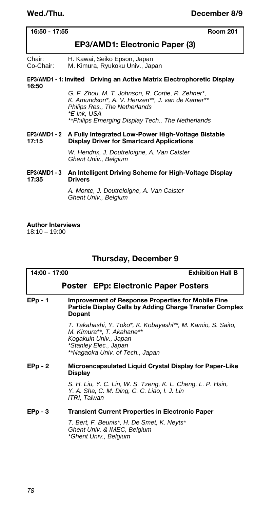| 16:50 - 17:55 |  |  |
|---------------|--|--|
|---------------|--|--|

**16:50 - 17:55 Room 201**

#### **EP3/AMD1: Electronic Paper (3)**

Chair: H. Kawai, Seiko Epson, Japan Co-Chair: M. Kimura, Ryukoku Univ., Japan

#### **EP3/AMD1 - 1:** *Invited* **Driving an Active Matrix Electrophoretic Display 16:50**

*G. F. Zhou, M. T. Johnson, R. Cortie, R. Zehner\*, K. Amundson\*, A. V. Henzen\*\*, J. van de Kamer\*\* Philips Res., The Netherlands \*E Ink, USA \*\*Philips Emerging Display Tech., The Netherlands*

#### **EP3/AMD1 - 2 A Fully Integrated Low-Power High-Voltage Bistable 17:15 Display Driver for Smartcard Applications**

*W. Hendrix, J. Doutreloigne, A. Van Calster Ghent Univ., Belgium*

#### **EP3/AMD1 - 3 An Intelligent Driving Scheme for High-Voltage Display 17:35 Drivers**

*A. Monte, J. Doutreloigne, A. Van Calster Ghent Univ., Belgium*

**Author Interviews** 18:10 – 19:00

#### **Thursday, December 9**

| 14:00 - 17:00 |                                                                                                                                        | <b>Exhibition Hall B</b>                                                                 |
|---------------|----------------------------------------------------------------------------------------------------------------------------------------|------------------------------------------------------------------------------------------|
|               |                                                                                                                                        | <i>Poster</i> EPp: Electronic Paper Posters                                              |
| $E PD - 1$    | <b>Improvement of Response Properties for Mobile Fine</b><br>Particle Display Cells by Adding Charge Transfer Complex<br><b>Dopant</b> |                                                                                          |
|               |                                                                                                                                        | T. Takahashi, Y. Toko*, K. Kobayashi**, M. Kamio, S. Saito,<br>M. Kimura**, T. Akahane** |

*Kogakuin Univ., Japan \*Stanley Elec., Japan \*\*Nagaoka Univ. of Tech., Japan*

#### **EPp - 2 Microencapsulated Liquid Crystal Display for Paper-Like Display**

*S. H. Liu, Y. C. Lin, W. S. Tzeng, K. L. Cheng, L. P. Hsin, Y. A. Sha, C. M. Ding, C. C. Liao, I. J. Lin ITRI, Taiwan*

#### **EPp - 3 Transient Current Properties in Electronic Paper**

*T. Bert, F. Beunis\*, H. De Smet, K. Neyts\* Ghent Univ. & IMEC, Belgium \*Ghent Univ., Belgium*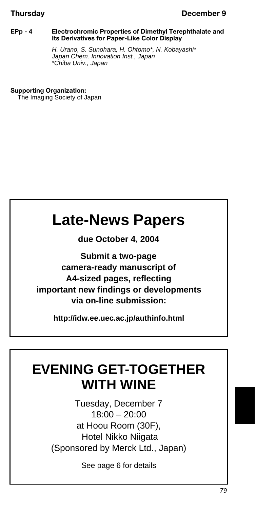#### **Thursday December 9**

#### **EPp - 4 Electrochromic Properties of Dimethyl Terephthalate and Its Derivatives for Paper-Like Color Display**

*H. Urano, S. Sunohara, H. Ohtomo\*, N. Kobayashi\* Japan Chem. Innovation Inst., Japan \*Chiba Univ., Japan*

#### **Supporting Organization:**

The Imaging Society of Japan

# **Late-News Papers**

**due October 4, 2004**

**Submit a two-page camera-ready manuscript of A4-sized pages, reflecting important new findings or developments via on-line submission:**

**http://idw.ee.uec.ac.jp/authinfo.html** 

# **EVENING GET-TOGETHER WITH WINE**

Tuesday, December 7 18:00 – 20:00 at Hoou Room (30F), Hotel Nikko Niigata (Sponsored by Merck Ltd., Japan)

See page 6 for details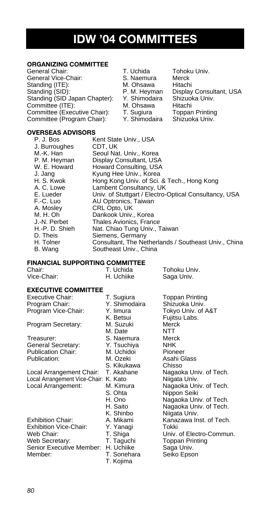# **IDW '04 COMMITTEES**

#### **ORGANIZING COMMITTEE**

General Chair: T. Uchida Tohoku Univ.<br>General Vice-Chair: S. Naemura Merck General Vice-Chair: S. Naemura Merck<br>Standing (ITE): Standing M. Ohsawa Hitachi Standing (ITE): M. Ohsawa<br>Standing (SID): P. M. Heyman Standing (SID Japan Chapter): Y. Shimodaira Shizuol<br>Committee (ITE): M. Ohsawa Hitachi Committee (ITE): M. Ohsawa<br>Committee (Executive Chair): T. Sugiura<br>Committee (Program Chair): Y. Shimodaira Committee (Executive Chair): T. Sugiura Toppan Printing<br>Committee (Program Chair): Y. Shimodaira Shizuoka Univ. Committee (Program Chair):

P. M. Heyman Display Consultant, USA<br>Y. Shimodaira Shizuoka Univ.

#### **OVERSEAS ADVISORS**

| P. J. Bos      | Kent State Univ., USA                                 |
|----------------|-------------------------------------------------------|
| J. Burroughes  | CDT. UK                                               |
| M.-K. Han      | Seoul Nat. Univ., Korea                               |
| P. M. Heyman   | Display Consultant, USA                               |
| W. E. Howard   | Howard Consulting, USA                                |
| J. Jang        | Kyung Hee Univ., Korea                                |
| H. S. Kwok     | Hong Kong Univ. of Sci. & Tech., Hong Kong            |
| A. C. Lowe     | Lambent Consultancy, UK                               |
| E. Lueder      | Univ. of Stuttgart / Electro-Optical Consultancy, USA |
| F.-C. Luo      | AU Optronics, Taiwan                                  |
| A. Moslev      | CRL Opto, UK                                          |
| M. H. Oh       | Dankook Univ., Korea                                  |
| J.-N. Perbet   | Thales Avionics, France                               |
| H.-P. D. Shieh | Nat. Chiao Tung Univ., Taiwan                         |
| D. Theis       | Siemens, Germany                                      |
| H. Tolner      | Consultant, The Netherlands / Southeast Univ., China  |
| B. Wang        | Southeast Univ., China                                |

#### **FINANCIAL SUPPORTING COMMITTEE**

| Chair:                     | T. Uchida  | Tohoku Univ. |
|----------------------------|------------|--------------|
| Vice-Chair:                | H. Uchiike | Saga Univ.   |
| <b>EXECUTIVE COMMITTEE</b> |            |              |

Executive Chair: T. Sugiura Toppan Printing<br>
Program Chair: Y. Shimodaira Shizuoka Univ. Program Chair: Y. Shimodaira Shizuoka Univ.<br>Program Vice-Chair: Y. Iimura Tokyo Univ. of A&T Program Vice-Chair: Y. limura<br>K. Betsui

Treasurer: S. Naemura Merc<br>General Secretary: Y. Tsuchiya NHK General Secretary: Y. Tsuchiya NHK Publication Chair: M. Uchidon<br>Publication: M. Ozeki

Local Arrangement Chair: T. Akahane Nagaoka Univ.<br>Local Arrangement Vice-Chair: K. Kato Nijgata Univ. Local Arrangement Vice-Chair: K. Kato

Exhibition Chair: A. Mikami Kanazawa Inst. of Tech.<br>1971 Exhibition Vice-Chair: Y. Yanagi Tokki<br>1971 Web Chair: T. Shiga Univ. of Electro-Commun Exhibition Vice-Chair: Y. Yanagi Tokki<br>Web Chair: T. Shiga Univ. Senior Executive Member: H. Uchiike Saga Univ.<br>Member: T. Sonehara Seiko Epso

Program Secretary: M. Suzuki Merck<br>M. Date M. M. Millong M. Date NTT<br>S. Naemura Merck S. Ohta Nippon Seiki<br>H. Ono Nagaoka Uni K. Shinbo Niigata Univ.<br>A. Mikami Kanazawa In T. Kojima

Fujitsu Labs.<br>Merck Asahi Glass S. Kikukawa Chisso<br>T. Akahane Nagaoka Univ. of Tech. Local Arrangement: M. Kimura Nagaoka Univ. of Tech. H. Ono **Nagaoka Univ. of Tech.**<br>H. Saito **Nagaoka Univ. of Tech.** H. Saito **Nagaoka Univ. of Tech.**<br>K. Shinbo **Nijaata Univ.** Web Chair: T. Shiga Univ. of Electro-Commun.<br>Web Secretary: T. Taguchi Toppan Printing Toppan Printing Seiko Epson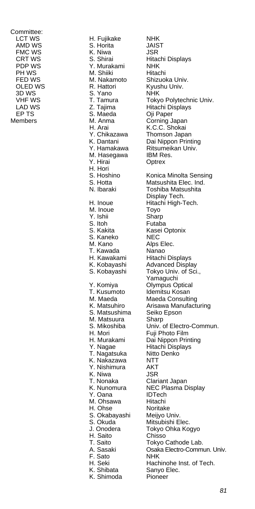Committee: EP TS S. Maeda<br>Members M. Anma

LCT WS H. Fujikake NHK S. Horita FMC WS **K. Niwa** JSR PDP WS **Y. Murakami** NHK<br>PH WS M. Shiiki Hitachi PH WS M. Shiiki M. Shiiki Hitachi<br>FED WS M. Nakamoto OLED WS R. Hattori Kyushu Univ.<br>3D WS S. Yano NHK 3D WS S. Yano<br>
VHF WS T. Tamura Y. Chikazawa<br>K. Dantani M. Hasegawa<br>Y. Hirai H. Hori<br>S. Hoshino M. Inoue Toyo<br>Y. Ishii Sharp Y. Ishii<br>S. Itoh S. Kakita Kasei Optonix<br>S. Kaneko NEC S. Kaneko<br>M. Kano T. Kawada<br>H. Kawakami T. Kusumoto Idemitsu Kosan<br>M. Maeda Idama Maeda Consulti S. Matsushima M. Matsuura Sharp<br>S. Mikoshiba Univ. H. Mori Fuji Photo Film<br>H. Murakami Dai Nippon Prir T. Nagatsuka Nitto<br>K. Nakazawa NTT K. Nakazawa NTT Y. Nishimura AKT K. Niwa T. Nonaka Clariant Japan<br>K. Nunomura NEC Plasma D Y. Oana IDTech<br>M. Ohsawa Hitachi M. Ohsawa<br>H. Ohse S. Okabayashi Meijyo Univ.<br>S. Okuda Mitsubishi E H. Saito<br>T. Saito F. Sato<br>H. Seki K. Shimoda

CRT WS S. Shirai Hitachi Displays<br>
PDP WS Y Murakami NHK Shizuoka Univ. VHF WS T. Tamura Tokyo Polytechnic Univ.<br>T. Taima T. Taima Hitachi Displays LAD WS Z. Tajima Hitachi Displays Corning Japan H. Arai **K.C.C.** Shokai K.C.C. Shokai **K.C.C.**<br>Y. Chikazawa Thomson Japan K. Dantani **Dai Nippon Printing**<br>Y. Hamakawa Ritsumeikan Univ. Ritsumeikan Univ.<br>IBM Res Optrex S. Hoshino Konica Minolta Sensing<br>S. Hotta Matsushita Flec. Ind. S. Hotta Matsushita Elec. Ind.<br>
N. Ibaraki Toshiba Matsushita Toshiba Matsushita Display Tech. H. Inoue Hitachi High-Tech. Futaba Alps Elec. m. Kawada Manao<br>H. Kawakami Hitachi Displays<br>K. Kobavashi Advanced Displa K. Kobayashi Advanced Display<br>S. Kobayashi Tokyo Univ. of Sci Tokyo Univ. of Sci., Yamaguchi Y. Komiya Olympus Optical M. Maeda **Maeda Consulting**<br>K. Matsuhiro Arisawa Manufacti Arisawa Manufacturing<br>Seiko Epson S. Mikoshiba Univ. of Electro-Commun.<br>H. Mori Fuil Photo Film H. Murakami Dai Nippon Printing<br>Y. Naqae Hitachi Displays Hitachi Displays<br>Nitto Denko NEC Plasma Display<br>IDTech Noritake Mitsubishi Elec. J. Onodera Tokyo Ohka Kogyo Tokyo Cathode Lab. A. Sasaki Osaka Electro-Commun. Univ. H. Seki **Hachinohe Inst. of Tech.**<br>K. Shibata Sanyo Elec. Sanyo Elec.<br>Pioneer

*81*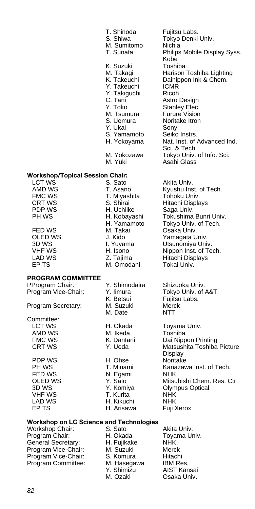| T. Shinoda<br>S. Shiwa<br>M. Sumitomo<br>T. Sunata                                                                                                             |
|----------------------------------------------------------------------------------------------------------------------------------------------------------------|
| K. Suzuki<br>M. Takagi<br>K. Takeuchi<br>Y. Takeuchi<br>Y. Takiguchi<br>C. Tani<br>Y. Toko<br>M. Tsumura<br>S. Uemura<br>Y. Ukai<br>S. Yamamoto<br>H. Yokoyama |
| M. Yokozawa                                                                                                                                                    |

# **Workshop/Topical Session Chair:**

- 
- 

#### **PROGRAM COMMITTEE**

Program Vice-Chair:

Committee:<br>LCT WS

PDP WS H. Ohse<br>
PH WS T. Minami

FMC WS T. Miyashita Tohoku Univ.<br>CRT WS S. Shirai Hitachi Displa PDP WS **H. Uchiike** Saga Univ.<br>PH WS **H. Kobayashi** Tokushima FED WS M. Takai Osaka Univ. M. Omodani

Program Secretary: M. Suzuki Merck<br>M. Date M. NTT M. Date M. Ikeda N. Egami VHF WS T. Kurita NHK LAD WS H. Kikuchi NHK H. Arisawa

Fujitsu Labs. Tokyo Denki Univ. Nichia Philips Mobile Display Syss. Kobe Toshiba Harison Toshiba Lighting Dainippon Ink & Chem. **ICMR** Ricoh **Astro Design** Stanley Elec. Furure Vision Noritake Itron Sony Seiko Instrs. Nat. Inst. of Advanced Ind. Sci. & Tech. M. Yokozawa Tokyo Univ. of Info. Sci.<br>M. Yuki Asahi Glass Asahi Glass

LCT WS S. Sato Akita Univ. AMD WS T. Asano Kyushu Inst. of Tech.<br>
FMC WS T. Miyashita Tohoku Univ. CRT WS S. Shirai Hitachi Displays<br>PDP WS H. Uchiike Saga Univ. PH WS H. Kobayashi Tokushima Bunri Univ. H. Yamamoto Tokyo Univ. of Tech. OLED WS J. Kido Yamagata Univ.<br>3D WS I. Yuyama Utsunomiya Univ 3D WS **I. Yuyama** Utsunomiya Univ.<br>1991 - VHF WS H. Isono Nippon Inst. of Te VHF WS **H. Isono** Nippon Inst. of Tech.<br>
LAD WS **H. Isono** Z. Tajima Hitachi Displays LAD WS Z. Tajima Hitachi Displays

PProgram Chair: Y. Shimodaira Shizuoka Univ.<br>Program Vice-Chair: Y. Iimura Tokyo Univ. of A&T K. Betsui Fujitsu Labs.<br>M. Suzuki Merck

LCT WS H. Okada Toyama Univ.<br>AMD WS M. Ikeda Toshiba FMC WS **K. Dantani** Dai Nippon Printing<br>CRT WS Y. Ueda Matsushita Toshiba Matsushita Toshiba Picture Display<br>Noritake PH WS T. Minami Kanazawa Inst. of Tech.<br>
FFD WS N. Faami NHK OLED WS Y. Sato Mitsubishi Chem. Res. Ctr. 3D WS **Y. Komiya** Olympus Optical<br>
VHF WS **T. Kurita** NHK

#### **Workshop on LC Science and Technologies**

Workshop Chair: S. Sato Akita Univ.<br>Program Chair: H. Okada Toyama Ur Program Chair: H. Okada Toyama Univ. General Secretary: Program Vice-Chair: M. Suzuki Merck<br>Program Vice-Chair: S. Komura Hitachi Program Vice-Chair: S. Komura Hitachi<br>Program Committee: M. Hasegawa IBM Res. Program Committee: M. Hasegawa IBM Res.

Y. Shimizu AIST Kansai Osaka Univ.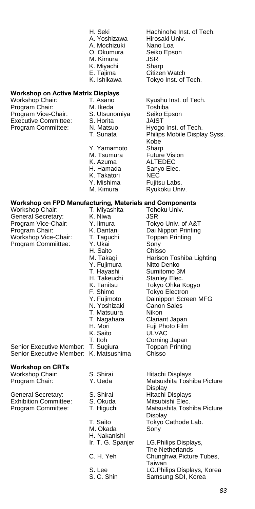- 
- 
- A. Mochizuki
- 
- M. Kimura JSR
- 
- 
- 

# **Workshop on Active Matrix Displays**

| Workshop Chair:             |
|-----------------------------|
| Program Chair:              |
| Program Vice-Chair:         |
| <b>Executive Committee:</b> |
| Program Committee:          |

- M. Ikeda **Toshiba**<br>S. Utsunomiya Seiko Epson Program Seiko<br>Program S. Horita E. Program S. Program S. Program S. Program S. Program S. Program S. Program S. Program S. P<br>Chairman S. Program S. Program S. Program S. Program S. Program S. Program S. Program S. Program S. Horita Y. Yamamoto<br>M. Tsumura
- 
- 
- 
- K. Takatori<br>Y. Mishima
- 
- 

- Workshop Chair: T. Miyashita Tohoku University<br>General Secretary: T. Niwa U.S.R General Secretary: K. Niwa Sand Sand Secretary: K. Niwa<br>Program Vice-Chair: Y. Iimura Tokyo Univ. of A&T Program Vice-Chair: Y. Iimura<br>
Program Chair: K. Dantani<br>
Workshop Vice-Chair: T. Taguchi<br>
Program Commiittee: Y. Ukai Program Chair: K. Dantani Dai Nippon Printing<br>Workshop Vice-Chair: T. Taquchi Toppan Printing Workshop Vice-Chair:
- Program Commiittee: Y. Ukai Sony<br>H. Saito Chisso H. Saito<br>M. Takagi Y. Fujimura<br>T. Hayashi T. Hayashi Sumitomo 3M<br>
H. Takeuchi Stanley Elec.<br>
K. Tanitsu Tokyo Ohka K
	-
	-
	- N. Yoshizaki Canon<br>T. Matsuura Nikon T. Matsuura
	-
	-
	-
	-
	-

Senior Executive Member: T. Sugiura Toppan Printing Senior Executive Member: K. Matsushima Chisso

#### **Workshop on CRTs**

Workshop Chair: S. Shirai Hitachi Displays

General Secretary: S. Shirai Hitachi Displays<br>
Exhibition Committee: S. Okuda Mitsubishi Elec. Exhibition Committee: S. Okuda<br>Program Committee: T. Higuchi

- 
- 
- 
- 
- 
- 
- M. Okada Sony
- H. Nakanishi<br>Ir. T. G. Spanjer
- 
- 
- 
- 

H. Seki Hachinohe Inst. of Tech. A. Yoshizawa Hirosaki Univ.<br>A. Mochizuki Nano Loa O. Okumura Seiko Epson K. Miyachi Sharp<br>E. Taiima Citizer E. Tajima Citizen Watch<br>K. Ishikawa Tokyo Inst. of Tokyo Inst. of Tech.

- Kyushu Inst. of Tech. N. Matsuo <sup>Hyogo</sup> Inst. of Tech.<br>
T. Sunata Philips Mobile Displa Philips Mobile Display Syss. Kobe<br>Sharp M. Tsumura Future Vision<br>K. Azuma ALTEDEC **ALTEDEC** H. Hamada Sanyo Elec.<br>K. Takatori NFC. Fujitsu Labs.
- M. Kimura Ryukoku Univ.
- **Workshop on FPD Manufacturing, Materials and Components**<br>Workshop Chair: T. Miyashita Tohoku Univ.<br>General Secretary: K. Niwa JSR
	-
	-
	-
	- Harison Toshiba Lighting<br>Nitto Denko
	-
	- Stanley Elec.
	- K. Tanitsu Tokyo Ohka Kogyo
		- Tokyo Electron
	- Y. Fujimoto Dainippon Screen MFG<br>N. Yoshizaki Canon Sales
		-
		-
	- T. Nagahara Clariant Japan<br>H. Mori Fuii Photo Film Fuji Photo Film<br>ULVAC
		-
	- K. Saito ULVAC<br>T. Itoh Corning Japan T. Itoh Corning Japan
		-
- Program Chair: Y. Ueda Matsushita Toshiba Picture Display Matsushita Toshiba Picture **Display** T. Saito Tokyo Cathode Lab.

LG. Philips Displays, The Netherlands C. H. Yeh Chunghwa Picture Tubes, **Taiwan** S. Lee LG.Philips Displays, Korea<br>S. C. Shin Samsung SDI. Korea Samsung SDI, Korea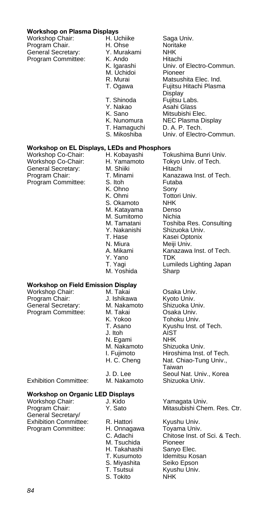#### **Workshop on Plasma Displays**

Workshop Chair: H.<br>Program Chair. H. Program Chair. General Secretary: Y.<br>Program Committee: K. Program Committee: K.<br>K.

| H. Uchiike   | Saga Univ.               |  |
|--------------|--------------------------|--|
| H. Ohse      | Noritake                 |  |
| Y. Murakami  | NHK                      |  |
| K. Ando      | Hitachi                  |  |
| K. Igarashi  | Univ. of Electro-Commun. |  |
| M. Uchidoi   | Pioneer                  |  |
| R. Murai     | Matsushita Elec. Ind.    |  |
| T. Ogawa     | Fujitsu Hitachi Plasma   |  |
|              | Display                  |  |
| T. Shinoda   | Fujitsu Labs.            |  |
| Y. Nakao     | Asahi Glass              |  |
| K. Sano      | Mitsubishi Elec.         |  |
| K. Nunomura  | NEC Plasma Display       |  |
| T. Hamaguchi | D. A. P. Tech.           |  |
| S. Mikoshiba | Univ. of Electro-Commun. |  |
|              |                          |  |

# **Workshop on EL Displays, LEDs and Phosphors**

General Secretary: M. Shiiki<br>Program Chair: T. Minami

H. Kobayashi Tokushima Bunri Univ.<br>H. Yamamoto Tokyo Univ. of Tech. Workshop Co-Chair: H. Yamamoto Tokyo Univ. of Tech.<br>General Secretary: M. Shiiki Hitachi T. Minami Kanazawa Inst. of Tech.<br>S. Itoh Futaba Program Committee: S. Itoh Futabash Committee: S. Itoh Futabash Committee: Sony K. Ohno<br>K. Ohmi Tottori Univ. S. Okamoto NHK<br>M. Katayama Denso M. Katayama Denso<br>M. Sumitomo Nichia M. Sumitomo<br>M. Tamatani M. Tamatani Toshiba Res. Consulting<br>Y. Nakanishi Shizuoka Univ. Y. Nakanishi Shizuoka Univ.<br>T. Hase Kasei Optonix T. Hase Kasei Optonix<br>N. Miura Meiii Univ. N. Miura Meiji Univ.<br>A. Mikami Kanazawa Kanazawa Inst. of Tech.<br>TDK y. Yano<br>T. Yaqi Lumileds Lighting Japan M. Yoshida Sharp

# **Workshop on Field Emission Display**

Workshop Chair: M. Takai Osaka Univ.<br>Program Chair: J. Ishikawa Kyoto Univ. Program Chair: **J. Ishikawa** Kyoto Univ.<br>General Secretary: M. Nakamoto Shizuoka Univ. General Secretary: M. Nakan<br>Program Committee: M. Takai<br>K. Yokoo Program Committee: M. Takai Osaka Univ.

K. Yokoo Tohoku Univ. J. Itoh AIST N. Egami **NHK**<br>M. Nakamoto Shizuoka Univ. M. Nakamoto

Exhibition Committee:

# **Workshop on Organic LED Displays**

Workshop Chair: **J. Kido** Yamagata Univ.<br>Program Chair: Y. Sato Mitasubishi Che General Secretary/ Exhibition Committee: R. Hattori Kyushu Univ.<br>Program Committee: H. Onnagawa Toyama Univ. Program Committee: H. Onnaga<br>C. Adachi

M. Tsuchida Pioneer<br>H. Takahashi Sanvo E H. Takahashi Sanyo Elec.<br>T. Kusumoto Idemitsu Ko S. Miyashita Seiko Epson T. Tsutsui Kyushu Univ.<br>S. Tokito NHK S. Tokito

Kyushu Inst. of Tech. I. Fujimoto Hiroshima Inst. of Tech.<br>H. C. Cheng Nat. Chiao-Tung Univ., Nat. Chiao-Tung Univ., Taiwan J. D. Lee Seoul Nat. Univ., Korea<br>M. Nakamoto Shizuoka Univ.

Mitasubishi Chem. Res. Ctr.

Chitose Inst. of Sci. & Tech. Idemitsu Kosan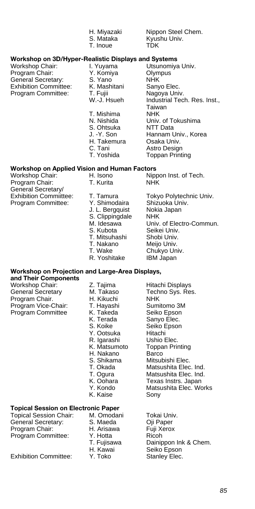|                                                                         | H. Miyazaki<br>S. Mataka<br>T. Inoue | Nippon Steel Chem.<br>Kyushu Univ.<br>TDK      |  |  |
|-------------------------------------------------------------------------|--------------------------------------|------------------------------------------------|--|--|
| Workshop on 3D/Hyper-Realistic Displays and Systems                     |                                      |                                                |  |  |
| Workshop Chair:                                                         | I. Yuyama                            | Utsunomiya Univ.                               |  |  |
| Program Chair:<br>General Secretary:                                    | Y. Komiya<br>S. Yano                 | Olympus<br><b>NHK</b>                          |  |  |
| <b>Exhibition Committee:</b>                                            | K. Mashitani                         | Sanyo Elec.                                    |  |  |
| Program Committee:                                                      | T. Fujii                             | Nagoya Univ.                                   |  |  |
|                                                                         | W.-J. Hsueh                          | Industrial Tech. Res. Inst.,                   |  |  |
|                                                                         | T. Mishima                           | Taiwan<br><b>NHK</b>                           |  |  |
|                                                                         | N. Nishida                           | Univ. of Tokushima                             |  |  |
|                                                                         | S. Ohtsuka                           | NTT Data                                       |  |  |
|                                                                         | J. -Y. Son                           | Hannam Univ., Korea                            |  |  |
|                                                                         | H. Takemura                          | Osaka Univ.<br>Astro Design                    |  |  |
|                                                                         | C. Tani<br>T. Yoshida                | <b>Toppan Printing</b>                         |  |  |
| <b>Workshop on Applied Vision and Human Factors</b>                     |                                      |                                                |  |  |
| Workshop Chair:                                                         | H. Isono                             | Nippon Inst. of Tech.                          |  |  |
| Program Chair:                                                          | T. Kurita                            | <b>NHK</b>                                     |  |  |
| General Secretary/<br><b>Exhibition Commiittee:</b>                     | T. Tamura                            | Tokyo Polytechnic Univ.                        |  |  |
| Program Committee:                                                      | Y. Shimodaira                        | Shizuoka Univ.                                 |  |  |
|                                                                         | J. L. Bergquist                      | Nokia Japan                                    |  |  |
|                                                                         | S. Clippingdale<br>M. Idesawa        | <b>NHK</b>                                     |  |  |
|                                                                         | S. Kubota                            | Univ. of Electro-Commun.<br>Seikei Univ.       |  |  |
|                                                                         | T. Mitsuhashi                        | Shobi Univ.                                    |  |  |
|                                                                         | T. Nakano                            | Meijo Univ.                                    |  |  |
|                                                                         | T. Wake<br>R. Yoshitake              | Chukyo Univ.<br><b>IBM Japan</b>               |  |  |
|                                                                         |                                      |                                                |  |  |
| Workshop on Projection and Large-Area Displays,<br>and Their Components |                                      |                                                |  |  |
| Workshop Chair:                                                         | Z. Tajima                            | Hitachi Displays                               |  |  |
| <b>General Secretary</b>                                                | M. Takaso                            | Techno Sys. Res.                               |  |  |
| Program Chair.<br>Program Vice-Chair:                                   | H. Kikuchi<br>T. Hayashi             | <b>NHK</b><br>Sumitomo 3M                      |  |  |
| Program Committee                                                       | K. Takeda                            | Seiko Epson                                    |  |  |
|                                                                         | K. Terada                            | Sanyo Elec.                                    |  |  |
|                                                                         | S. Koike                             | Seiko Epson                                    |  |  |
|                                                                         | Y. Ootsuka<br>R. Igarashi            | Hitachi<br>Ushio Elec.                         |  |  |
|                                                                         | K. Matsumoto                         | <b>Toppan Printing</b>                         |  |  |
|                                                                         | H. Nakano                            | Barco                                          |  |  |
|                                                                         | S. Shikama                           | Mitsubishi Elec.                               |  |  |
|                                                                         | T. Okada<br>T. Ogura                 | Matsushita Elec. Ind.<br>Matsushita Elec. Ind. |  |  |
|                                                                         | K. Oohara                            | Texas Instrs. Japan                            |  |  |
|                                                                         | Y. Kondo                             | Matsushita Elec. Works                         |  |  |
|                                                                         | K. Kaise                             | Sony                                           |  |  |
| Topical Session on Electronic Paper                                     |                                      |                                                |  |  |
| Topical Session Chair:                                                  | M. Omodani                           | Tokai Univ.                                    |  |  |
| General Secretary:<br>Program Chair:                                    | S. Maeda<br>H. Arisawa               | Oji Paper<br>Fuji Xerox                        |  |  |
| Program Committee:                                                      | Y. Hotta                             | Ricoh                                          |  |  |
|                                                                         | T. Fujisawa                          | Dainippon Ink & Chem.                          |  |  |
|                                                                         | H. Kawai                             | Seiko Epson                                    |  |  |
| <b>Exhibition Committee:</b>                                            | Y. Toko                              | Stanley Elec.                                  |  |  |
|                                                                         |                                      |                                                |  |  |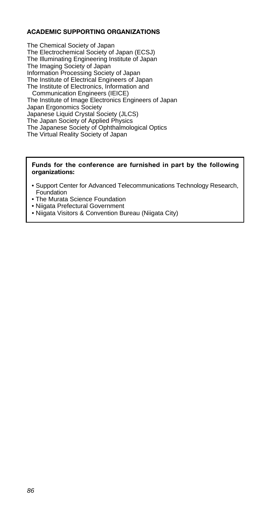#### **ACADEMIC SUPPORTING ORGANIZATIONS**

The Chemical Society of Japan The Electrochemical Society of Japan (ECSJ) The Illuminating Engineering Institute of Japan The Imaging Society of Japan Information Processing Society of Japan The Institute of Electrical Engineers of Japan The Institute of Electronics, Information and Communication Engineers (IEICE) The Institute of Image Electronics Engineers of Japan Japan Ergonomics Society Japanese Liquid Crystal Society (JLCS) The Japan Society of Applied Physics The Japanese Society of Ophthalmological Optics

The Virtual Reality Society of Japan

#### **Funds for the conference are furnished in part by the following organizations:**

- Support Center for Advanced Telecommunications Technology Research, **Foundation**
- The Murata Science Foundation
- Niigata Prefectural Government
- Niigata Visitors & Convention Bureau (Niigata City)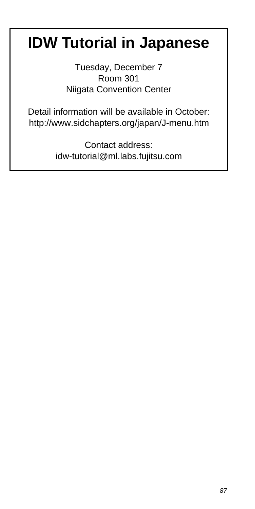# **IDW Tutorial in Japanese**

Tuesday, December 7 Room 301 Niigata Convention Center

Detail information will be available in October: http://www.sidchapters.org/japan/J-menu.htm

> Contact address: idw-tutorial@ml.labs.fujitsu.com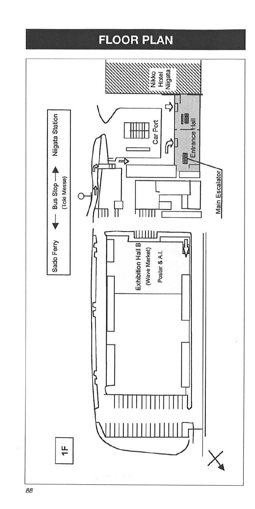# **FLOOR PLAN**

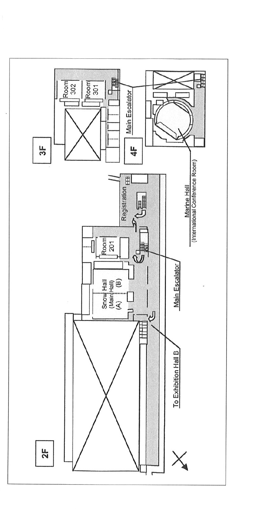